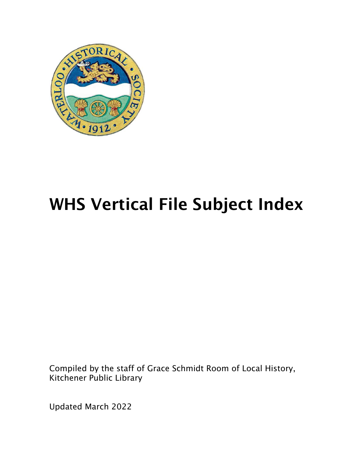

# WHS Vertical File Subject Index

Compiled by the staff of Grace Schmidt Room of Local History, Kitchener Public Library

Updated March 2022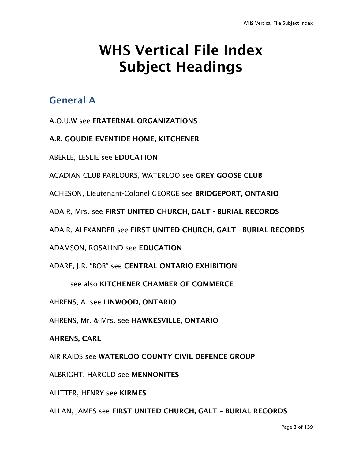## WHS Vertical File Index Subject Headings

## General A

- A.O.U.W see FRATERNAL ORGANIZATIONS
- A.R. GOUDIE EVENTIDE HOME, KITCHENER
- ABERLE, LESLIE see EDUCATION
- ACADIAN CLUB PARLOURS, WATERLOO see GREY GOOSE CLUB
- ACHESON, Lieutenant-Colonel GEORGE see BRIDGEPORT, ONTARIO
- ADAIR, Mrs. see FIRST UNITED CHURCH, GALT BURIAL RECORDS
- ADAIR, ALEXANDER see FIRST UNITED CHURCH, GALT BURIAL RECORDS
- ADAMSON, ROSALIND see EDUCATION
- ADARE, J.R. "BOB" see CENTRAL ONTARIO EXHIBITION
	- see also KITCHENER CHAMBER OF COMMERCE
- AHRENS, A. see LINWOOD, ONTARIO
- AHRENS, Mr. & Mrs. see HAWKESVILLE, ONTARIO
- AHRENS, CARL
- AIR RAIDS see WATERLOO COUNTY CIVIL DEFENCE GROUP
- ALBRIGHT, HAROLD see MENNONITES
- ALITTER, HENRY see KIRMES
- ALLAN, JAMES see FIRST UNITED CHURCH, GALT BURIAL RECORDS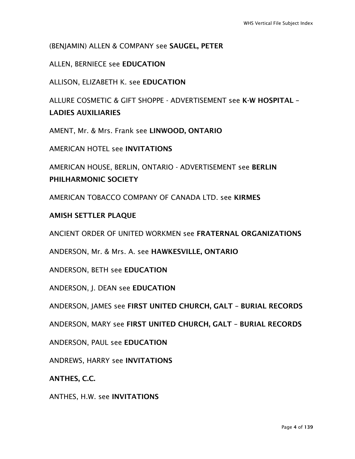(BENJAMIN) ALLEN & COMPANY see SAUGEL, PETER

ALLEN, BERNIECE see EDUCATION

ALLISON, ELIZABETH K. see EDUCATION

ALLURE COSMETIC & GIFT SHOPPE - ADVERTISEMENT see K-W HOSPITAL – LADIES AUXILIARIES

AMENT, Mr. & Mrs. Frank see LINWOOD, ONTARIO

AMERICAN HOTEL see INVITATIONS

AMERICAN HOUSE, BERLIN, ONTARIO - ADVERTISEMENT see BERLIN PHILHARMONIC SOCIETY

AMERICAN TOBACCO COMPANY OF CANADA LTD. see KIRMES

#### AMISH SETTLER PLAQUE

ANCIENT ORDER OF UNITED WORKMEN see FRATERNAL ORGANIZATIONS

ANDERSON, Mr. & Mrs. A. see HAWKESVILLE, ONTARIO

ANDERSON, BETH see EDUCATION

ANDERSON, J. DEAN see EDUCATION

ANDERSON, JAMES see FIRST UNITED CHURCH, GALT – BURIAL RECORDS

ANDERSON, MARY see FIRST UNITED CHURCH, GALT – BURIAL RECORDS

ANDERSON, PAUL see EDUCATION

ANDREWS, HARRY see INVITATIONS

ANTHES, C.C.

ANTHES, H.W. see INVITATIONS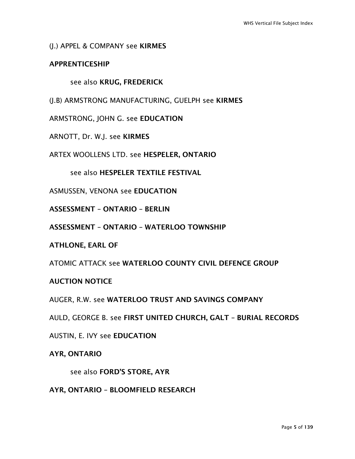#### (J.) APPEL & COMPANY see KIRMES

#### APPRENTICESHIP

#### see also KRUG, FREDERICK

(J.B) ARMSTRONG MANUFACTURING, GUELPH see KIRMES

ARMSTRONG, JOHN G. see EDUCATION

ARNOTT, Dr. W.J. see KIRMES

ARTEX WOOLLENS LTD. see HESPELER, ONTARIO

see also HESPELER TEXTILE FESTIVAL

ASMUSSEN, VENONA see EDUCATION

ASSESSMENT – ONTARIO – BERLIN

ASSESSMENT – ONTARIO – WATERLOO TOWNSHIP

ATHLONE, EARL OF

ATOMIC ATTACK see WATERLOO COUNTY CIVIL DEFENCE GROUP

#### AUCTION NOTICE

AUGER, R.W. see WATERLOO TRUST AND SAVINGS COMPANY

AULD, GEORGE B. see FIRST UNITED CHURCH, GALT – BURIAL RECORDS

AUSTIN, E. IVY see EDUCATION

#### AYR, ONTARIO

see also FORD'S STORE, AYR

AYR, ONTARIO – BLOOMFIELD RESEARCH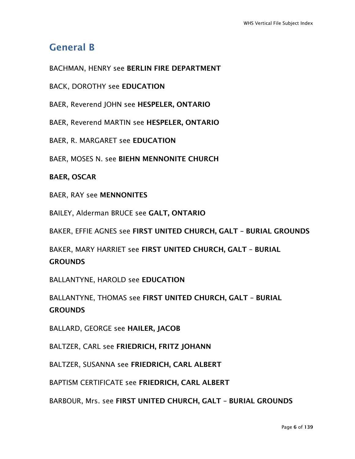## General B

BACHMAN, HENRY see BERLIN FIRE DEPARTMENT

BACK, DOROTHY see EDUCATION

BAER, Reverend JOHN see HESPELER, ONTARIO

BAER, Reverend MARTIN see HESPELER, ONTARIO

BAER, R. MARGARET see EDUCATION

BAER, MOSES N. see BIEHN MENNONITE CHURCH

BAER, OSCAR

BAER, RAY see MENNONITES

BAILEY, Alderman BRUCE see GALT, ONTARIO

BAKER, EFFIE AGNES see FIRST UNITED CHURCH, GALT – BURIAL GROUNDS

BAKER, MARY HARRIET see FIRST UNITED CHURCH, GALT – BURIAL **GROUNDS** 

BALLANTYNE, HAROLD see EDUCATION

BALLANTYNE, THOMAS see FIRST UNITED CHURCH, GALT – BURIAL **GROUNDS** 

BALLARD, GEORGE see HAILER, JACOB

BALTZER, CARL see FRIEDRICH, FRITZ JOHANN

BALTZER, SUSANNA see FRIEDRICH, CARL ALBERT

BAPTISM CERTIFICATE see FRIEDRICH, CARL ALBERT

BARBOUR, Mrs. see FIRST UNITED CHURCH, GALT – BURIAL GROUNDS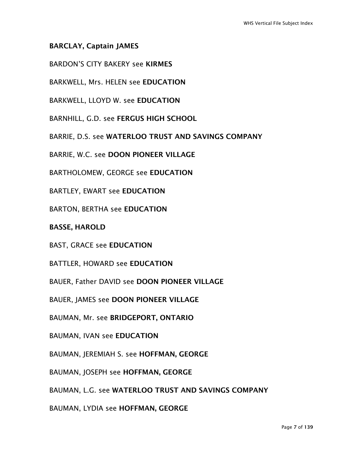#### BARCLAY, Captain JAMES

BARDON'S CITY BAKERY see KIRMES

BARKWELL, Mrs. HELEN see EDUCATION

BARKWELL, LLOYD W. see EDUCATION

BARNHILL, G.D. see FERGUS HIGH SCHOOL

BARRIE, D.S. see WATERLOO TRUST AND SAVINGS COMPANY

BARRIE, W.C. see DOON PIONEER VILLAGE

BARTHOLOMEW, GEORGE see EDUCATION

BARTLEY, EWART see EDUCATION

BARTON, BERTHA see EDUCATION

BASSE, HAROLD

BAST, GRACE see EDUCATION

BATTLER, HOWARD see EDUCATION

BAUER, Father DAVID see DOON PIONEER VILLAGE

BAUER, JAMES see DOON PIONEER VILLAGE

BAUMAN, Mr. see BRIDGEPORT, ONTARIO

BAUMAN, IVAN see EDUCATION

BAUMAN, JEREMIAH S. see HOFFMAN, GEORGE

BAUMAN, JOSEPH see HOFFMAN, GEORGE

BAUMAN, L.G. see WATERLOO TRUST AND SAVINGS COMPANY

BAUMAN, LYDIA see HOFFMAN, GEORGE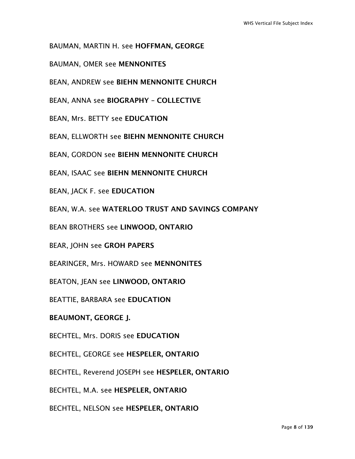BAUMAN, MARTIN H. see HOFFMAN, GEORGE

BAUMAN, OMER see MENNONITES

BEAN, ANDREW see BIEHN MENNONITE CHURCH

BEAN, ANNA see BIOGRAPHY – COLLECTIVE

BEAN, Mrs. BETTY see EDUCATION

BEAN, ELLWORTH see BIEHN MENNONITE CHURCH

BEAN, GORDON see BIEHN MENNONITE CHURCH

BEAN, ISAAC see BIEHN MENNONITE CHURCH

BEAN, JACK F. see EDUCATION

BEAN, W.A. see WATERLOO TRUST AND SAVINGS COMPANY

BEAN BROTHERS see LINWOOD, ONTARIO

BEAR, JOHN see GROH PAPERS

BEARINGER, Mrs. HOWARD see MENNONITES

BEATON, JEAN see LINWOOD, ONTARIO

BEATTIE, BARBARA see EDUCATION

BEAUMONT, GEORGE J.

BECHTEL, Mrs. DORIS see EDUCATION

BECHTEL, GEORGE see HESPELER, ONTARIO

BECHTEL, Reverend JOSEPH see HESPELER, ONTARIO

BECHTEL, M.A. see HESPELER, ONTARIO

BECHTEL, NELSON see HESPELER, ONTARIO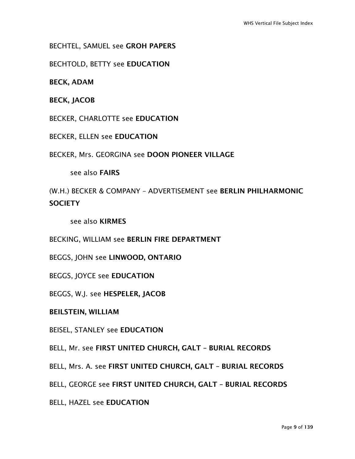BECHTEL, SAMUEL see GROH PAPERS

BECHTOLD, BETTY see EDUCATION

BECK, ADAM

BECK, JACOB

BECKER, CHARLOTTE see EDUCATION

BECKER, ELLEN see EDUCATION

BECKER, Mrs. GEORGINA see DOON PIONEER VILLAGE

see also FAIRS

(W.H.) BECKER & COMPANY – ADVERTISEMENT see BERLIN PHILHARMONIC **SOCIETY** 

see also KIRMES

BECKING, WILLIAM see BERLIN FIRE DEPARTMENT

BEGGS, JOHN see LINWOOD, ONTARIO

BEGGS, JOYCE see EDUCATION

BEGGS, W.J. see HESPELER, JACOB

BEILSTEIN, WILLIAM

BEISEL, STANLEY see EDUCATION

BELL, Mr. see FIRST UNITED CHURCH, GALT – BURIAL RECORDS

BELL, Mrs. A. see FIRST UNITED CHURCH, GALT – BURIAL RECORDS

BELL, GEORGE see FIRST UNITED CHURCH, GALT – BURIAL RECORDS

BELL, HAZEL see EDUCATION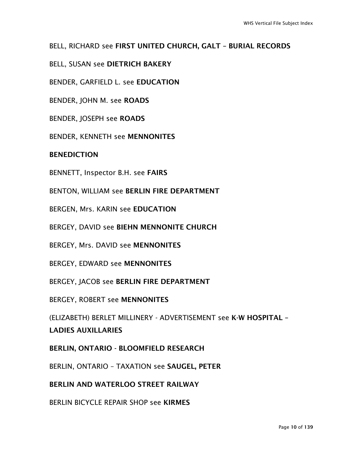#### BELL, RICHARD see FIRST UNITED CHURCH, GALT – BURIAL RECORDS

BELL, SUSAN see DIETRICH BAKERY

BENDER, GARFIELD L. see EDUCATION

BENDER, JOHN M. see ROADS

BENDER, JOSEPH see ROADS

BENDER, KENNETH see MENNONITES

BENEDICTION

BENNETT, Inspector B.H. see FAIRS

BENTON, WILLIAM see BERLIN FIRE DEPARTMENT

BERGEN, Mrs. KARIN see EDUCATION

BERGEY, DAVID see BIEHN MENNONITE CHURCH

BERGEY, Mrs. DAVID see MENNONITES

BERGEY, EDWARD see MENNONITES

BERGEY, JACOB see BERLIN FIRE DEPARTMENT

BERGEY, ROBERT see MENNONITES

(ELIZABETH) BERLET MILLINERY - ADVERTISEMENT see K-W HOSPITAL – LADIES AUXILLARIES

BERLIN, ONTARIO - BLOOMFIELD RESEARCH

BERLIN, ONTARIO – TAXATION see SAUGEL, PETER

BERLIN AND WATERLOO STREET RAILWAY

BERLIN BICYCLE REPAIR SHOP see KIRMES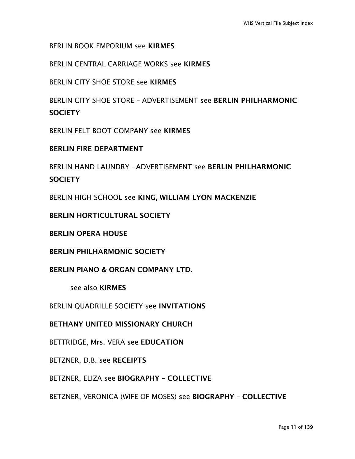BERLIN BOOK EMPORIUM see KIRMES

BERLIN CENTRAL CARRIAGE WORKS see KIRMES

BERLIN CITY SHOE STORE see KIRMES

BERLIN CITY SHOE STORE – ADVERTISEMENT see BERLIN PHILHARMONIC **SOCIETY** 

BERLIN FELT BOOT COMPANY see KIRMES

BERLIN FIRE DEPARTMENT

BERLIN HAND LAUNDRY - ADVERTISEMENT see BERLIN PHILHARMONIC **SOCIFTY** 

BERLIN HIGH SCHOOL see KING, WILLIAM LYON MACKENZIE

BERLIN HORTICULTURAL SOCIETY

BERLIN OPERA HOUSE

BERLIN PHILHARMONIC SOCIETY

BERLIN PIANO & ORGAN COMPANY LTD.

see also KIRMES

BERLIN QUADRILLE SOCIETY see INVITATIONS

BETHANY UNITED MISSIONARY CHURCH

BETTRIDGE, Mrs. VERA see EDUCATION

BETZNER, D.B. see RECEIPTS

BETZNER, ELIZA see BIOGRAPHY – COLLECTIVE

BETZNER, VERONICA (WIFE OF MOSES) see BIOGRAPHY – COLLECTIVE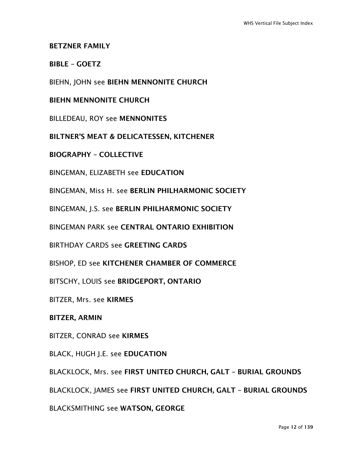#### BETZNER FAMILY

#### BIBLE – GOETZ

BIEHN, JOHN see BIEHN MENNONITE CHURCH

#### BIEHN MENNONITE CHURCH

BILLEDEAU, ROY see MENNONITES

BILTNER'S MEAT & DELICATESSEN, KITCHENER

BIOGRAPHY – COLLECTIVE

BINGEMAN, ELIZABETH see EDUCATION

BINGEMAN, Miss H. see BERLIN PHILHARMONIC SOCIETY

BINGEMAN, J.S. see BERLIN PHILHARMONIC SOCIETY

BINGEMAN PARK see CENTRAL ONTARIO EXHIBITION

BIRTHDAY CARDS see GREETING CARDS

BISHOP, ED see KITCHENER CHAMBER OF COMMERCE

BITSCHY, LOUIS see BRIDGEPORT, ONTARIO

BITZER, Mrs. see KIRMES

#### BITZER, ARMIN

BITZER, CONRAD see KIRMES

BLACK, HUGH J.E. see EDUCATION

BLACKLOCK, Mrs. see FIRST UNITED CHURCH, GALT – BURIAL GROUNDS

BLACKLOCK, JAMES see FIRST UNITED CHURCH, GALT – BURIAL GROUNDS

BLACKSMITHING see WATSON, GEORGE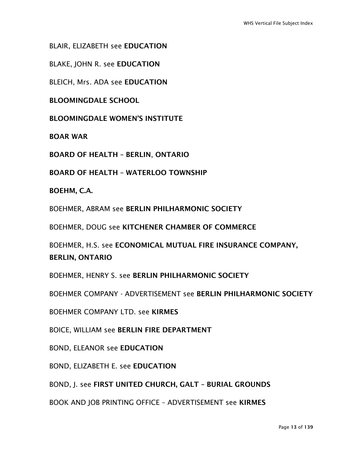BLAIR, ELIZABETH see EDUCATION

BLAKE, JOHN R. see EDUCATION

BLEICH, Mrs. ADA see EDUCATION

BLOOMINGDALE SCHOOL

BLOOMINGDALE WOMEN'S INSTITUTE

BOAR WAR

BOARD OF HEALTH – BERLIN, ONTARIO

BOARD OF HEALTH – WATERLOO TOWNSHIP

BOEHM, C.A.

BOEHMER, ABRAM see BERLIN PHILHARMONIC SOCIETY

BOEHMER, DOUG see KITCHENER CHAMBER OF COMMERCE

BOEHMER, H.S. see ECONOMICAL MUTUAL FIRE INSURANCE COMPANY, BERLIN, ONTARIO

BOEHMER, HENRY S. see BERLIN PHILHARMONIC SOCIETY

BOEHMER COMPANY - ADVERTISEMENT see BERLIN PHILHARMONIC SOCIETY

BOEHMER COMPANY LTD. see KIRMES

BOICE, WILLIAM see BERLIN FIRE DEPARTMENT

BOND, ELEANOR see EDUCATION

BOND, ELIZABETH E. see EDUCATION

BOND, J. see FIRST UNITED CHURCH, GALT – BURIAL GROUNDS

BOOK AND JOB PRINTING OFFICE – ADVERTISEMENT see KIRMES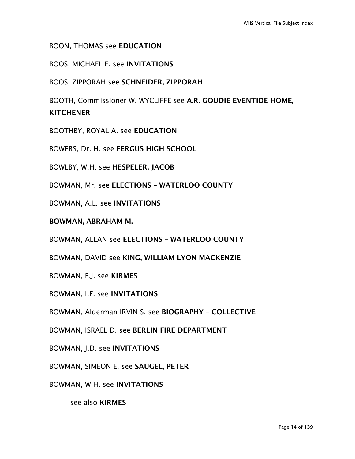BOON, THOMAS see EDUCATION

BOOS, MICHAEL E. see INVITATIONS

BOOS, ZIPPORAH see SCHNEIDER, ZIPPORAH

BOOTH, Commissioner W. WYCLIFFE see A.R. GOUDIE EVENTIDE HOME, **KITCHENER** 

BOOTHBY, ROYAL A. see EDUCATION

BOWERS, Dr. H. see FERGUS HIGH SCHOOL

BOWLBY, W.H. see HESPELER, JACOB

BOWMAN, Mr. see ELECTIONS – WATERLOO COUNTY

BOWMAN, A.L. see INVITATIONS

BOWMAN, ABRAHAM M.

BOWMAN, ALLAN see ELECTIONS – WATERLOO COUNTY

BOWMAN, DAVID see KING, WILLIAM LYON MACKENZIE

BOWMAN, F.J. see KIRMES

BOWMAN, I.E. see INVITATIONS

BOWMAN, Alderman IRVIN S. see BIOGRAPHY – COLLECTIVE

BOWMAN, ISRAEL D. see BERLIN FIRE DEPARTMENT

BOWMAN, J.D. see INVITATIONS

BOWMAN, SIMEON E. see SAUGEL, PETER

BOWMAN, W.H. see INVITATIONS

see also KIRMES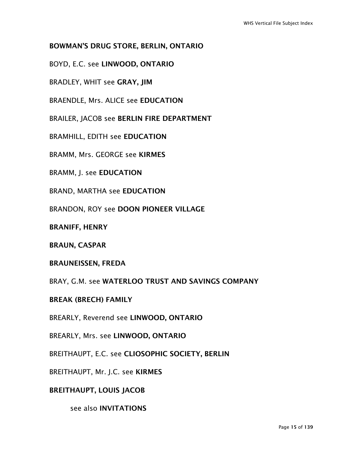#### BOWMAN'S DRUG STORE, BERLIN, ONTARIO

BOYD, E.C. see LINWOOD, ONTARIO

BRADLEY, WHIT see GRAY, JIM

BRAENDLE, Mrs. ALICE see EDUCATION

BRAILER, JACOB see BERLIN FIRE DEPARTMENT

BRAMHILL, EDITH see EDUCATION

BRAMM, Mrs. GEORGE see KIRMES

BRAMM, J. see EDUCATION

BRAND, MARTHA see EDUCATION

BRANDON, ROY see DOON PIONEER VILLAGE

BRANIFF, HENRY

BRAUN, CASPAR

BRAUNEISSEN, FREDA

BRAY, G.M. see WATERLOO TRUST AND SAVINGS COMPANY

BREAK (BRECH) FAMILY

BREARLY, Reverend see LINWOOD, ONTARIO

BREARLY, Mrs. see LINWOOD, ONTARIO

BREITHAUPT, E.C. see CLIOSOPHIC SOCIETY, BERLIN

BREITHAUPT, Mr. J.C. see KIRMES

BREITHAUPT, LOUIS JACOB

see also INVITATIONS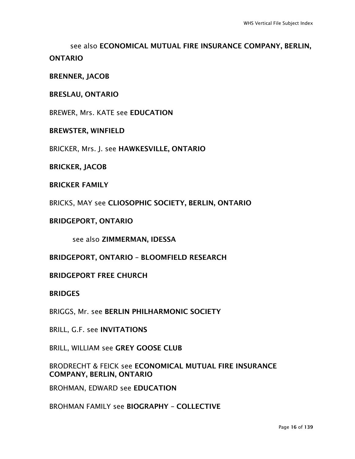see also ECONOMICAL MUTUAL FIRE INSURANCE COMPANY, BERLIN, ONTARIO

BRENNER, JACOB

#### BRESLAU, ONTARIO

BREWER, Mrs. KATE see EDUCATION

#### BREWSTER, WINFIELD

BRICKER, Mrs. J. see HAWKESVILLE, ONTARIO

BRICKER, JACOB

#### BRICKER FAMILY

BRICKS, MAY see CLIOSOPHIC SOCIETY, BERLIN, ONTARIO

#### BRIDGEPORT, ONTARIO

see also ZIMMERMAN, IDESSA

BRIDGEPORT, ONTARIO – BLOOMFIELD RESEARCH

#### BRIDGEPORT FREE CHURCH

#### **BRIDGES**

BRIGGS, Mr. see BERLIN PHILHARMONIC SOCIETY

BRILL, G.F. see INVITATIONS

BRILL, WILLIAM see GREY GOOSE CLUB

#### BRODRECHT & FEICK see ECONOMICAL MUTUAL FIRE INSURANCE COMPANY, BERLIN, ONTARIO

BROHMAN, EDWARD see EDUCATION

BROHMAN FAMILY see BIOGRAPHY – COLLECTIVE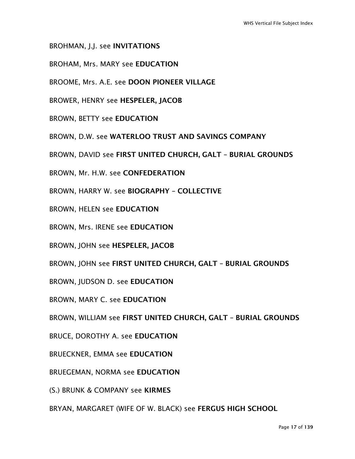- BROHMAN, J.J. see INVITATIONS
- BROHAM, Mrs. MARY see EDUCATION
- BROOME, Mrs. A.E. see DOON PIONEER VILLAGE
- BROWER, HENRY see HESPELER, JACOB
- BROWN, BETTY see EDUCATION
- BROWN, D.W. see WATERLOO TRUST AND SAVINGS COMPANY
- BROWN, DAVID see FIRST UNITED CHURCH, GALT BURIAL GROUNDS
- BROWN, Mr. H.W. see CONFEDERATION
- BROWN, HARRY W. see BIOGRAPHY COLLECTIVE
- BROWN, HELEN see EDUCATION
- BROWN, Mrs. IRENE see EDUCATION
- BROWN, JOHN see HESPELER, JACOB
- BROWN, JOHN see FIRST UNITED CHURCH, GALT BURIAL GROUNDS
- BROWN, JUDSON D. see EDUCATION
- BROWN, MARY C. see EDUCATION
- BROWN, WILLIAM see FIRST UNITED CHURCH, GALT BURIAL GROUNDS
- BRUCE, DOROTHY A. see EDUCATION
- BRUECKNER, EMMA see EDUCATION
- BRUEGEMAN, NORMA see EDUCATION
- (S.) BRUNK & COMPANY see KIRMES
- BRYAN, MARGARET (WIFE OF W. BLACK) see FERGUS HIGH SCHOOL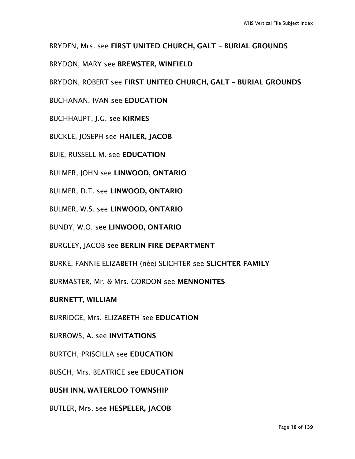BRYDEN, Mrs. see FIRST UNITED CHURCH, GALT – BURIAL GROUNDS

BRYDON, MARY see BREWSTER, WINFIELD

BRYDON, ROBERT see FIRST UNITED CHURCH, GALT – BURIAL GROUNDS

BUCHANAN, IVAN see EDUCATION

BUCHHAUPT, J.G. see KIRMES

BUCKLE, JOSEPH see HAILER, JACOB

BUIE, RUSSELL M. see EDUCATION

BULMER, JOHN see LINWOOD, ONTARIO

BULMER, D.T. see LINWOOD, ONTARIO

BULMER, W.S. see LINWOOD, ONTARIO

BUNDY, W.O. see LINWOOD, ONTARIO

BURGLEY, JACOB see BERLIN FIRE DEPARTMENT

BURKE, FANNIE ELIZABETH (née) SLICHTER see SLICHTER FAMILY

BURMASTER, Mr. & Mrs. GORDON see MENNONITES

BURNETT, WILLIAM

BURRIDGE, Mrs. ELIZABETH see EDUCATION

BURROWS, A. see INVITATIONS

BURTCH, PRISCILLA see EDUCATION

BUSCH, Mrs. BEATRICE see EDUCATION

BUSH INN, WATERLOO TOWNSHIP

BUTLER, Mrs. see HESPELER, JACOB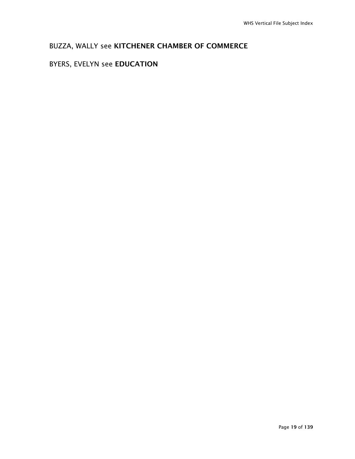## BUZZA, WALLY see KITCHENER CHAMBER OF COMMERCE

#### BYERS, EVELYN see EDUCATION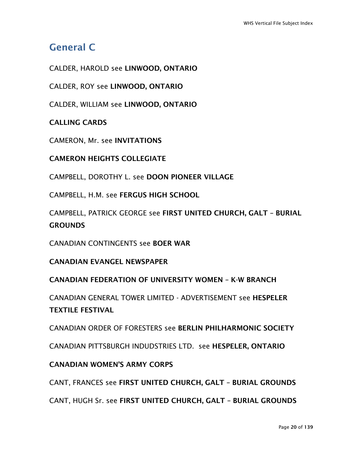## General C

CALDER, HAROLD see LINWOOD, ONTARIO

CALDER, ROY see LINWOOD, ONTARIO

CALDER, WILLIAM see LINWOOD, ONTARIO

CALLING CARDS

CAMERON, Mr. see INVITATIONS

CAMERON HEIGHTS COLLEGIATE

CAMPBELL, DOROTHY L. see DOON PIONEER VILLAGE

CAMPBELL, H.M. see FERGUS HIGH SCHOOL

CAMPBELL, PATRICK GEORGE see FIRST UNITED CHURCH, GALT – BURIAL **GROUNDS** 

CANADIAN CONTINGENTS see BOER WAR

CANADIAN EVANGEL NEWSPAPER

CANADIAN FEDERATION OF UNIVERSITY WOMEN – K-W BRANCH

CANADIAN GENERAL TOWER LIMITED - ADVERTISEMENT see HESPELER TEXTILE FESTIVAL

CANADIAN ORDER OF FORESTERS see BERLIN PHILHARMONIC SOCIETY

CANADIAN PITTSBURGH INDUDSTRIES LTD. see HESPELER, ONTARIO

#### CANADIAN WOMEN'S ARMY CORPS

CANT, FRANCES see FIRST UNITED CHURCH, GALT – BURIAL GROUNDS

CANT, HUGH Sr. see FIRST UNITED CHURCH, GALT – BURIAL GROUNDS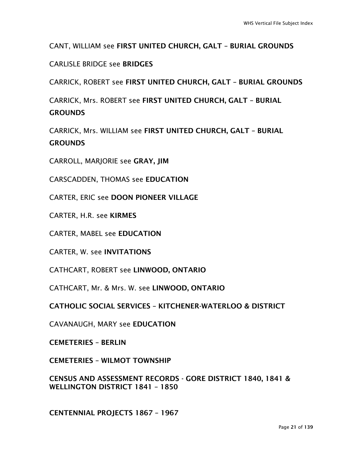#### CANT, WILLIAM see FIRST UNITED CHURCH, GALT – BURIAL GROUNDS

#### CARLISLE BRIDGE see BRIDGES

CARRICK, ROBERT see FIRST UNITED CHURCH, GALT – BURIAL GROUNDS

CARRICK, Mrs. ROBERT see FIRST UNITED CHURCH, GALT – BURIAL **GROUNDS** 

CARRICK, Mrs. WILLIAM see FIRST UNITED CHURCH, GALT – BURIAL **GROUNDS** 

CARROLL, MARJORIE see GRAY, JIM

CARSCADDEN, THOMAS see EDUCATION

CARTER, ERIC see DOON PIONEER VILLAGE

CARTER, H.R. see KIRMES

CARTER, MABEL see EDUCATION

CARTER, W. see INVITATIONS

CATHCART, ROBERT see LINWOOD, ONTARIO

CATHCART, Mr. & Mrs. W. see LINWOOD, ONTARIO

CATHOLIC SOCIAL SERVICES – KITCHENER-WATERLOO & DISTRICT

CAVANAUGH, MARY see EDUCATION

CEMETERIES – BERLIN

CEMETERIES – WILMOT TOWNSHIP

CENSUS AND ASSESSMENT RECORDS - GORE DISTRICT 1840, 1841 & WELLINGTON DISTRICT 1841 - 1850

CENTENNIAL PROJECTS 1867 – 1967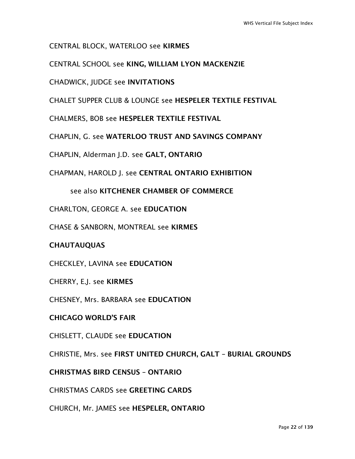CENTRAL BLOCK, WATERLOO see KIRMES

CENTRAL SCHOOL see KING, WILLIAM LYON MACKENZIE

CHADWICK, JUDGE see INVITATIONS

CHALET SUPPER CLUB & LOUNGE see HESPELER TEXTILE FESTIVAL

CHALMERS, BOB see HESPELER TEXTILE FESTIVAL

CHAPLIN, G. see WATERLOO TRUST AND SAVINGS COMPANY

CHAPLIN, Alderman J.D. see GALT, ONTARIO

CHAPMAN, HAROLD J. see CENTRAL ONTARIO EXHIBITION

see also KITCHENER CHAMBER OF COMMERCE

CHARLTON, GEORGE A. see EDUCATION

CHASE & SANBORN, MONTREAL see KIRMES

#### **CHAUTAUQUAS**

CHECKLEY, LAVINA see EDUCATION

CHERRY, E.J. see KIRMES

CHESNEY, Mrs. BARBARA see EDUCATION

#### CHICAGO WORLD'S FAIR

CHISLETT, CLAUDE see EDUCATION

CHRISTIE, Mrs. see FIRST UNITED CHURCH, GALT – BURIAL GROUNDS

#### CHRISTMAS BIRD CENSUS – ONTARIO

CHRISTMAS CARDS see GREETING CARDS

CHURCH, Mr. JAMES see HESPELER, ONTARIO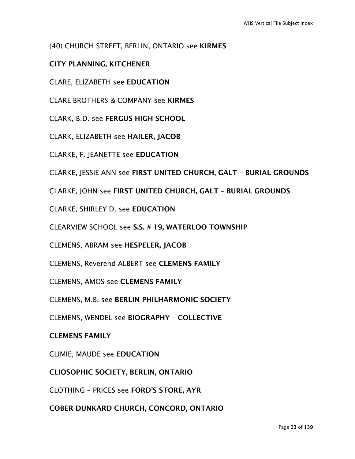#### (40) CHURCH STREET, BERLIN, ONTARIO see KIRMES

#### CITY PLANNING, KITCHENER

CLARE, ELIZABETH see EDUCATION

CLARE BROTHERS & COMPANY see KIRMES

CLARK, B.D. see FERGUS HIGH SCHOOL

CLARK, ELIZABETH see HAILER, JACOB

CLARKE, F. JEANETTE see EDUCATION

CLARKE, JESSIE ANN see FIRST UNITED CHURCH, GALT – BURIAL GROUNDS

CLARKE, JOHN see FIRST UNITED CHURCH, GALT – BURIAL GROUNDS

CLARKE, SHIRLEY D. see EDUCATION

CLEARVIEW SCHOOL see S.S. # 19, WATERLOO TOWNSHIP

CLEMENS, ABRAM see HESPELER, JACOB

CLEMENS, Reverend ALBERT see CLEMENS FAMILY

CLEMENS, AMOS see CLEMENS FAMILY

CLEMENS, M.B. see BERLIN PHILHARMONIC SOCIETY

CLEMENS, WENDEL see BIOGRAPHY – COLLECTIVE

#### CLEMENS FAMILY

CLIMIE, MAUDE see EDUCATION

CLIOSOPHIC SOCIETY, BERLIN, ONTARIO

CLOTHING – PRICES see FORD'S STORE, AYR

COBER DUNKARD CHURCH, CONCORD, ONTARIO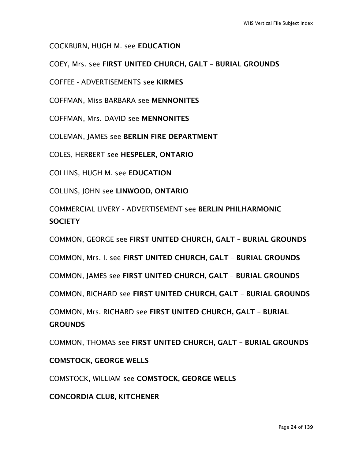COCKBURN, HUGH M. see EDUCATION

COEY, Mrs. see FIRST UNITED CHURCH, GALT – BURIAL GROUNDS

COFFEE - ADVERTISEMENTS see KIRMES

COFFMAN, Miss BARBARA see MENNONITES

COFFMAN, Mrs. DAVID see MENNONITES

COLEMAN, JAMES see BERLIN FIRE DEPARTMENT

COLES, HERBERT see HESPELER, ONTARIO

COLLINS, HUGH M. see EDUCATION

COLLINS, JOHN see LINWOOD, ONTARIO

COMMERCIAL LIVERY - ADVERTISEMENT see BERLIN PHILHARMONIC **SOCIETY** 

COMMON, GEORGE see FIRST UNITED CHURCH, GALT – BURIAL GROUNDS

COMMON, Mrs. I. see FIRST UNITED CHURCH, GALT – BURIAL GROUNDS

COMMON, JAMES see FIRST UNITED CHURCH, GALT – BURIAL GROUNDS

COMMON, RICHARD see FIRST UNITED CHURCH, GALT – BURIAL GROUNDS

COMMON, Mrs. RICHARD see FIRST UNITED CHURCH, GALT – BURIAL **GROUNDS** 

COMMON, THOMAS see FIRST UNITED CHURCH, GALT – BURIAL GROUNDS

#### COMSTOCK, GEORGE WELLS

COMSTOCK, WILLIAM see COMSTOCK, GEORGE WELLS

CONCORDIA CLUB, KITCHENER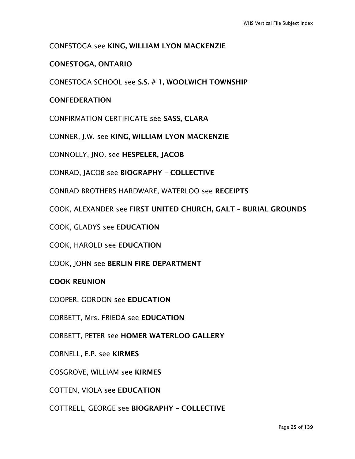#### CONESTOGA see KING, WILLIAM LYON MACKENZIE

#### CONESTOGA, ONTARIO

CONESTOGA SCHOOL see S.S. # 1, WOOLWICH TOWNSHIP

#### **CONFEDERATION**

CONFIRMATION CERTIFICATE see SASS, CLARA

CONNER, J.W. see KING, WILLIAM LYON MACKENZIE

CONNOLLY, JNO. see HESPELER, JACOB

CONRAD, JACOB see BIOGRAPHY – COLLECTIVE

CONRAD BROTHERS HARDWARE, WATERLOO see RECEIPTS

COOK, ALEXANDER see FIRST UNITED CHURCH, GALT – BURIAL GROUNDS

COOK, GLADYS see EDUCATION

COOK, HAROLD see EDUCATION

COOK, JOHN see BERLIN FIRE DEPARTMENT

#### COOK REUNION

COOPER, GORDON see EDUCATION

CORBETT, Mrs. FRIEDA see EDUCATION

CORBETT, PETER see HOMER WATERLOO GALLERY

CORNELL, E.P. see KIRMES

COSGROVE, WILLIAM see KIRMES

COTTEN, VIOLA see EDUCATION

COTTRELL, GEORGE see BIOGRAPHY – COLLECTIVE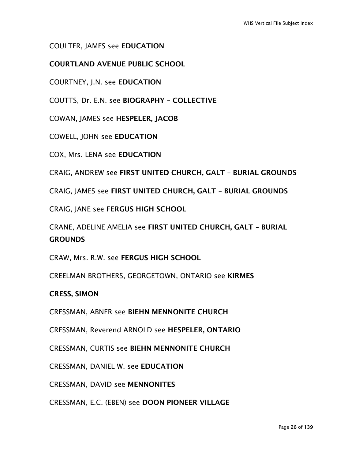#### COULTER, JAMES see EDUCATION

#### COURTLAND AVENUE PUBLIC SCHOOL

COURTNEY, J.N. see EDUCATION

COUTTS, Dr. E.N. see BIOGRAPHY – COLLECTIVE

COWAN, JAMES see HESPELER, JACOB

COWELL, JOHN see EDUCATION

COX, Mrs. LENA see EDUCATION

CRAIG, ANDREW see FIRST UNITED CHURCH, GALT – BURIAL GROUNDS

CRAIG, JAMES see FIRST UNITED CHURCH, GALT – BURIAL GROUNDS

CRAIG, JANE see FERGUS HIGH SCHOOL

CRANE, ADELINE AMELIA see FIRST UNITED CHURCH, GALT – BURIAL **GROUNDS** 

CRAW, Mrs. R.W. see FERGUS HIGH SCHOOL

CREELMAN BROTHERS, GEORGETOWN, ONTARIO see KIRMES

CRESS, SIMON

CRESSMAN, ABNER see BIEHN MENNONITE CHURCH

CRESSMAN, Reverend ARNOLD see HESPELER, ONTARIO

CRESSMAN, CURTIS see BIEHN MENNONITE CHURCH

CRESSMAN, DANIEL W. see EDUCATION

CRESSMAN, DAVID see MENNONITES

CRESSMAN, E.C. (EBEN) see DOON PIONEER VILLAGE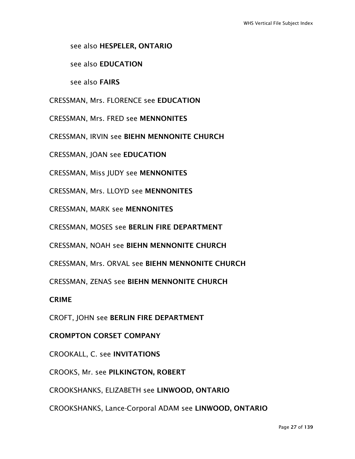see also HESPELER, ONTARIO

see also EDUCATION

see also FAIRS

CRESSMAN, Mrs. FLORENCE see EDUCATION

CRESSMAN, Mrs. FRED see MENNONITES

CRESSMAN, IRVIN see BIEHN MENNONITE CHURCH

CRESSMAN, JOAN see EDUCATION

CRESSMAN, Miss JUDY see MENNONITES

CRESSMAN, Mrs. LLOYD see MENNONITES

CRESSMAN, MARK see MENNONITES

CRESSMAN, MOSES see BERLIN FIRE DEPARTMENT

CRESSMAN, NOAH see BIEHN MENNONITE CHURCH

CRESSMAN, Mrs. ORVAL see BIEHN MENNONITE CHURCH

CRESSMAN, ZENAS see BIEHN MENNONITE CHURCH

CRIME

CROFT, JOHN see BERLIN FIRE DEPARTMENT

CROMPTON CORSET COMPANY

CROOKALL, C. see INVITATIONS

CROOKS, Mr. see PILKINGTON, ROBERT

CROOKSHANKS, ELIZABETH see LINWOOD, ONTARIO

CROOKSHANKS, Lance-Corporal ADAM see LINWOOD, ONTARIO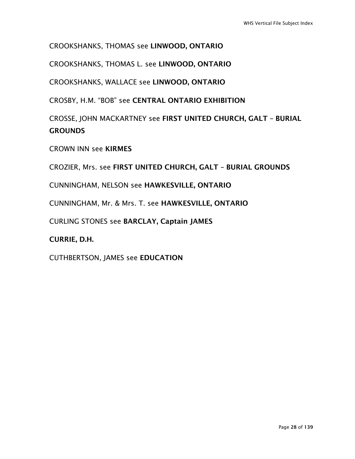CROOKSHANKS, THOMAS see LINWOOD, ONTARIO

CROOKSHANKS, THOMAS L. see LINWOOD, ONTARIO

CROOKSHANKS, WALLACE see LINWOOD, ONTARIO

CROSBY, H.M. "BOB" see CENTRAL ONTARIO EXHIBITION

CROSSE, JOHN MACKARTNEY see FIRST UNITED CHURCH, GALT – BURIAL **GROUNDS** 

CROWN INN see KIRMES

CROZIER, Mrs. see FIRST UNITED CHURCH, GALT – BURIAL GROUNDS

CUNNINGHAM, NELSON see HAWKESVILLE, ONTARIO

CUNNINGHAM, Mr. & Mrs. T. see HAWKESVILLE, ONTARIO

CURLING STONES see BARCLAY, Captain JAMES

CURRIE, D.H.

CUTHBERTSON, JAMES see EDUCATION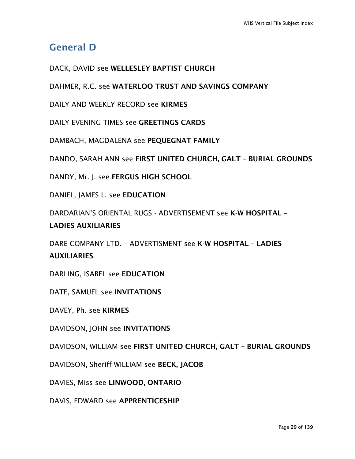## General D

DACK, DAVID see WELLESLEY BAPTIST CHURCH

DAHMER, R.C. see WATERLOO TRUST AND SAVINGS COMPANY

DAILY AND WEEKLY RECORD see KIRMES

DAILY EVENING TIMES see GREETINGS CARDS

DAMBACH, MAGDALENA see PEQUEGNAT FAMILY

DANDO, SARAH ANN see FIRST UNITED CHURCH, GALT – BURIAL GROUNDS

DANDY, Mr. J. see FERGUS HIGH SCHOOL

DANIEL, JAMES L. see EDUCATION

DARDARIAN'S ORIENTAL RUGS - ADVERTISEMENT see K-W HOSPITAL – LADIES AUXILIARIES

DARE COMPANY LTD. – ADVERTISMENT see K-W HOSPITAL – LADIES AUXILIARIES

DARLING, ISABEL see EDUCATION

DATE, SAMUEL see INVITATIONS

DAVEY, Ph. see KIRMES

DAVIDSON, JOHN see INVITATIONS

DAVIDSON, WILLIAM see FIRST UNITED CHURCH, GALT – BURIAL GROUNDS

DAVIDSON, Sheriff WILLIAM see BECK, JACOB

DAVIES, Miss see LINWOOD, ONTARIO

DAVIS, EDWARD see APPRENTICESHIP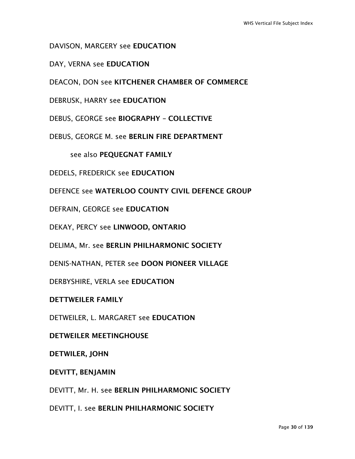DAVISON, MARGERY see EDUCATION

DAY, VERNA see EDUCATION

DEACON, DON see KITCHENER CHAMBER OF COMMERCE

DEBRUSK, HARRY see EDUCATION

DEBUS, GEORGE see BIOGRAPHY – COLLECTIVE

DEBUS, GEORGE M. see BERLIN FIRE DEPARTMENT

see also PEQUEGNAT FAMILY

DEDELS, FREDERICK see EDUCATION

DEFENCE see WATERLOO COUNTY CIVIL DEFENCE GROUP

DEFRAIN, GEORGE see EDUCATION

DEKAY, PERCY see LINWOOD, ONTARIO

DELIMA, Mr. see BERLIN PHILHARMONIC SOCIETY

DENIS-NATHAN, PETER see DOON PIONEER VILLAGE

DERBYSHIRE, VERLA see EDUCATION

DETTWEILER FAMILY

DETWEILER, L. MARGARET see EDUCATION

DETWEILER MEETINGHOUSE

DETWILER, JOHN

DEVITT, BENJAMIN

DEVITT, Mr. H. see BERLIN PHILHARMONIC SOCIETY

DEVITT, I. see BERLIN PHILHARMONIC SOCIETY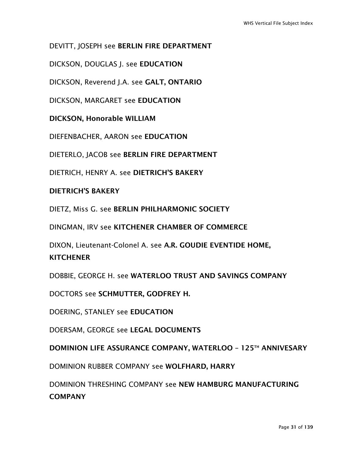DEVITT, JOSEPH see BERLIN FIRE DEPARTMENT

DICKSON, DOUGLAS J. see EDUCATION

DICKSON, Reverend J.A. see GALT, ONTARIO

DICKSON, MARGARET see EDUCATION

DICKSON, Honorable WILLIAM

DIEFENBACHER, AARON see EDUCATION

DIETERLO, JACOB see BERLIN FIRE DEPARTMENT

DIETRICH, HENRY A. see DIETRICH'S BAKERY

#### DIETRICH'S BAKERY

DIETZ, Miss G. see BERLIN PHILHARMONIC SOCIETY

DINGMAN, IRV see KITCHENER CHAMBER OF COMMERCE

DIXON, Lieutenant-Colonel A. see A.R. GOUDIE EVENTIDE HOME,

#### **KITCHENER**

DOBBIE, GEORGE H. see WATERLOO TRUST AND SAVINGS COMPANY

DOCTORS see SCHMUTTER, GODFREY H.

DOERING, STANLEY see EDUCATION

DOERSAM, GEORGE see LEGAL DOCUMENTS

DOMINION LIFE ASSURANCE COMPANY, WATERLOO – 125TH ANNIVESARY

DOMINION RUBBER COMPANY see WOLFHARD, HARRY

DOMINION THRESHING COMPANY see NEW HAMBURG MANUFACTURING **COMPANY**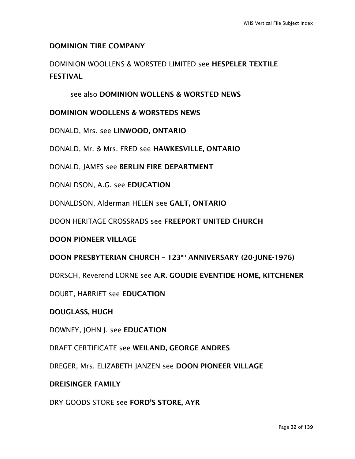#### DOMINION TIRE COMPANY

DOMINION WOOLLENS & WORSTED LIMITED see HESPELER TEXTILE FESTIVAL

#### see also DOMINION WOLLENS & WORSTED NEWS

#### DOMINION WOOLLENS & WORSTEDS NEWS

DONALD, Mrs. see LINWOOD, ONTARIO

DONALD, Mr. & Mrs. FRED see HAWKESVILLE, ONTARIO

DONALD, JAMES see BERLIN FIRE DEPARTMENT

DONALDSON, A.G. see EDUCATION

DONALDSON, Alderman HELEN see GALT, ONTARIO

DOON HERITAGE CROSSRADS see FREEPORT UNITED CHURCH

#### DOON PIONEER VILLAGE

DOON PRESBYTERIAN CHURCH - 123RD ANNIVERSARY (20-JUNE-1976)

DORSCH, Reverend LORNE see A.R. GOUDIE EVENTIDE HOME, KITCHENER

DOUBT, HARRIET see EDUCATION

DOUGLASS, HUGH

DOWNEY, JOHN J. see EDUCATION

DRAFT CERTIFICATE see WEILAND, GEORGE ANDRES

DREGER, Mrs. ELIZABETH JANZEN see DOON PIONEER VILLAGE

#### DREISINGER FAMILY

DRY GOODS STORE see FORD'S STORE, AYR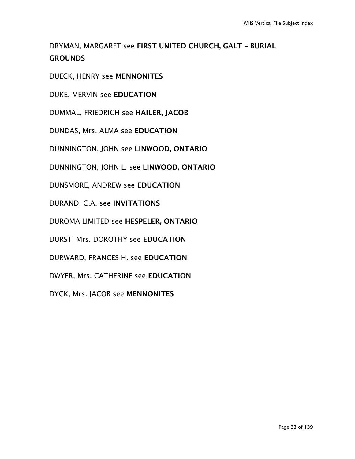### DRYMAN, MARGARET see FIRST UNITED CHURCH, GALT – BURIAL **GROUNDS**

DUECK, HENRY see MENNONITES

DUKE, MERVIN see EDUCATION

DUMMAL, FRIEDRICH see HAILER, JACOB

DUNDAS, Mrs. ALMA see EDUCATION

DUNNINGTON, JOHN see LINWOOD, ONTARIO

DUNNINGTON, JOHN L. see LINWOOD, ONTARIO

DUNSMORE, ANDREW see EDUCATION

DURAND, C.A. see INVITATIONS

DUROMA LIMITED see HESPELER, ONTARIO

DURST, Mrs. DOROTHY see EDUCATION

DURWARD, FRANCES H. see EDUCATION

DWYER, Mrs. CATHERINE see EDUCATION

DYCK, Mrs. JACOB see MENNONITES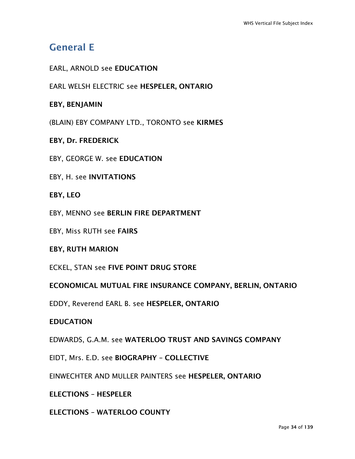## General E

#### EARL, ARNOLD see EDUCATION

EARL WELSH ELECTRIC see HESPELER, ONTARIO

#### EBY, BENJAMIN

(BLAIN) EBY COMPANY LTD., TORONTO see KIRMES

#### EBY, Dr. FREDERICK

EBY, GEORGE W. see EDUCATION

#### EBY, H. see INVITATIONS

#### EBY, LEO

EBY, MENNO see BERLIN FIRE DEPARTMENT

#### EBY, Miss RUTH see FAIRS

#### EBY, RUTH MARION

ECKEL, STAN see FIVE POINT DRUG STORE

#### ECONOMICAL MUTUAL FIRE INSURANCE COMPANY, BERLIN, ONTARIO

EDDY, Reverend EARL B. see HESPELER, ONTARIO

#### EDUCATION

EDWARDS, G.A.M. see WATERLOO TRUST AND SAVINGS COMPANY

EIDT, Mrs. E.D. see BIOGRAPHY – COLLECTIVE

EINWECHTER AND MULLER PAINTERS see HESPELER, ONTARIO

ELECTIONS – HESPELER

#### ELECTIONS – WATERLOO COUNTY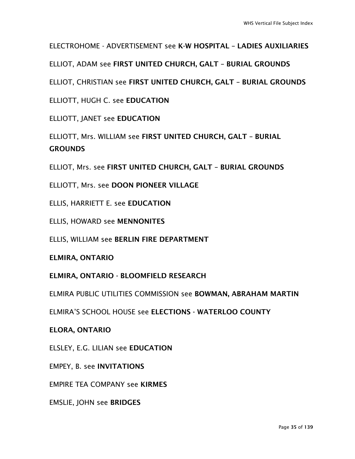ELECTROHOME - ADVERTISEMENT see K-W HOSPITAL – LADIES AUXILIARIES

ELLIOT, ADAM see FIRST UNITED CHURCH, GALT – BURIAL GROUNDS

ELLIOT, CHRISTIAN see FIRST UNITED CHURCH, GALT – BURIAL GROUNDS

ELLIOTT, HUGH C. see EDUCATION

ELLIOTT, JANET see EDUCATION

ELLIOTT, Mrs. WILLIAM see FIRST UNITED CHURCH, GALT – BURIAL **GROUNDS** 

ELLIOT, Mrs. see FIRST UNITED CHURCH, GALT – BURIAL GROUNDS

ELLIOTT, Mrs. see DOON PIONEER VILLAGE

ELLIS, HARRIETT E. see EDUCATION

ELLIS, HOWARD see MENNONITES

ELLIS, WILLIAM see BERLIN FIRE DEPARTMENT

ELMIRA, ONTARIO

ELMIRA, ONTARIO - BLOOMFIELD RESEARCH

ELMIRA PUBLIC UTILITIES COMMISSION see BOWMAN, ABRAHAM MARTIN

ELMIRA'S SCHOOL HOUSE see ELECTIONS - WATERLOO COUNTY

ELORA, ONTARIO

ELSLEY, E.G. LILIAN see EDUCATION

EMPEY, B. see INVITATIONS

EMPIRE TEA COMPANY see KIRMES

EMSLIE, JOHN see BRIDGES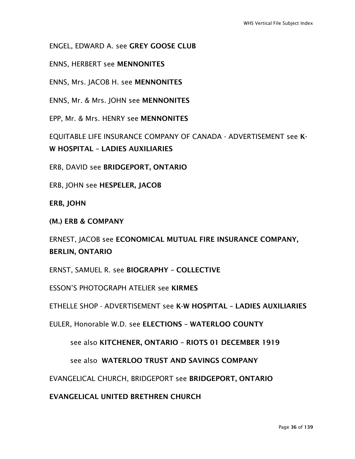ENGEL, EDWARD A. see GREY GOOSE CLUB

ENNS, HERBERT see MENNONITES

ENNS, Mrs. JACOB H. see MENNONITES

ENNS, Mr. & Mrs. JOHN see MENNONITES

EPP, Mr. & Mrs. HENRY see MENNONITES

EQUITABLE LIFE INSURANCE COMPANY OF CANADA - ADVERTISEMENT see K-W HOSPITAL – LADIES AUXILIARIES

ERB, DAVID see BRIDGEPORT, ONTARIO

ERB, JOHN see HESPELER, JACOB

ERB, JOHN

(M.) ERB & COMPANY

ERNEST, JACOB see ECONOMICAL MUTUAL FIRE INSURANCE COMPANY, BERLIN, ONTARIO

ERNST, SAMUEL R. see BIOGRAPHY – COLLECTIVE

ESSON'S PHOTOGRAPH ATELIER see KIRMES

ETHELLE SHOP - ADVERTISEMENT see K-W HOSPITAL – LADIES AUXILIARIES

EULER, Honorable W.D. see ELECTIONS – WATERLOO COUNTY

see also KITCHENER, ONTARIO – RIOTS 01 DECEMBER 1919

see also WATERLOO TRUST AND SAVINGS COMPANY

EVANGELICAL CHURCH, BRIDGEPORT see BRIDGEPORT, ONTARIO

EVANGELICAL UNITED BRETHREN CHURCH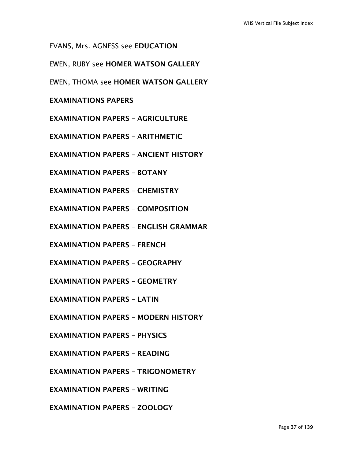EVANS, Mrs. AGNESS see EDUCATION

EWEN, RUBY see HOMER WATSON GALLERY

EWEN, THOMA see HOMER WATSON GALLERY

#### EXAMINATIONS PAPERS

EXAMINATION PAPERS – AGRICULTURE

EXAMINATION PAPERS – ARITHMETIC

EXAMINATION PAPERS – ANCIENT HISTORY

EXAMINATION PAPERS – BOTANY

EXAMINATION PAPERS – CHEMISTRY

EXAMINATION PAPERS – COMPOSITION

EXAMINATION PAPERS – ENGLISH GRAMMAR

EXAMINATION PAPERS – FRENCH

EXAMINATION PAPERS – GEOGRAPHY

EXAMINATION PAPERS – GEOMETRY

EXAMINATION PAPERS – LATIN

EXAMINATION PAPERS – MODERN HISTORY

EXAMINATION PAPERS – PHYSICS

EXAMINATION PAPERS – READING

EXAMINATION PAPERS – TRIGONOMETRY

EXAMINATION PAPERS – WRITING

EXAMINATION PAPERS – ZOOLOGY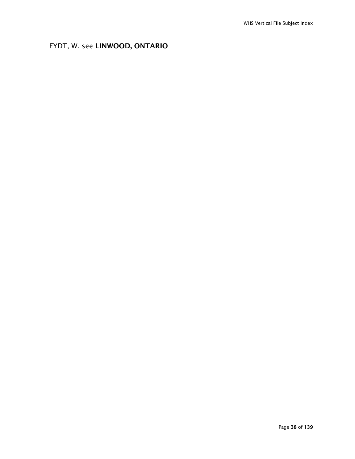## EYDT, W. see LINWOOD, ONTARIO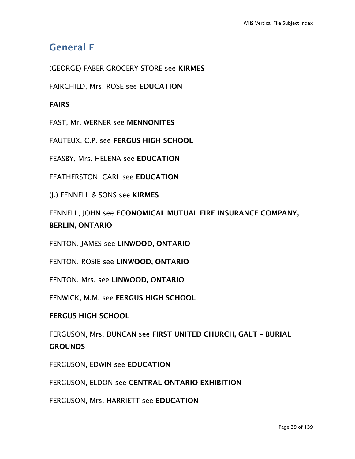# General F

(GEORGE) FABER GROCERY STORE see KIRMES

FAIRCHILD, Mrs. ROSE see EDUCATION

## FAIRS

FAST, Mr. WERNER see MENNONITES

FAUTEUX, C.P. see FERGUS HIGH SCHOOL

FEASBY, Mrs. HELENA see EDUCATION

FEATHERSTON, CARL see EDUCATION

(J.) FENNELL & SONS see KIRMES

FENNELL, JOHN see ECONOMICAL MUTUAL FIRE INSURANCE COMPANY, BERLIN, ONTARIO

FENTON, JAMES see LINWOOD, ONTARIO

FENTON, ROSIE see LINWOOD, ONTARIO

FENTON, Mrs. see LINWOOD, ONTARIO

FENWICK, M.M. see FERGUS HIGH SCHOOL

#### FERGUS HIGH SCHOOL

FERGUSON, Mrs. DUNCAN see FIRST UNITED CHURCH, GALT – BURIAL **GROUNDS** 

FERGUSON, EDWIN see EDUCATION

FERGUSON, ELDON see CENTRAL ONTARIO EXHIBITION

FERGUSON, Mrs. HARRIETT see EDUCATION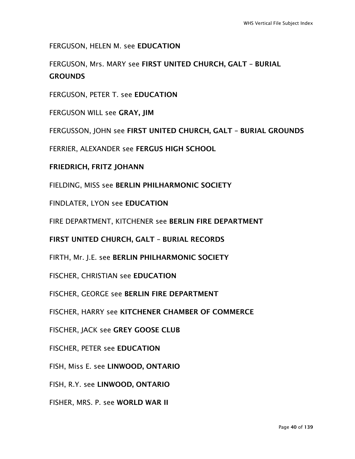FERGUSON, HELEN M. see EDUCATION

FERGUSON, Mrs. MARY see FIRST UNITED CHURCH, GALT – BURIAL **GROUNDS** 

FERGUSON, PETER T. see EDUCATION

FERGUSON WILL see GRAY, JIM

FERGUSSON, JOHN see FIRST UNITED CHURCH, GALT – BURIAL GROUNDS

FERRIER, ALEXANDER see FERGUS HIGH SCHOOL

FRIEDRICH, FRITZ JOHANN

FIELDING, MISS see BERLIN PHILHARMONIC SOCIETY

FINDLATER, LYON see EDUCATION

FIRE DEPARTMENT, KITCHENER see BERLIN FIRE DEPARTMENT

FIRST UNITED CHURCH, GALT – BURIAL RECORDS

FIRTH, Mr. J.E. see BERLIN PHILHARMONIC SOCIETY

FISCHER, CHRISTIAN see EDUCATION

FISCHER, GEORGE see BERLIN FIRE DEPARTMENT

FISCHER, HARRY see KITCHENER CHAMBER OF COMMERCE

FISCHER, JACK see GREY GOOSE CLUB

FISCHER, PETER see EDUCATION

FISH, Miss E. see LINWOOD, ONTARIO

FISH, R.Y. see LINWOOD, ONTARIO

FISHER, MRS. P. see WORLD WAR II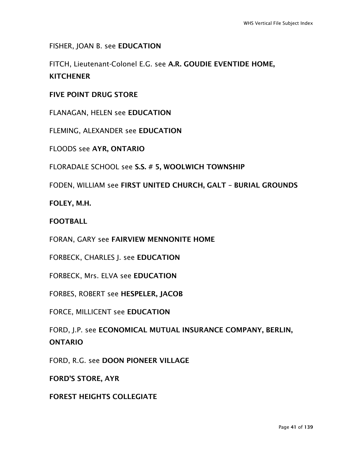FISHER, JOAN B. see EDUCATION

FITCH, Lieutenant-Colonel E.G. see A.R. GOUDIE EVENTIDE HOME, **KITCHENER** 

FIVE POINT DRUG STORE

FLANAGAN, HELEN see EDUCATION

FLEMING, ALEXANDER see EDUCATION

FLOODS see AYR, ONTARIO

FLORADALE SCHOOL see S.S. # 5, WOOLWICH TOWNSHIP

FODEN, WILLIAM see FIRST UNITED CHURCH, GALT – BURIAL GROUNDS

FOLEY, M.H.

FOOTBALL

FORAN, GARY see FAIRVIEW MENNONITE HOME

FORBECK, CHARLES J. see EDUCATION

FORBECK, Mrs. ELVA see EDUCATION

FORBES, ROBERT see HESPELER, JACOB

FORCE, MILLICENT see EDUCATION

FORD, J.P. see ECONOMICAL MUTUAL INSURANCE COMPANY, BERLIN, ONTARIO

FORD, R.G. see DOON PIONEER VILLAGE

FORD'S STORE, AYR

FOREST HEIGHTS COLLEGIATE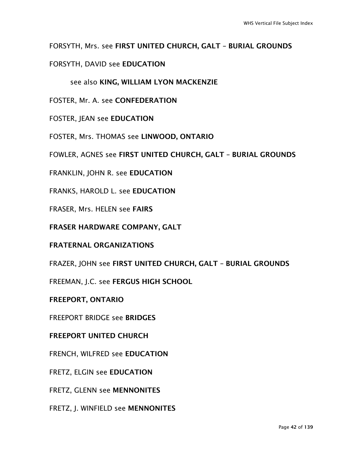### FORSYTH, Mrs. see FIRST UNITED CHURCH, GALT – BURIAL GROUNDS

### FORSYTH, DAVID see EDUCATION

see also KING, WILLIAM LYON MACKENZIE

FOSTER, Mr. A. see CONFEDERATION

FOSTER, JEAN see EDUCATION

FOSTER, Mrs. THOMAS see LINWOOD, ONTARIO

FOWLER, AGNES see FIRST UNITED CHURCH, GALT – BURIAL GROUNDS

FRANKLIN, JOHN R. see EDUCATION

FRANKS, HAROLD L. see EDUCATION

FRASER, Mrs. HELEN see FAIRS

FRASER HARDWARE COMPANY, GALT

FRATERNAL ORGANIZATIONS

FRAZER, JOHN see FIRST UNITED CHURCH, GALT – BURIAL GROUNDS

FREEMAN, J.C. see FERGUS HIGH SCHOOL

FREEPORT, ONTARIO

FREEPORT BRIDGE see BRIDGES

FREEPORT UNITED CHURCH

FRENCH, WILFRED see EDUCATION

FRETZ, ELGIN see EDUCATION

FRETZ, GLENN see MENNONITES

FRETZ, J. WINFIELD see MENNONITES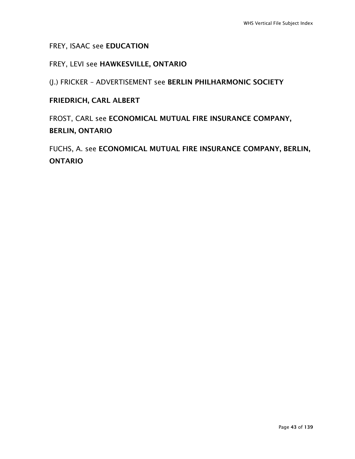### FREY, ISAAC see EDUCATION

### FREY, LEVI see HAWKESVILLE, ONTARIO

(J.) FRICKER – ADVERTISEMENT see BERLIN PHILHARMONIC SOCIETY

## FRIEDRICH, CARL ALBERT

FROST, CARL see ECONOMICAL MUTUAL FIRE INSURANCE COMPANY, BERLIN, ONTARIO

FUCHS, A. see ECONOMICAL MUTUAL FIRE INSURANCE COMPANY, BERLIN, ONTARIO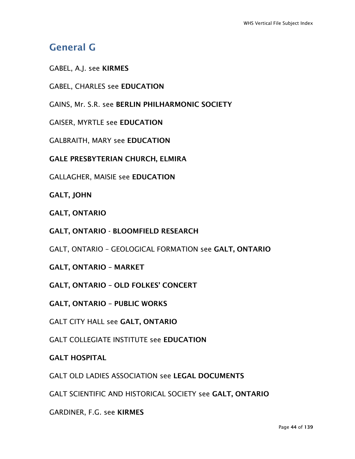# General G

GABEL, A.J. see KIRMES

GABEL, CHARLES see EDUCATION

GAINS, Mr. S.R. see BERLIN PHILHARMONIC SOCIETY

GAISER, MYRTLE see EDUCATION

GALBRAITH, MARY see EDUCATION

GALE PRESBYTERIAN CHURCH, ELMIRA

GALLAGHER, MAISIE see EDUCATION

GALT, JOHN

GALT, ONTARIO

GALT, ONTARIO - BLOOMFIELD RESEARCH

GALT, ONTARIO – GEOLOGICAL FORMATION see GALT, ONTARIO

GALT, ONTARIO – MARKET

GALT, ONTARIO – OLD FOLKES' CONCERT

GALT, ONTARIO – PUBLIC WORKS

GALT CITY HALL see GALT, ONTARIO

GALT COLLEGIATE INSTITUTE see EDUCATION

#### GALT HOSPITAL

GALT OLD LADIES ASSOCIATION see LEGAL DOCUMENTS

GALT SCIENTIFIC AND HISTORICAL SOCIETY see GALT, ONTARIO

GARDINER, F.G. see KIRMES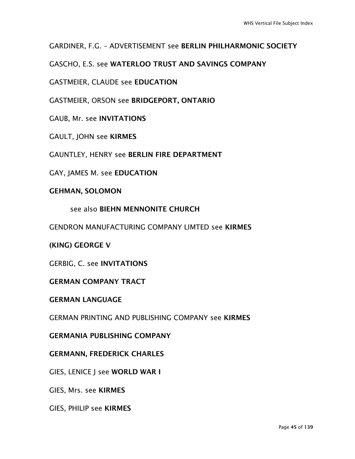GARDINER, F.G. – ADVERTISEMENT see BERLIN PHILHARMONIC SOCIETY

GASCHO, E.S. see WATERLOO TRUST AND SAVINGS COMPANY

GASTMEIER, CLAUDE see EDUCATION

GASTMEIER, ORSON see BRIDGEPORT, ONTARIO

GAUB, Mr. see INVITATIONS

GAULT, JOHN see KIRMES

GAUNTLEY, HENRY see BERLIN FIRE DEPARTMENT

GAY, JAMES M. see EDUCATION

#### GEHMAN, SOLOMON

see also BIEHN MENNONITE CHURCH

GENDRON MANUFACTURING COMPANY LIMTED see KIRMES

(KING) GEORGE V

GERBIG, C. see INVITATIONS

GERMAN COMPANY TRACT

GERMAN LANGUAGE

GERMAN PRINTING AND PUBLISHING COMPANY see KIRMES

GERMANIA PUBLISHING COMPANY

#### GERMANN, FREDERICK CHARLES

GIES, LENICE J see WORLD WAR I

GIES, Mrs. see KIRMES

GIES, PHILIP see KIRMES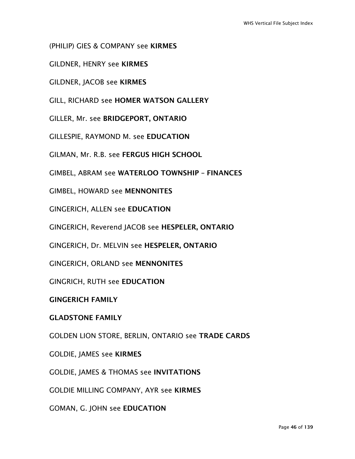(PHILIP) GIES & COMPANY see KIRMES

GILDNER, HENRY see KIRMES

GILDNER, JACOB see KIRMES

GILL, RICHARD see HOMER WATSON GALLERY

GILLER, Mr. see BRIDGEPORT, ONTARIO

GILLESPIE, RAYMOND M. see EDUCATION

GILMAN, Mr. R.B. see FERGUS HIGH SCHOOL

GIMBEL, ABRAM see WATERLOO TOWNSHIP – FINANCES

GIMBEL, HOWARD see MENNONITES

GINGERICH, ALLEN see EDUCATION

GINGERICH, Reverend JACOB see HESPELER, ONTARIO

GINGERICH, Dr. MELVIN see HESPELER, ONTARIO

GINGERICH, ORLAND see MENNONITES

GINGRICH, RUTH see EDUCATION

GINGERICH FAMILY

#### GLADSTONE FAMILY

GOLDEN LION STORE, BERLIN, ONTARIO see TRADE CARDS

GOLDIE, JAMES see KIRMES

GOLDIE, JAMES & THOMAS see INVITATIONS

GOLDIE MILLING COMPANY, AYR see KIRMES

GOMAN, G. JOHN see EDUCATION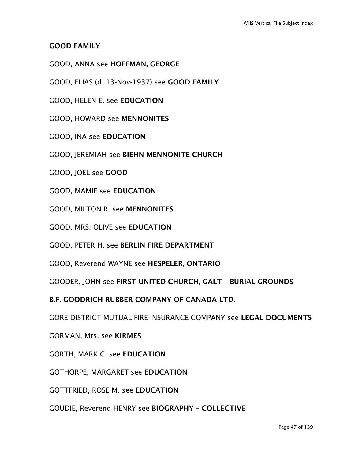### GOOD FAMILY

- GOOD, ANNA see HOFFMAN, GEORGE
- GOOD, ELIAS (d. 13-Nov-1937) see GOOD FAMILY
- GOOD, HELEN E. see EDUCATION
- GOOD, HOWARD see MENNONITES
- GOOD, INA see EDUCATION
- GOOD, JEREMIAH see BIEHN MENNONITE CHURCH
- GOOD, JOEL see GOOD
- GOOD, MAMIE see EDUCATION
- GOOD, MILTON R. see MENNONITES
- GOOD, MRS. OLIVE see EDUCATION
- GOOD, PETER H. see BERLIN FIRE DEPARTMENT
- GOOD, Reverend WAYNE see HESPELER, ONTARIO
- GOODER, JOHN see FIRST UNITED CHURCH, GALT BURIAL GROUNDS
- B.F. GOODRICH RUBBER COMPANY OF CANADA LTD.
- GORE DISTRICT MUTUAL FIRE INSURANCE COMPANY see LEGAL DOCUMENTS
- GORMAN, Mrs. see KIRMES
- GORTH, MARK C. see EDUCATION
- GOTHORPE, MARGARET see EDUCATION
- GOTTFRIED, ROSE M. see EDUCATION
- GOUDIE, Reverend HENRY see BIOGRAPHY COLLECTIVE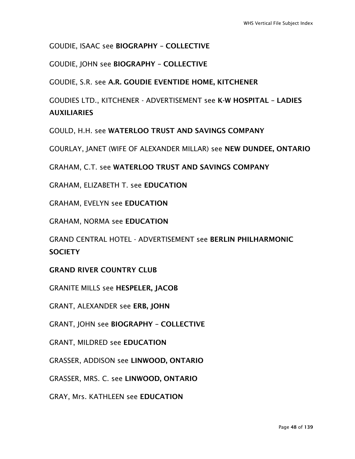### GOUDIE, ISAAC see BIOGRAPHY – COLLECTIVE

GOUDIE, JOHN see BIOGRAPHY – COLLECTIVE

GOUDIE, S.R. see A.R. GOUDIE EVENTIDE HOME, KITCHENER

GOUDIES LTD., KITCHENER - ADVERTISEMENT see K-W HOSPITAL – LADIES **AUXILIARIES** 

GOULD, H.H. see WATERLOO TRUST AND SAVINGS COMPANY

GOURLAY, JANET (WIFE OF ALEXANDER MILLAR) see NEW DUNDEE, ONTARIO

GRAHAM, C.T. see WATERLOO TRUST AND SAVINGS COMPANY

GRAHAM, ELIZABETH T. see EDUCATION

GRAHAM, EVELYN see EDUCATION

GRAHAM, NORMA see EDUCATION

GRAND CENTRAL HOTEL - ADVERTISEMENT see BERLIN PHILHARMONIC **SOCIETY** 

GRAND RIVER COUNTRY CLUB

GRANITE MILLS see HESPELER, JACOB

GRANT, ALEXANDER see ERB, JOHN

GRANT, JOHN see BIOGRAPHY – COLLECTIVE

GRANT, MILDRED see EDUCATION

GRASSER, ADDISON see LINWOOD, ONTARIO

GRASSER, MRS. C. see LINWOOD, ONTARIO

GRAY, Mrs. KATHLEEN see EDUCATION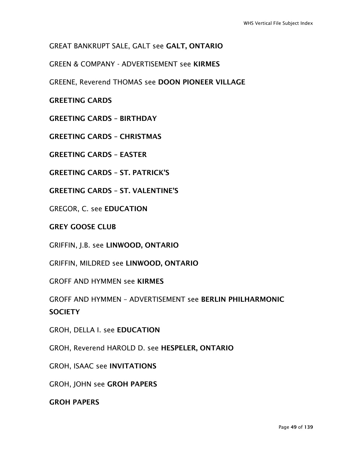## GREAT BANKRUPT SALE, GALT see GALT, ONTARIO

GREEN & COMPANY - ADVERTISEMENT see KIRMES

GREENE, Reverend THOMAS see DOON PIONEER VILLAGE

GREETING CARDS

GREETING CARDS – BIRTHDAY

GREETING CARDS – CHRISTMAS

GREETING CARDS – EASTER

GREETING CARDS – ST. PATRICK'S

GREETING CARDS – ST. VALENTINE'S

GREGOR, C. see EDUCATION

GREY GOOSE CLUB

GRIFFIN, J.B. see LINWOOD, ONTARIO

GRIFFIN, MILDRED see LINWOOD, ONTARIO

GROFF AND HYMMEN see KIRMES

GROFF AND HYMMEN – ADVERTISEMENT see BERLIN PHILHARMONIC **SOCIETY** 

GROH, DELLA I. see EDUCATION

GROH, Reverend HAROLD D. see HESPELER, ONTARIO

GROH, ISAAC see INVITATIONS

GROH, JOHN see GROH PAPERS

GROH PAPERS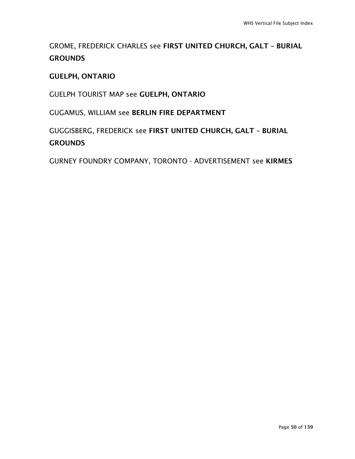## GROME, FREDERICK CHARLES see FIRST UNITED CHURCH, GALT – BURIAL **GROUNDS**

### GUELPH, ONTARIO

GUELPH TOURIST MAP see GUELPH, ONTARIO

GUGAMUS, WILLIAM see BERLIN FIRE DEPARTMENT

GUGGISBERG, FREDERICK see FIRST UNITED CHURCH, GALT – BURIAL **GROUNDS** 

GURNEY FOUNDRY COMPANY, TORONTO - ADVERTISEMENT see KIRMES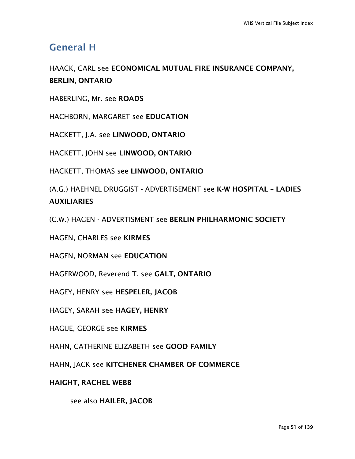## General H

## HAACK, CARL see ECONOMICAL MUTUAL FIRE INSURANCE COMPANY, BERLIN, ONTARIO

HABERLING, Mr. see ROADS

HACHBORN, MARGARET see EDUCATION

HACKETT, J.A. see LINWOOD, ONTARIO

HACKETT, JOHN see LINWOOD, ONTARIO

HACKETT, THOMAS see LINWOOD, ONTARIO

(A.G.) HAEHNEL DRUGGIST - ADVERTISEMENT see K-W HOSPITAL – LADIES **AUXILIARIES** 

(C.W.) HAGEN - ADVERTISMENT see BERLIN PHILHARMONIC SOCIETY

HAGEN, CHARLES see KIRMES

HAGEN, NORMAN see EDUCATION

HAGERWOOD, Reverend T. see GALT, ONTARIO

HAGEY, HENRY see HESPELER, JACOB

HAGEY, SARAH see HAGEY, HENRY

HAGUE, GEORGE see KIRMES

HAHN, CATHERINE ELIZABETH see GOOD FAMILY

HAHN, JACK see KITCHENER CHAMBER OF COMMERCE

HAIGHT, RACHEL WEBB

see also HAILER, JACOB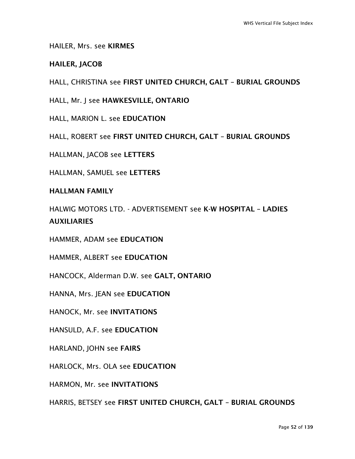HAILER, Mrs. see KIRMES

#### HAILER, JACOB

HALL, CHRISTINA see FIRST UNITED CHURCH, GALT – BURIAL GROUNDS

HALL, Mr. J see HAWKESVILLE, ONTARIO

HALL, MARION L. see EDUCATION

HALL, ROBERT see FIRST UNITED CHURCH, GALT – BURIAL GROUNDS

HALLMAN, JACOB see LETTERS

HALLMAN, SAMUEL see LETTERS

HALLMAN FAMILY

HALWIG MOTORS LTD. - ADVERTISEMENT see K-W HOSPITAL – LADIES **AUXILIARIES** 

HAMMER, ADAM see EDUCATION

HAMMER, ALBERT see EDUCATION

HANCOCK, Alderman D.W. see GALT, ONTARIO

HANNA, Mrs. JEAN see EDUCATION

HANOCK, Mr. see INVITATIONS

HANSULD, A.F. see EDUCATION

HARLAND, JOHN see FAIRS

HARLOCK, Mrs. OLA see EDUCATION

HARMON, Mr. see INVITATIONS

HARRIS, BETSEY see FIRST UNITED CHURCH, GALT – BURIAL GROUNDS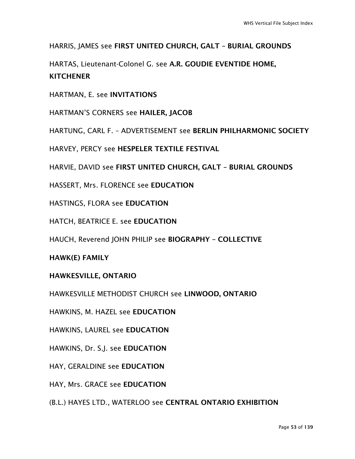HARRIS, JAMES see FIRST UNITED CHURCH, GALT – BURIAL GROUNDS

HARTAS, Lieutenant-Colonel G. see A.R. GOUDIE EVENTIDE HOME, **KITCHENER** 

HARTMAN, E. see INVITATIONS

HARTMAN'S CORNERS see HAILER, JACOB

HARTUNG, CARL F. – ADVERTISEMENT see BERLIN PHILHARMONIC SOCIETY

HARVEY, PERCY see HESPELER TEXTILE FESTIVAL

HARVIE, DAVID see FIRST UNITED CHURCH, GALT – BURIAL GROUNDS

HASSERT, Mrs. FLORENCE see EDUCATION

HASTINGS, FLORA see EDUCATION

HATCH, BEATRICE E. see EDUCATION

HAUCH, Reverend JOHN PHILIP see BIOGRAPHY – COLLECTIVE

HAWK(E) FAMILY

HAWKESVILLE, ONTARIO

HAWKESVILLE METHODIST CHURCH see LINWOOD, ONTARIO

HAWKINS, M. HAZEL see EDUCATION

HAWKINS, LAUREL see EDUCATION

HAWKINS, Dr. S.J. see EDUCATION

HAY, GERALDINE see EDUCATION

HAY, Mrs. GRACE see EDUCATION

(B.L.) HAYES LTD., WATERLOO see CENTRAL ONTARIO EXHIBITION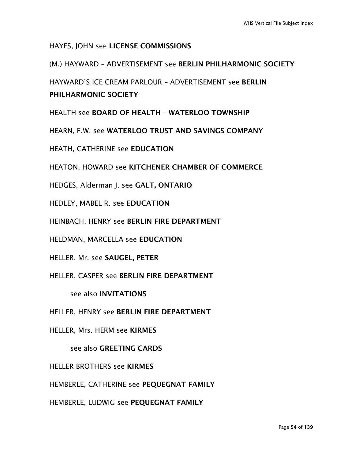### HAYES, JOHN see LICENSE COMMISSIONS

#### (M.) HAYWARD – ADVERTISEMENT see BERLIN PHILHARMONIC SOCIETY

HAYWARD'S ICE CREAM PARLOUR – ADVERTISEMENT see BERLIN PHILHARMONIC SOCIETY

HEALTH see BOARD OF HEALTH – WATERLOO TOWNSHIP

HEARN, F.W. see WATERLOO TRUST AND SAVINGS COMPANY

HEATH, CATHERINE see EDUCATION

HEATON, HOWARD see KITCHENER CHAMBER OF COMMERCE

HEDGES, Alderman J. see GALT, ONTARIO

HEDLEY, MABEL R. see EDUCATION

HEINBACH, HENRY see BERLIN FIRE DEPARTMENT

HELDMAN, MARCELLA see EDUCATION

HELLER, Mr. see SAUGEL, PETER

HELLER, CASPER see BERLIN FIRE DEPARTMENT

see also INVITATIONS

HELLER, HENRY see BERLIN FIRE DEPARTMENT

HELLER, Mrs. HERM see KIRMES

see also GREETING CARDS

HELLER BROTHERS see KIRMES

HEMBERLE, CATHERINE see PEQUEGNAT FAMILY

HEMBERLE, LUDWIG see PEQUEGNAT FAMILY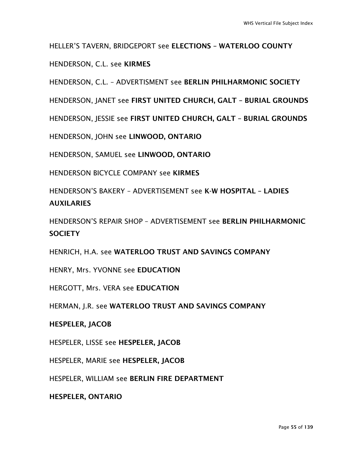HELLER'S TAVERN, BRIDGEPORT see ELECTIONS – WATERLOO COUNTY

HENDERSON, C.L. see KIRMES

HENDERSON, C.L. – ADVERTISMENT see BERLIN PHILHARMONIC SOCIETY

HENDERSON, JANET see FIRST UNITED CHURCH, GALT – BURIAL GROUNDS

HENDERSON, JESSIE see FIRST UNITED CHURCH, GALT – BURIAL GROUNDS

HENDERSON, JOHN see LINWOOD, ONTARIO

HENDERSON, SAMUEL see LINWOOD, ONTARIO

HENDERSON BICYCLE COMPANY see KIRMES

HENDERSON'S BAKERY – ADVERTISEMENT see K-W HOSPITAL – LADIES AUXILARIES

HENDERSON'S REPAIR SHOP – ADVERTISEMENT see BERLIN PHILHARMONIC **SOCIFTY** 

HENRICH, H.A. see WATERLOO TRUST AND SAVINGS COMPANY

HENRY, Mrs. YVONNE see EDUCATION

HERGOTT, Mrs. VERA see EDUCATION

HERMAN, J.R. see WATERLOO TRUST AND SAVINGS COMPANY

#### HESPELER, JACOB

HESPELER, LISSE see HESPELER, JACOB

HESPELER, MARIE see HESPELER, JACOB

HESPELER, WILLIAM see BERLIN FIRE DEPARTMENT

HESPELER, ONTARIO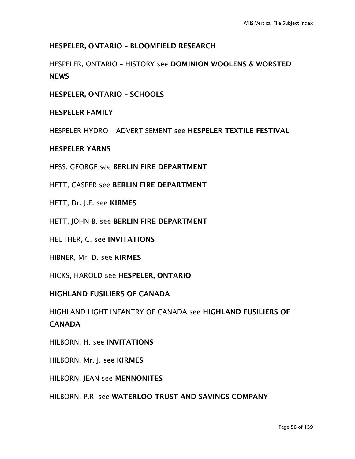### HESPELER, ONTARIO – BLOOMFIELD RESEARCH

HESPELER, ONTARIO – HISTORY see DOMINION WOOLENS & WORSTED **NEWS** 

HESPELER, ONTARIO – SCHOOLS

HESPELER FAMILY

HESPELER HYDRO – ADVERTISEMENT see HESPELER TEXTILE FESTIVAL

HESPELER YARNS

HESS, GEORGE see BERLIN FIRE DEPARTMENT

HETT, CASPER see BERLIN FIRE DEPARTMENT

HETT, Dr. J.E. see KIRMES

HETT, JOHN B. see BERLIN FIRE DEPARTMENT

HEUTHER, C. see INVITATIONS

HIBNER, Mr. D. see KIRMES

HICKS, HAROLD see HESPELER, ONTARIO

HIGHLAND FUSILIERS OF CANADA

HIGHLAND LIGHT INFANTRY OF CANADA see HIGHLAND FUSILIERS OF **CANADA** 

HILBORN, H. see INVITATIONS

HILBORN, Mr. J. see KIRMES

HILBORN, JEAN see MENNONITES

HILBORN, P.R. see WATERLOO TRUST AND SAVINGS COMPANY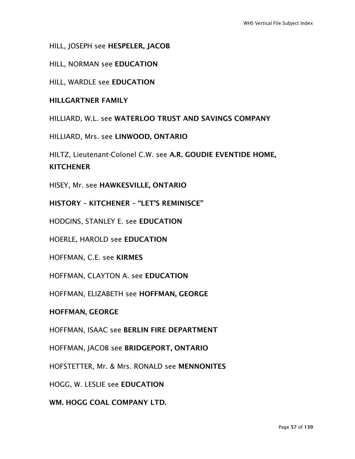HILL, JOSEPH see HESPELER, JACOB

HILL, NORMAN see EDUCATION

HILL, WARDLE see EDUCATION

HILLGARTNER FAMILY

HILLIARD, W.L. see WATERLOO TRUST AND SAVINGS COMPANY

HILLIARD, Mrs. see LINWOOD, ONTARIO

HILTZ, Lieutenant-Colonel C.W. see A.R. GOUDIE EVENTIDE HOME, **KITCHENER** 

HISEY, Mr. see HAWKESVILLE, ONTARIO

HISTORY – KITCHENER – "LET'S REMINISCE"

HODGINS, STANLEY E. see EDUCATION

HOERLE, HAROLD see EDUCATION

HOFFMAN, C.E. see KIRMES

HOFFMAN, CLAYTON A. see EDUCATION

HOFFMAN, ELIZABETH see HOFFMAN, GEORGE

HOFFMAN, GEORGE

HOFFMAN, ISAAC see BERLIN FIRE DEPARTMENT

HOFFMAN, JACOB see BRIDGEPORT, ONTARIO

HOFSTETTER, Mr. & Mrs. RONALD see MENNONITES

HOGG, W. LESLIE see EDUCATION

WM. HOGG COAL COMPANY LTD.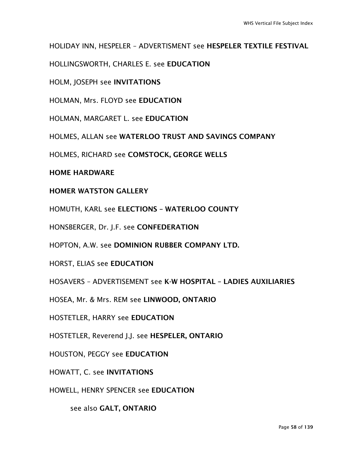HOLIDAY INN, HESPELER – ADVERTISMENT see HESPELER TEXTILE FESTIVAL

HOLLINGSWORTH, CHARLES E. see EDUCATION

HOLM, JOSEPH see INVITATIONS

HOLMAN, Mrs. FLOYD see EDUCATION

HOLMAN, MARGARET L. see EDUCATION

HOLMES, ALLAN see WATERLOO TRUST AND SAVINGS COMPANY

HOLMES, RICHARD see COMSTOCK, GEORGE WELLS

#### HOME HARDWARE

#### HOMER WATSTON GALLERY

HOMUTH, KARL see ELECTIONS – WATERLOO COUNTY

HONSBERGER, Dr. J.F. see CONFEDERATION

HOPTON, A.W. see DOMINION RUBBER COMPANY LTD.

HORST, ELIAS see EDUCATION

HOSAVERS – ADVERTISEMENT see K-W HOSPITAL – LADIES AUXILIARIES

HOSEA, Mr. & Mrs. REM see LINWOOD, ONTARIO

HOSTETLER, HARRY see EDUCATION

HOSTETLER, Reverend J.J. see HESPELER, ONTARIO

HOUSTON, PEGGY see EDUCATION

HOWATT, C. see INVITATIONS

HOWELL, HENRY SPENCER see EDUCATION

see also GALT, ONTARIO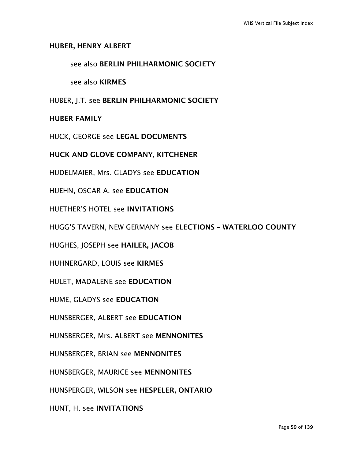#### HUBER, HENRY ALBERT

#### see also BERLIN PHILHARMONIC SOCIETY

see also KIRMES

HUBER, J.T. see BERLIN PHILHARMONIC SOCIETY

#### HUBER FAMILY

HUCK, GEORGE see LEGAL DOCUMENTS

HUCK AND GLOVE COMPANY, KITCHENER

HUDELMAIER, Mrs. GLADYS see EDUCATION

HUEHN, OSCAR A. see EDUCATION

HUETHER'S HOTEL see INVITATIONS

HUGG'S TAVERN, NEW GERMANY see ELECTIONS – WATERLOO COUNTY

HUGHES, JOSEPH see HAILER, JACOB

HUHNERGARD, LOUIS see KIRMES

HULET, MADALENE see EDUCATION

HUME, GLADYS see EDUCATION

HUNSBERGER, ALBERT see EDUCATION

HUNSBERGER, Mrs. ALBERT see MENNONITES

HUNSBERGER, BRIAN see MENNONITES

HUNSBERGER, MAURICE see MENNONITES

HUNSPERGER, WILSON see HESPELER, ONTARIO

HUNT, H. see INVITATIONS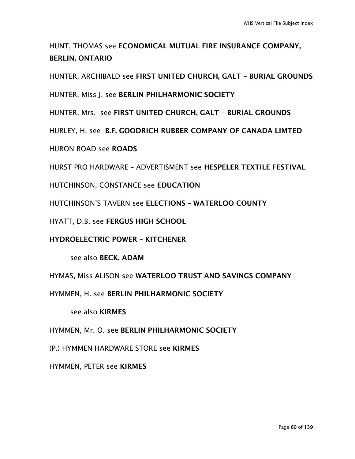## HUNT, THOMAS see ECONOMICAL MUTUAL FIRE INSURANCE COMPANY, BERLIN, ONTARIO

HUNTER, ARCHIBALD see FIRST UNITED CHURCH, GALT – BURIAL GROUNDS

HUNTER, Miss J. see BERLIN PHILHARMONIC SOCIETY

HUNTER, Mrs. see FIRST UNITED CHURCH, GALT – BURIAL GROUNDS

HURLEY, H. see B.F. GOODRICH RUBBER COMPANY OF CANADA LIMTED

HURON ROAD see ROADS

HURST PRO HARDWARE – ADVERTISMENT see HESPELER TEXTILE FESTIVAL

HUTCHINSON, CONSTANCE see EDUCATION

HUTCHINSON'S TAVERN see ELECTIONS – WATERLOO COUNTY

HYATT, D.B. see FERGUS HIGH SCHOOL

HYDROELECTRIC POWER – KITCHENER

see also BECK, ADAM

HYMAS, Miss ALISON see WATERLOO TRUST AND SAVINGS COMPANY

HYMMEN, H. see BERLIN PHILHARMONIC SOCIETY

see also KIRMES

HYMMEN, Mr. O. see BERLIN PHILHARMONIC SOCIETY

(P.) HYMMEN HARDWARE STORE see KIRMES

HYMMEN, PETER see KIRMES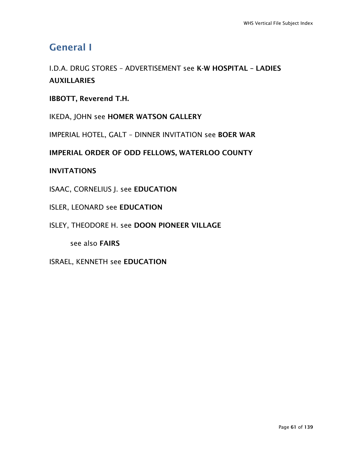## General I

I.D.A. DRUG STORES – ADVERTISEMENT see K-W HOSPITAL – LADIES **AUXILLARIES** 

## IBBOTT, Reverend T.H.

IKEDA, JOHN see HOMER WATSON GALLERY

IMPERIAL HOTEL, GALT – DINNER INVITATION see BOER WAR

IMPERIAL ORDER OF ODD FELLOWS, WATERLOO COUNTY

### INVITATIONS

ISAAC, CORNELIUS J. see EDUCATION

#### ISLER, LEONARD see EDUCATION

#### ISLEY, THEODORE H. see DOON PIONEER VILLAGE

see also FAIRS

### ISRAEL, KENNETH see EDUCATION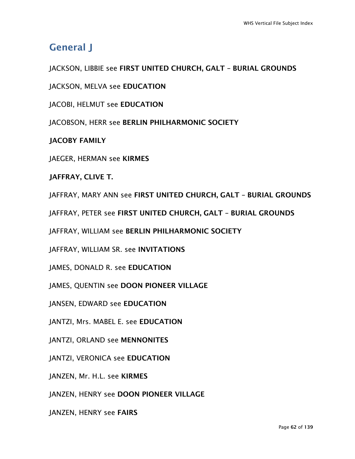# General J

JACKSON, LIBBIE see FIRST UNITED CHURCH, GALT – BURIAL GROUNDS

JACKSON, MELVA see EDUCATION

JACOBI, HELMUT see EDUCATION

JACOBSON, HERR see BERLIN PHILHARMONIC SOCIETY

JACOBY FAMILY

JAEGER, HERMAN see KIRMES

JAFFRAY, CLIVE T.

JAFFRAY, MARY ANN see FIRST UNITED CHURCH, GALT – BURIAL GROUNDS

JAFFRAY, PETER see FIRST UNITED CHURCH, GALT – BURIAL GROUNDS

JAFFRAY, WILLIAM see BERLIN PHILHARMONIC SOCIETY

JAFFRAY, WILLIAM SR. see INVITATIONS

JAMES, DONALD R. see EDUCATION

JAMES, QUENTIN see DOON PIONEER VILLAGE

JANSEN, EDWARD see EDUCATION

JANTZI, Mrs. MABEL E. see EDUCATION

JANTZI, ORLAND see MENNONITES

JANTZI, VERONICA see EDUCATION

JANZEN, Mr. H.L. see KIRMES

JANZEN, HENRY see DOON PIONEER VILLAGE

JANZEN, HENRY see FAIRS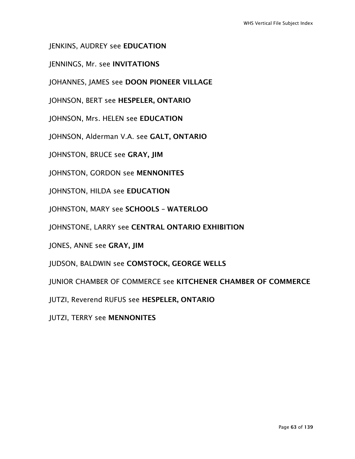JENKINS, AUDREY see EDUCATION

JENNINGS, Mr. see INVITATIONS

JOHANNES, JAMES see DOON PIONEER VILLAGE

JOHNSON, BERT see HESPELER, ONTARIO

JOHNSON, Mrs. HELEN see EDUCATION

JOHNSON, Alderman V.A. see GALT, ONTARIO

JOHNSTON, BRUCE see GRAY, JIM

JOHNSTON, GORDON see MENNONITES

JOHNSTON, HILDA see EDUCATION

JOHNSTON, MARY see SCHOOLS – WATERLOO

JOHNSTONE, LARRY see CENTRAL ONTARIO EXHIBITION

JONES, ANNE see GRAY, JIM

JUDSON, BALDWIN see COMSTOCK, GEORGE WELLS

JUNIOR CHAMBER OF COMMERCE see KITCHENER CHAMBER OF COMMERCE

JUTZI, Reverend RUFUS see HESPELER, ONTARIO

JUTZI, TERRY see MENNONITES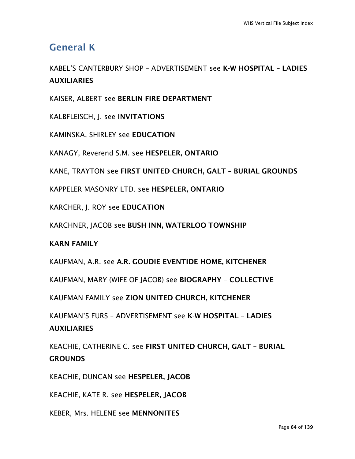## General K

KABEL'S CANTERBURY SHOP – ADVERTISEMENT see K-W HOSPITAL – LADIES **AUXILIARIES** 

KAISER, ALBERT see BERLIN FIRE DEPARTMENT

KALBFLEISCH, J. see INVITATIONS

KAMINSKA, SHIRLEY see EDUCATION

KANAGY, Reverend S.M. see HESPELER, ONTARIO

KANE, TRAYTON see FIRST UNITED CHURCH, GALT – BURIAL GROUNDS

KAPPELER MASONRY LTD. see HESPELER, ONTARIO

KARCHER, J. ROY see EDUCATION

KARCHNER, JACOB see BUSH INN, WATERLOO TOWNSHIP

KARN FAMILY

KAUFMAN, A.R. see A.R. GOUDIE EVENTIDE HOME, KITCHENER

KAUFMAN, MARY (WIFE OF JACOB) see BIOGRAPHY – COLLECTIVE

KAUFMAN FAMILY see ZION UNITED CHURCH, KITCHENER

KAUFMAN'S FURS – ADVERTISEMENT see K-W HOSPITAL – LADIES **AUXILIARIES** 

KEACHIE, CATHERINE C. see FIRST UNITED CHURCH, GALT – BURIAL **GROUNDS** 

KEACHIE, DUNCAN see HESPELER, JACOB

KEACHIE, KATE R. see HESPELER, JACOB

KEBER, Mrs. HELENE see MENNONITES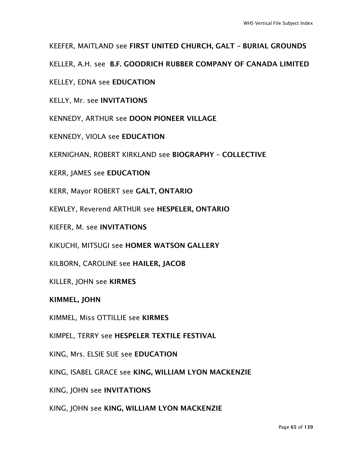KEEFER, MAITLAND see FIRST UNITED CHURCH, GALT – BURIAL GROUNDS

KELLER, A.H. see B.F. GOODRICH RUBBER COMPANY OF CANADA LIMITED

KELLEY, EDNA see EDUCATION

KELLY, Mr. see INVITATIONS

KENNEDY, ARTHUR see DOON PIONEER VILLAGE

KENNEDY, VIOLA see EDUCATION

KERNIGHAN, ROBERT KIRKLAND see BIOGRAPHY – COLLECTIVE

KERR, JAMES see EDUCATION

KERR, Mayor ROBERT see GALT, ONTARIO

KEWLEY, Reverend ARTHUR see HESPELER, ONTARIO

KIEFER, M. see INVITATIONS

KIKUCHI, MITSUGI see HOMER WATSON GALLERY

KILBORN, CAROLINE see HAILER, JACOB

KILLER, JOHN see KIRMES

KIMMEL, JOHN

KIMMEL, Miss OTTILLIE see KIRMES

KIMPEL, TERRY see HESPELER TEXTILE FESTIVAL

KING, Mrs. ELSIE SUE see EDUCATION

KING, ISABEL GRACE see KING, WILLIAM LYON MACKENZIE

KING, JOHN see INVITATIONS

KING, JOHN see KING, WILLIAM LYON MACKENZIE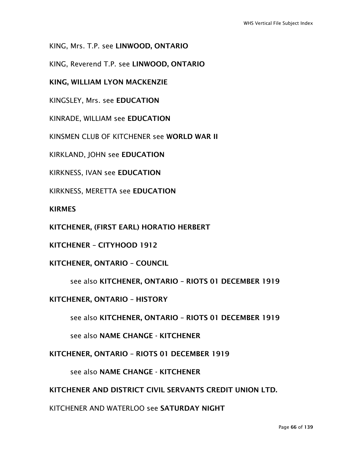KING, Mrs. T.P. see LINWOOD, ONTARIO

KING, Reverend T.P. see LINWOOD, ONTARIO

KING, WILLIAM LYON MACKENZIE

KINGSLEY, Mrs. see EDUCATION

KINRADE, WILLIAM see EDUCATION

KINSMEN CLUB OF KITCHENER see WORLD WAR II

KIRKLAND, JOHN see EDUCATION

KIRKNESS, IVAN see EDUCATION

KIRKNESS, MERETTA see EDUCATION

KIRMES

KITCHENER, (FIRST EARL) HORATIO HERBERT

KITCHENER – CITYHOOD 1912

KITCHENER, ONTARIO – COUNCIL

see also KITCHENER, ONTARIO – RIOTS 01 DECEMBER 1919

KITCHENER, ONTARIO – HISTORY

see also KITCHENER, ONTARIO – RIOTS 01 DECEMBER 1919

see also NAME CHANGE - KITCHENER

KITCHENER, ONTARIO – RIOTS 01 DECEMBER 1919

see also NAME CHANGE - KITCHENER

KITCHENER AND DISTRICT CIVIL SERVANTS CREDIT UNION LTD.

KITCHENER AND WATERLOO see SATURDAY NIGHT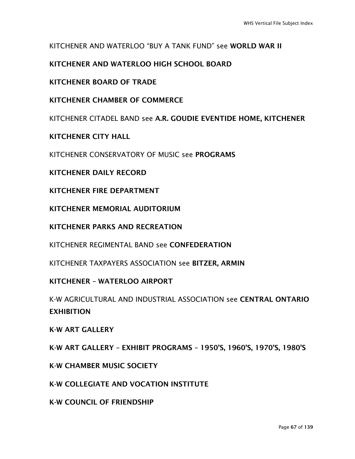### KITCHENER AND WATERLOO "BUY A TANK FUND" see WORLD WAR II

### KITCHENER AND WATERLOO HIGH SCHOOL BOARD

KITCHENER BOARD OF TRADE

KITCHENER CHAMBER OF COMMERCE

KITCHENER CITADEL BAND see A.R. GOUDIE EVENTIDE HOME, KITCHENER

KITCHENER CITY HALL

KITCHENER CONSERVATORY OF MUSIC see PROGRAMS

KITCHENER DAILY RECORD

KITCHENER FIRE DEPARTMENT

KITCHENER MEMORIAL AUDITORIUM

KITCHENER PARKS AND RECREATION

KITCHENER REGIMENTAL BAND see CONFEDERATION

KITCHENER TAXPAYERS ASSOCIATION see BITZER, ARMIN

KITCHENER – WATERLOO AIRPORT

K-W AGRICULTURAL AND INDUSTRIAL ASSOCIATION see CENTRAL ONTARIO EXHIBITION

K-W ART GALLERY

K-W ART GALLERY – EXHIBIT PROGRAMS – 1950'S, 1960'S, 1970'S, 1980'S

K-W CHAMBER MUSIC SOCIETY

K-W COLLEGIATE AND VOCATION INSTITUTE

K-W COUNCIL OF FRIENDSHIP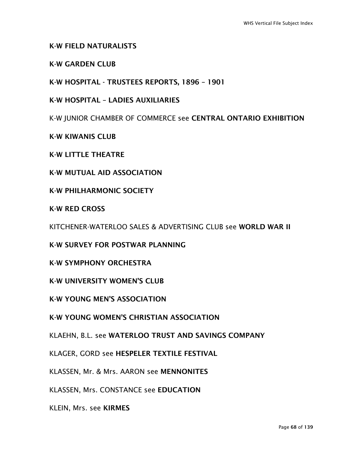#### K-W FIELD NATURALISTS

#### K-W GARDEN CLUB

K-W HOSPITAL - TRUSTEES REPORTS, 1896 – 1901

K-W HOSPITAL – LADIES AUXILIARIES

K-W JUNIOR CHAMBER OF COMMERCE see CENTRAL ONTARIO EXHIBITION

K-W KIWANIS CLUB

K-W LITTLE THEATRE

K-W MUTUAL AID ASSOCIATION

K-W PHILHARMONIC SOCIETY

K-W RED CROSS

KITCHENER-WATERLOO SALES & ADVERTISING CLUB see WORLD WAR II

K-W SURVEY FOR POSTWAR PLANNING

K-W SYMPHONY ORCHESTRA

K-W UNIVERSITY WOMEN'S CLUB

K-W YOUNG MEN'S ASSOCIATION

K-W YOUNG WOMEN'S CHRISTIAN ASSOCIATION

KLAEHN, B.L. see WATERLOO TRUST AND SAVINGS COMPANY

KLAGER, GORD see HESPELER TEXTILE FESTIVAL

KLASSEN, Mr. & Mrs. AARON see MENNONITES

KLASSEN, Mrs. CONSTANCE see EDUCATION

KLEIN, Mrs. see KIRMES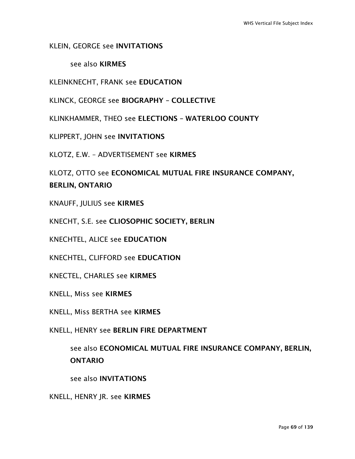### KLEIN, GEORGE see INVITATIONS

#### see also KIRMES

KLEINKNECHT, FRANK see EDUCATION

KLINCK, GEORGE see BIOGRAPHY – COLLECTIVE

KLINKHAMMER, THEO see ELECTIONS – WATERLOO COUNTY

KLIPPERT, JOHN see INVITATIONS

KLOTZ, E.W. – ADVERTISEMENT see KIRMES

KLOTZ, OTTO see ECONOMICAL MUTUAL FIRE INSURANCE COMPANY, BERLIN, ONTARIO

KNAUFF, JULIUS see KIRMES

KNECHT, S.E. see CLIOSOPHIC SOCIETY, BERLIN

KNECHTEL, ALICE see EDUCATION

KNECHTEL, CLIFFORD see EDUCATION

KNECTEL, CHARLES see KIRMES

KNELL, Miss see KIRMES

KNELL, Miss BERTHA see KIRMES

KNELL, HENRY see BERLIN FIRE DEPARTMENT

see also ECONOMICAL MUTUAL FIRE INSURANCE COMPANY, BERLIN, ONTARIO

see also INVITATIONS

KNELL, HENRY JR. see KIRMES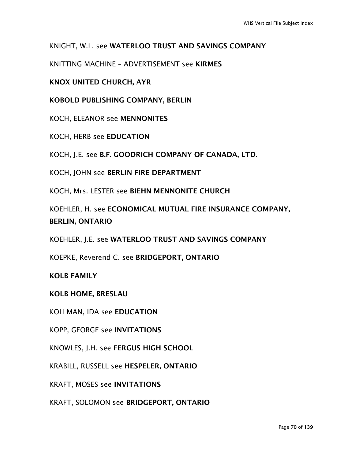### KNIGHT, W.L. see WATERLOO TRUST AND SAVINGS COMPANY

KNITTING MACHINE – ADVERTISEMENT see KIRMES

### KNOX UNITED CHURCH, AYR

KOBOLD PUBLISHING COMPANY, BERLIN

KOCH, ELEANOR see MENNONITES

KOCH, HERB see EDUCATION

KOCH, J.E. see B.F. GOODRICH COMPANY OF CANADA, LTD.

KOCH, JOHN see BERLIN FIRE DEPARTMENT

KOCH, Mrs. LESTER see BIEHN MENNONITE CHURCH

KOEHLER, H. see ECONOMICAL MUTUAL FIRE INSURANCE COMPANY, BERLIN, ONTARIO

KOEHLER, J.E. see WATERLOO TRUST AND SAVINGS COMPANY

KOEPKE, Reverend C. see BRIDGEPORT, ONTARIO

KOLB FAMILY

KOLB HOME, BRESLAU

KOLLMAN, IDA see EDUCATION

KOPP, GEORGE see INVITATIONS

KNOWLES, J.H. see FERGUS HIGH SCHOOL

KRABILL, RUSSELL see HESPELER, ONTARIO

KRAFT, MOSES see INVITATIONS

KRAFT, SOLOMON see BRIDGEPORT, ONTARIO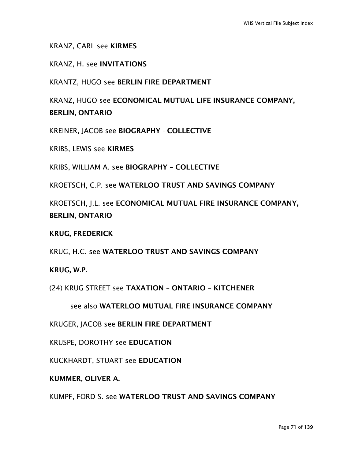KRANZ, CARL see KIRMES

KRANZ, H. see INVITATIONS

KRANTZ, HUGO see BERLIN FIRE DEPARTMENT

KRANZ, HUGO see ECONOMICAL MUTUAL LIFE INSURANCE COMPANY, BERLIN, ONTARIO

KREINER, JACOB see BIOGRAPHY - COLLECTIVE

KRIBS, LEWIS see KIRMES

KRIBS, WILLIAM A. see BIOGRAPHY – COLLECTIVE

KROETSCH, C.P. see WATERLOO TRUST AND SAVINGS COMPANY

KROETSCH, J.L. see ECONOMICAL MUTUAL FIRE INSURANCE COMPANY, BERLIN, ONTARIO

KRUG, FREDERICK

KRUG, H.C. see WATERLOO TRUST AND SAVINGS COMPANY

KRUG, W.P.

(24) KRUG STREET see TAXATION – ONTARIO – KITCHENER

see also WATERLOO MUTUAL FIRE INSURANCE COMPANY

KRUGER, JACOB see BERLIN FIRE DEPARTMENT

KRUSPE, DOROTHY see EDUCATION

KUCKHARDT, STUART see EDUCATION

KUMMER, OLIVER A.

KUMPF, FORD S. see WATERLOO TRUST AND SAVINGS COMPANY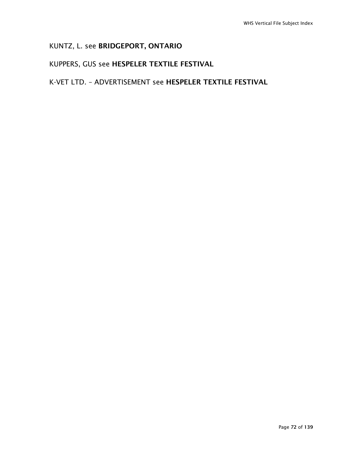## KUNTZ, L. see BRIDGEPORT, ONTARIO

## KUPPERS, GUS see HESPELER TEXTILE FESTIVAL

## K-VET LTD. – ADVERTISEMENT see HESPELER TEXTILE FESTIVAL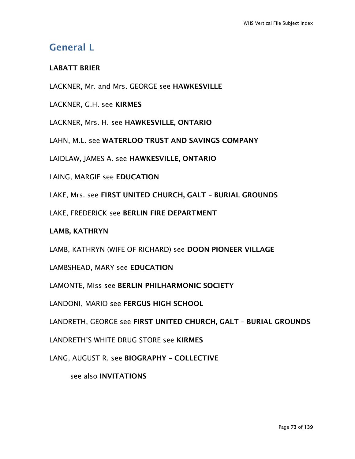# General L

## LABATT BRIER

LACKNER, Mr. and Mrs. GEORGE see HAWKESVILLE

LACKNER, G.H. see KIRMES

LACKNER, Mrs. H. see HAWKESVILLE, ONTARIO

LAHN, M.L. see WATERLOO TRUST AND SAVINGS COMPANY

LAIDLAW, JAMES A. see HAWKESVILLE, ONTARIO

LAING, MARGIE see EDUCATION

LAKE, Mrs. see FIRST UNITED CHURCH, GALT – BURIAL GROUNDS

LAKE, FREDERICK see BERLIN FIRE DEPARTMENT

#### LAMB, KATHRYN

LAMB, KATHRYN (WIFE OF RICHARD) see DOON PIONEER VILLAGE

LAMBSHEAD, MARY see EDUCATION

LAMONTE, Miss see BERLIN PHILHARMONIC SOCIETY

LANDONI, MARIO see FERGUS HIGH SCHOOL

LANDRETH, GEORGE see FIRST UNITED CHURCH, GALT – BURIAL GROUNDS

LANDRETH'S WHITE DRUG STORE see KIRMES

LANG, AUGUST R. see BIOGRAPHY – COLLECTIVE

see also INVITATIONS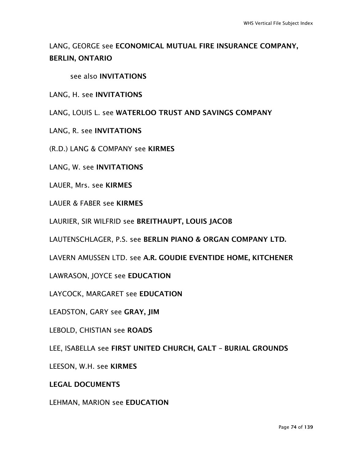# LANG, GEORGE see ECONOMICAL MUTUAL FIRE INSURANCE COMPANY, BERLIN, ONTARIO

see also INVITATIONS

#### LANG, H. see INVITATIONS

LANG, LOUIS L. see WATERLOO TRUST AND SAVINGS COMPANY

- LANG, R. see INVITATIONS
- (R.D.) LANG & COMPANY see KIRMES
- LANG, W. see INVITATIONS
- LAUER, Mrs. see KIRMES
- LAUER & FABER see KIRMES
- LAURIER, SIR WILFRID see BREITHAUPT, LOUIS JACOB
- LAUTENSCHLAGER, P.S. see BERLIN PIANO & ORGAN COMPANY LTD.
- LAVERN AMUSSEN LTD. see A.R. GOUDIE EVENTIDE HOME, KITCHENER
- LAWRASON, JOYCE see EDUCATION
- LAYCOCK, MARGARET see EDUCATION
- LEADSTON, GARY see GRAY, JIM
- LEBOLD, CHISTIAN see ROADS
- LEE, ISABELLA see FIRST UNITED CHURCH, GALT BURIAL GROUNDS
- LEESON, W.H. see KIRMES
- LEGAL DOCUMENTS

#### LEHMAN, MARION see EDUCATION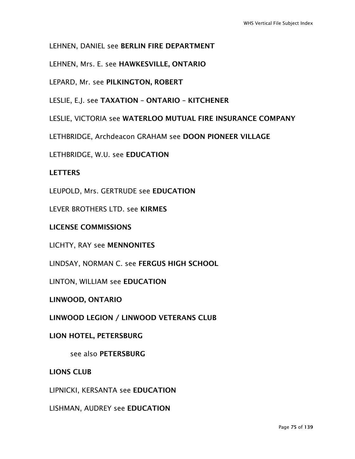### LEHNEN, DANIEL see BERLIN FIRE DEPARTMENT

LEHNEN, Mrs. E. see HAWKESVILLE, ONTARIO

LEPARD, Mr. see PILKINGTON, ROBERT

LESLIE, E.J. see TAXATION – ONTARIO – KITCHENER

LESLIE, VICTORIA see WATERLOO MUTUAL FIRE INSURANCE COMPANY

LETHBRIDGE, Archdeacon GRAHAM see DOON PIONEER VILLAGE

LETHBRIDGE, W.U. see EDUCATION

#### **LETTERS**

LEUPOLD, Mrs. GERTRUDE see EDUCATION

LEVER BROTHERS LTD. see KIRMES

LICENSE COMMISSIONS

LICHTY, RAY see MENNONITES

LINDSAY, NORMAN C. see FERGUS HIGH SCHOOL

LINTON, WILLIAM see EDUCATION

LINWOOD, ONTARIO

LINWOOD LEGION / LINWOOD VETERANS CLUB

#### LION HOTEL, PETERSBURG

see also PETERSBURG

LIONS CLUB

LIPNICKI, KERSANTA see EDUCATION

LISHMAN, AUDREY see EDUCATION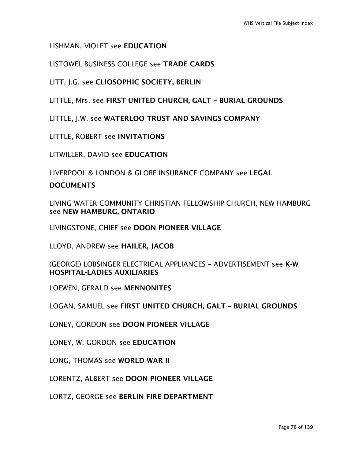### LISHMAN, VIOLET see EDUCATION

### LISTOWEL BUSINESS COLLEGE see TRADE CARDS

LITT, J.G. see CLIOSOPHIC SOCIETY, BERLIN

LITTLE, Mrs. see FIRST UNITED CHURCH, GALT – BURIAL GROUNDS

LITTLE, J.W. see WATERLOO TRUST AND SAVINGS COMPANY

LITTLE, ROBERT see INVITATIONS

LITWILLER, DAVID see EDUCATION

LIVERPOOL & LONDON & GLOBE INSURANCE COMPANY see LEGAL

#### **DOCUMENTS**

LIVING WATER COMMUNITY CHRISTIAN FELLOWSHIP CHURCH, NEW HAMBURG see NEW HAMBURG, ONTARIO

LIVINGSTONE, CHIEF see DOON PIONEER VILLAGE

LLOYD, ANDREW see HAILER, JACOB

(GEORGE) LOBSINGER ELECTRICAL APPLIANCES – ADVERTISEMENT see K-W HOSPITAL-LADIES AUXILIARIES

LOEWEN, GERALD see MENNONITES

LOGAN, SAMUEL see FIRST UNITED CHURCH, GALT – BURIAL GROUNDS

LONEY, GORDON see DOON PIONEER VILLAGE

LONEY, W. GORDON see EDUCATION

LONG, THOMAS see WORLD WAR II

LORENTZ, ALBERT see DOON PIONEER VILLAGE

LORTZ, GEORGE see BERLIN FIRE DEPARTMENT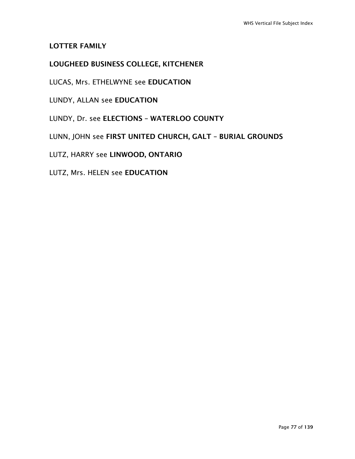#### LOTTER FAMILY

# LOUGHEED BUSINESS COLLEGE, KITCHENER

LUCAS, Mrs. ETHELWYNE see EDUCATION

LUNDY, ALLAN see EDUCATION

LUNDY, Dr. see ELECTIONS – WATERLOO COUNTY

LUNN, JOHN see FIRST UNITED CHURCH, GALT – BURIAL GROUNDS

LUTZ, HARRY see LINWOOD, ONTARIO

LUTZ, Mrs. HELEN see EDUCATION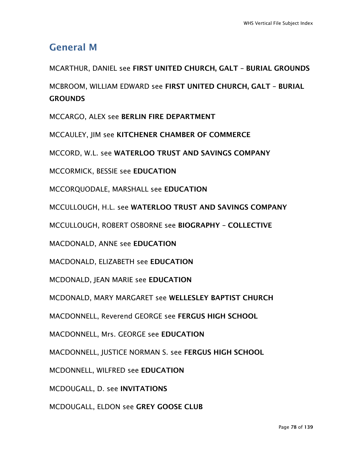# General M

MCARTHUR, DANIEL see FIRST UNITED CHURCH, GALT – BURIAL GROUNDS MCBROOM, WILLIAM EDWARD see FIRST UNITED CHURCH, GALT – BURIAL **GROUNDS** MCCARGO, ALEX see BERLIN FIRE DEPARTMENT MCCAULEY, JIM see KITCHENER CHAMBER OF COMMERCE MCCORD, W.L. see WATERLOO TRUST AND SAVINGS COMPANY MCCORMICK, BESSIE see EDUCATION MCCORQUODALE, MARSHALL see EDUCATION MCCULLOUGH, H.L. see WATERLOO TRUST AND SAVINGS COMPANY MCCULLOUGH, ROBERT OSBORNE see BIOGRAPHY – COLLECTIVE MACDONALD, ANNE see EDUCATION MACDONALD, ELIZABETH see EDUCATION MCDONALD, JEAN MARIE see EDUCATION MCDONALD, MARY MARGARET see WELLESLEY BAPTIST CHURCH MACDONNELL, Reverend GEORGE see FERGUS HIGH SCHOOL MACDONNELL, Mrs. GEORGE see EDUCATION MACDONNELL, JUSTICE NORMAN S. see FERGUS HIGH SCHOOL MCDONNELL, WILFRED see EDUCATION MCDOUGALL, D. see INVITATIONS

MCDOUGALL, ELDON see GREY GOOSE CLUB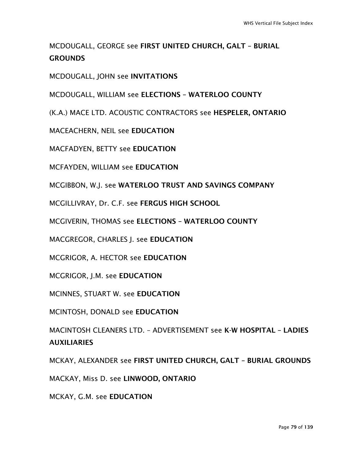# MCDOUGALL, GEORGE see FIRST UNITED CHURCH, GALT – BURIAL **GROUNDS**

MCDOUGALL, JOHN see INVITATIONS

MCDOUGALL, WILLIAM see ELECTIONS – WATERLOO COUNTY

(K.A.) MACE LTD. ACOUSTIC CONTRACTORS see HESPELER, ONTARIO

MACEACHERN, NEIL see EDUCATION

MACFADYEN, BETTY see EDUCATION

MCFAYDEN, WILLIAM see EDUCATION

MCGIBBON, W.J. see WATERLOO TRUST AND SAVINGS COMPANY

MCGILLIVRAY, Dr. C.F. see FERGUS HIGH SCHOOL

MCGIVERIN, THOMAS see ELECTIONS – WATERLOO COUNTY

MACGREGOR, CHARLES J. see EDUCATION

MCGRIGOR, A. HECTOR see EDUCATION

MCGRIGOR, J.M. see EDUCATION

MCINNES, STUART W. see EDUCATION

MCINTOSH, DONALD see EDUCATION

MACINTOSH CLEANERS LTD. – ADVERTISEMENT see K-W HOSPITAL – LADIES AUXILIARIES

MCKAY, ALEXANDER see FIRST UNITED CHURCH, GALT – BURIAL GROUNDS

MACKAY, Miss D. see LINWOOD, ONTARIO

MCKAY, G.M. see EDUCATION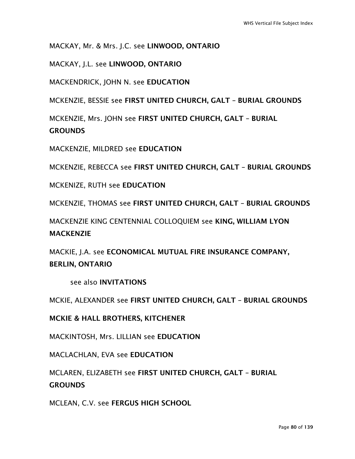MACKAY, Mr. & Mrs. J.C. see LINWOOD, ONTARIO

MACKAY, J.L. see LINWOOD, ONTARIO

MACKENDRICK, JOHN N. see EDUCATION

MCKENZIE, BESSIE see FIRST UNITED CHURCH, GALT – BURIAL GROUNDS

MCKENZIE, Mrs. JOHN see FIRST UNITED CHURCH, GALT – BURIAL

**GROUNDS** 

MACKENZIE, MILDRED see EDUCATION

MCKENZIE, REBECCA see FIRST UNITED CHURCH, GALT – BURIAL GROUNDS

MCKENIZE, RUTH see EDUCATION

MCKENZIE, THOMAS see FIRST UNITED CHURCH, GALT – BURIAL GROUNDS

MACKENZIE KING CENTENNIAL COLLOQUIEM see KING, WILLIAM LYON MACKENZIE

MACKIE, J.A. see ECONOMICAL MUTUAL FIRE INSURANCE COMPANY, BERLIN, ONTARIO

see also INVITATIONS

MCKIE, ALEXANDER see FIRST UNITED CHURCH, GALT – BURIAL GROUNDS

MCKIE & HALL BROTHERS, KITCHENER

MACKINTOSH, Mrs. LILLIAN see EDUCATION

MACLACHLAN, EVA see EDUCATION

MCLAREN, ELIZABETH see FIRST UNITED CHURCH, GALT – BURIAL

**GROUNDS** 

MCLEAN, C.V. see FERGUS HIGH SCHOOL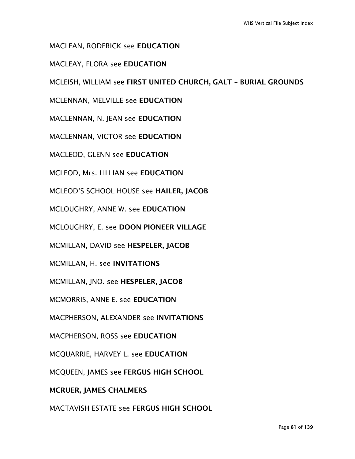MACLEAN, RODERICK see EDUCATION

MACLEAY, FLORA see EDUCATION

MCLEISH, WILLIAM see FIRST UNITED CHURCH, GALT – BURIAL GROUNDS

MCLENNAN, MELVILLE see EDUCATION

MACLENNAN, N. JEAN see EDUCATION

MACLENNAN, VICTOR see EDUCATION

MACLEOD, GLENN see EDUCATION

MCLEOD, Mrs. LILLIAN see EDUCATION

MCLEOD'S SCHOOL HOUSE see HAILER, JACOB

MCLOUGHRY, ANNE W. see EDUCATION

MCLOUGHRY, E. see DOON PIONEER VILLAGE

MCMILLAN, DAVID see HESPELER, JACOB

MCMILLAN, H. see INVITATIONS

MCMILLAN, JNO. see HESPELER, JACOB

MCMORRIS, ANNE E. see EDUCATION

MACPHERSON, ALEXANDER see INVITATIONS

MACPHERSON, ROSS see EDUCATION

MCQUARRIE, HARVEY L. see EDUCATION

MCQUEEN, JAMES see FERGUS HIGH SCHOOL

MCRUER, JAMES CHALMERS

MACTAVISH ESTATE see FERGUS HIGH SCHOOL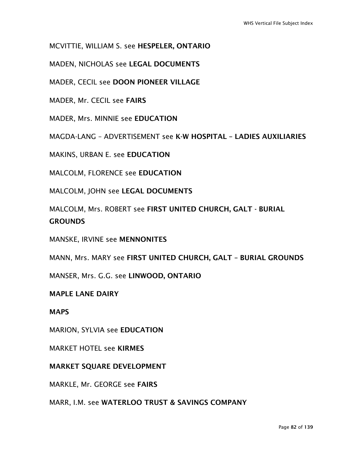MCVITTIE, WILLIAM S. see HESPELER, ONTARIO

MADEN, NICHOLAS see LEGAL DOCUMENTS

MADER, CECIL see DOON PIONEER VILLAGE

MADER, Mr. CECIL see FAIRS

MADER, Mrs. MINNIE see EDUCATION

MAGDA-LANG – ADVERTISEMENT see K-W HOSPITAL – LADIES AUXILIARIES

MAKINS, URBAN E. see EDUCATION

MALCOLM, FLORENCE see EDUCATION

MALCOLM, JOHN see LEGAL DOCUMENTS

MALCOLM, Mrs. ROBERT see FIRST UNITED CHURCH, GALT - BURIAL **GROUNDS** 

MANSKE, IRVINE see MENNONITES

MANN, Mrs. MARY see FIRST UNITED CHURCH, GALT – BURIAL GROUNDS

MANSER, Mrs. G.G. see LINWOOD, ONTARIO

#### MAPLE LANE DAIRY

**MAPS** 

MARION, SYLVIA see EDUCATION

MARKET HOTEL see KIRMES

#### MARKET SQUARE DEVELOPMENT

MARKLE, Mr. GEORGE see FAIRS

MARR, I.M. see WATERLOO TRUST & SAVINGS COMPANY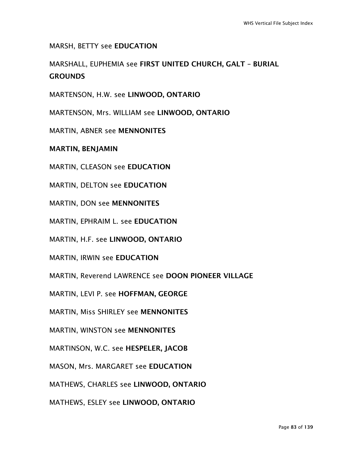MARSH, BETTY see EDUCATION

MARSHALL, EUPHEMIA see FIRST UNITED CHURCH, GALT – BURIAL **GROUNDS** 

MARTENSON, H.W. see LINWOOD, ONTARIO

MARTENSON, Mrs. WILLIAM see LINWOOD, ONTARIO

MARTIN, ABNER see MENNONITES

MARTIN, BENJAMIN

MARTIN, CLEASON see EDUCATION

MARTIN, DELTON see EDUCATION

MARTIN, DON see MENNONITES

MARTIN, EPHRAIM L. see EDUCATION

MARTIN, H.F. see LINWOOD, ONTARIO

MARTIN, IRWIN see EDUCATION

MARTIN, Reverend LAWRENCE see DOON PIONEER VILLAGE

MARTIN, LEVI P. see HOFFMAN, GEORGE

MARTIN, Miss SHIRLEY see MENNONITES

MARTIN, WINSTON see MENNONITES

MARTINSON, W.C. see HESPELER, JACOB

MASON, Mrs. MARGARET see EDUCATION

MATHEWS, CHARLES see LINWOOD, ONTARIO

MATHEWS, ESLEY see LINWOOD, ONTARIO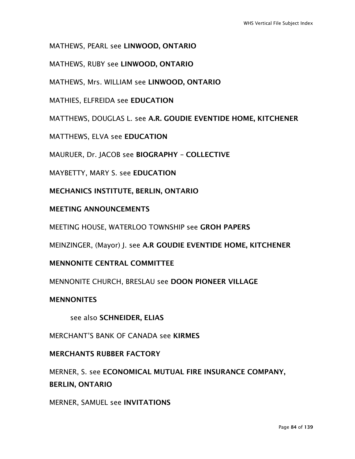MATHEWS, PEARL see LINWOOD, ONTARIO

MATHEWS, RUBY see LINWOOD, ONTARIO

MATHEWS, Mrs. WILLIAM see LINWOOD, ONTARIO

MATHIES, ELFREIDA see EDUCATION

MATTHEWS, DOUGLAS L. see A.R. GOUDIE EVENTIDE HOME, KITCHENER

MATTHEWS, ELVA see EDUCATION

MAURUER, Dr. JACOB see BIOGRAPHY – COLLECTIVE

MAYBETTY, MARY S. see EDUCATION

MECHANICS INSTITUTE, BERLIN, ONTARIO

#### MEETING ANNOUNCEMENTS

MEETING HOUSE, WATERLOO TOWNSHIP see GROH PAPERS

MEINZINGER, (Mayor) J. see A.R GOUDIE EVENTIDE HOME, KITCHENER

#### MENNONITE CENTRAL COMMITTEE

MENNONITE CHURCH, BRESLAU see DOON PIONEER VILLAGE

#### **MENNONITES**

see also SCHNEIDER, ELIAS

MERCHANT'S BANK OF CANADA see KIRMES

#### MERCHANTS RUBBER FACTORY

MERNER, S. see ECONOMICAL MUTUAL FIRE INSURANCE COMPANY, BERLIN, ONTARIO

MERNER, SAMUEL see INVITATIONS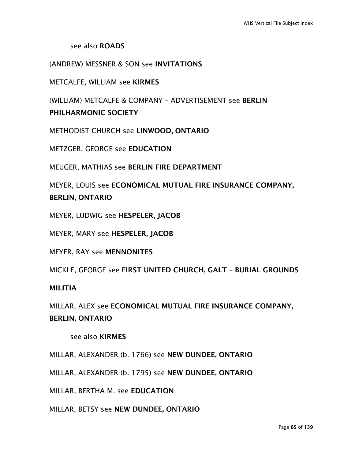see also ROADS

(ANDREW) MESSNER & SON see INVITATIONS

METCALFE, WILLIAM see KIRMES

(WILLIAM) METCALFE & COMPANY – ADVERTISEMENT see BERLIN PHILHARMONIC SOCIETY

METHODIST CHURCH see LINWOOD, ONTARIO

METZGER, GEORGE see EDUCATION

MEUGER, MATHIAS see BERLIN FIRE DEPARTMENT

MEYER, LOUIS see ECONOMICAL MUTUAL FIRE INSURANCE COMPANY, BERLIN, ONTARIO

MEYER, LUDWIG see HESPELER, JACOB

MEYER, MARY see HESPELER, JACOB

MEYER, RAY see MENNONITES

MICKLE, GEORGE see FIRST UNITED CHURCH, GALT – BURIAL GROUNDS

**MILITIA** 

MILLAR, ALEX see ECONOMICAL MUTUAL FIRE INSURANCE COMPANY, BERLIN, ONTARIO

see also KIRMES

MILLAR, ALEXANDER (b. 1766) see NEW DUNDEE, ONTARIO

MILLAR, ALEXANDER (b. 1795) see NEW DUNDEE, ONTARIO

MILLAR, BERTHA M. see EDUCATION

MILLAR, BETSY see NEW DUNDEE, ONTARIO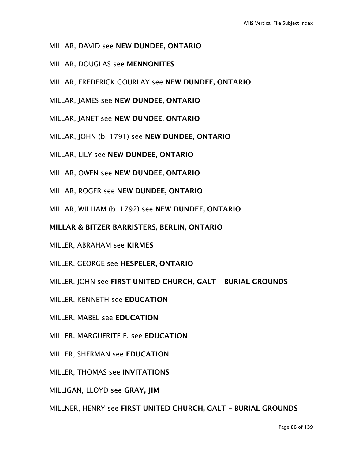- MILLAR, DAVID see NEW DUNDEE, ONTARIO
- MILLAR, DOUGLAS see MENNONITES
- MILLAR, FREDERICK GOURLAY see NEW DUNDEE, ONTARIO
- MILLAR, JAMES see NEW DUNDEE, ONTARIO
- MILLAR, JANET see NEW DUNDEE, ONTARIO
- MILLAR, JOHN (b. 1791) see NEW DUNDEE, ONTARIO
- MILLAR, LILY see NEW DUNDEE, ONTARIO
- MILLAR, OWEN see NEW DUNDEE, ONTARIO
- MILLAR, ROGER see NEW DUNDEE, ONTARIO
- MILLAR, WILLIAM (b. 1792) see NEW DUNDEE, ONTARIO
- MILLAR & BITZER BARRISTERS, BERLIN, ONTARIO
- MILLER, ABRAHAM see KIRMES
- MILLER, GEORGE see HESPELER, ONTARIO
- MILLER, JOHN see FIRST UNITED CHURCH, GALT BURIAL GROUNDS
- MILLER, KENNETH see EDUCATION
- MILLER, MABEL see EDUCATION
- MILLER, MARGUERITE E. see EDUCATION
- MILLER, SHERMAN see EDUCATION
- MILLER, THOMAS see INVITATIONS
- MILLIGAN, LLOYD see GRAY, JIM
- MILLNER, HENRY see FIRST UNITED CHURCH, GALT BURIAL GROUNDS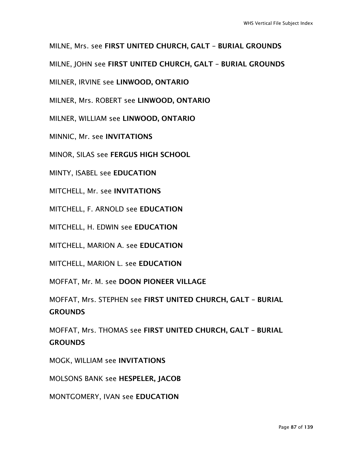MILNE, Mrs. see FIRST UNITED CHURCH, GALT – BURIAL GROUNDS

MILNE, JOHN see FIRST UNITED CHURCH, GALT – BURIAL GROUNDS

MILNER, IRVINE see LINWOOD, ONTARIO

MILNER, Mrs. ROBERT see LINWOOD, ONTARIO

MILNER, WILLIAM see LINWOOD, ONTARIO

MINNIC, Mr. see INVITATIONS

MINOR, SILAS see FERGUS HIGH SCHOOL

MINTY, ISABEL see EDUCATION

MITCHELL, Mr. see INVITATIONS

MITCHELL, F. ARNOLD see EDUCATION

MITCHELL, H. EDWIN see EDUCATION

MITCHELL, MARION A. see EDUCATION

MITCHELL, MARION L. see EDUCATION

MOFFAT, Mr. M. see DOON PIONEER VILLAGE

MOFFAT, Mrs. STEPHEN see FIRST UNITED CHURCH, GALT – BURIAL **GROUNDS** 

MOFFAT, Mrs. THOMAS see FIRST UNITED CHURCH, GALT – BURIAL **GROUNDS** 

MOGK, WILLIAM see INVITATIONS

MOLSONS BANK see HESPELER, JACOB

MONTGOMERY, IVAN see EDUCATION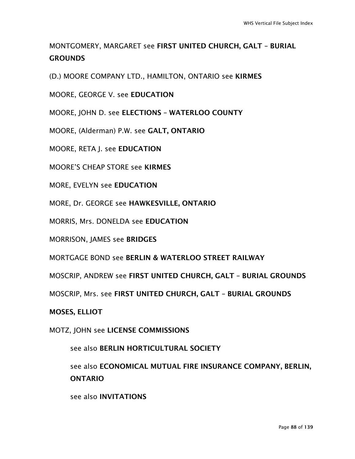# MONTGOMERY, MARGARET see FIRST UNITED CHURCH, GALT – BURIAL **GROUNDS**

(D.) MOORE COMPANY LTD., HAMILTON, ONTARIO see KIRMES

MOORE, GEORGE V. see EDUCATION

MOORE, JOHN D. see ELECTIONS – WATERLOO COUNTY

MOORE, (Alderman) P.W. see GALT, ONTARIO

MOORE, RETA J. see EDUCATION

MOORE'S CHEAP STORE see KIRMES

MORE, EVELYN see EDUCATION

MORE, Dr. GEORGE see HAWKESVILLE, ONTARIO

MORRIS, Mrs. DONELDA see EDUCATION

MORRISON, JAMES see BRIDGES

MORTGAGE BOND see BERLIN & WATERLOO STREET RAILWAY

MOSCRIP, ANDREW see FIRST UNITED CHURCH, GALT – BURIAL GROUNDS

MOSCRIP, Mrs. see FIRST UNITED CHURCH, GALT – BURIAL GROUNDS

MOSES, ELLIOT

MOTZ, JOHN see LICENSE COMMISSIONS

see also BERLIN HORTICULTURAL SOCIETY

see also ECONOMICAL MUTUAL FIRE INSURANCE COMPANY, BERLIN, ONTARIO

see also INVITATIONS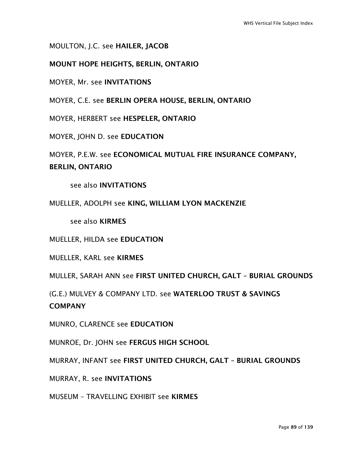MOULTON, J.C. see HAILER, JACOB

MOUNT HOPE HEIGHTS, BERLIN, ONTARIO

MOYER, Mr. see INVITATIONS

MOYER, C.E. see BERLIN OPERA HOUSE, BERLIN, ONTARIO

MOYER, HERBERT see HESPELER, ONTARIO

MOYER, JOHN D. see EDUCATION

MOYER, P.E.W. see ECONOMICAL MUTUAL FIRE INSURANCE COMPANY, BERLIN, ONTARIO

see also INVITATIONS

MUELLER, ADOLPH see KING, WILLIAM LYON MACKENZIE

see also KIRMES

MUELLER, HILDA see EDUCATION

MUELLER, KARL see KIRMES

MULLER, SARAH ANN see FIRST UNITED CHURCH, GALT – BURIAL GROUNDS

(G.E.) MULVEY & COMPANY LTD. see WATERLOO TRUST & SAVINGS **COMPANY** 

MUNRO, CLARENCE see EDUCATION

MUNROE, Dr. JOHN see FERGUS HIGH SCHOOL

MURRAY, INFANT see FIRST UNITED CHURCH, GALT – BURIAL GROUNDS

MURRAY, R. see INVITATIONS

MUSEUM – TRAVELLING EXHIBIT see KIRMES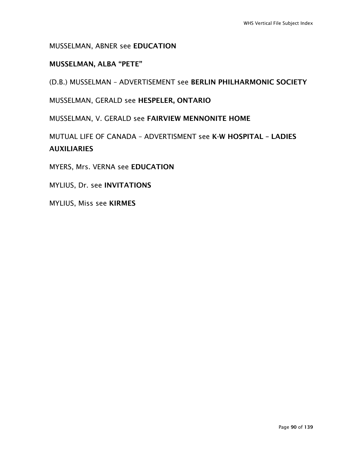MUSSELMAN, ABNER see EDUCATION

# MUSSELMAN, ALBA "PETE"

(D.B.) MUSSELMAN – ADVERTISEMENT see BERLIN PHILHARMONIC SOCIETY

MUSSELMAN, GERALD see HESPELER, ONTARIO

MUSSELMAN, V. GERALD see FAIRVIEW MENNONITE HOME

MUTUAL LIFE OF CANADA – ADVERTISMENT see K-W HOSPITAL – LADIES **AUXILIARIES** 

MYERS, Mrs. VERNA see EDUCATION

MYLIUS, Dr. see INVITATIONS

MYLIUS, Miss see KIRMES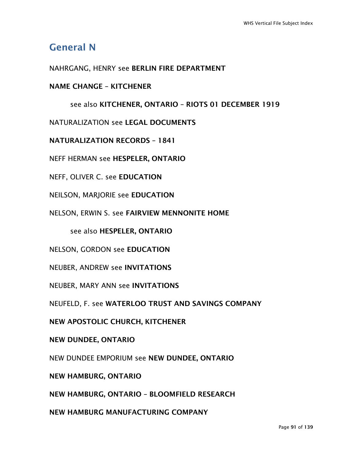# General N

## NAHRGANG, HENRY see BERLIN FIRE DEPARTMENT

### NAME CHANGE – KITCHENER

#### see also KITCHENER, ONTARIO – RIOTS 01 DECEMBER 1919

NATURALIZATION see LEGAL DOCUMENTS

NATURALIZATION RECORDS – 1841

NEFF HERMAN see HESPELER, ONTARIO

NEFF, OLIVER C. see EDUCATION

NEILSON, MARJORIE see EDUCATION

NELSON, ERWIN S. see FAIRVIEW MENNONITE HOME

see also HESPELER, ONTARIO

NELSON, GORDON see EDUCATION

NEUBER, ANDREW see INVITATIONS

NEUBER, MARY ANN see INVITATIONS

NEUFELD, F. see WATERLOO TRUST AND SAVINGS COMPANY

NEW APOSTOLIC CHURCH, KITCHENER

NEW DUNDEE, ONTARIO

NEW DUNDEE EMPORIUM see NEW DUNDEE, ONTARIO

NEW HAMBURG, ONTARIO

NEW HAMBURG, ONTARIO – BLOOMFIELD RESEARCH

NEW HAMBURG MANUFACTURING COMPANY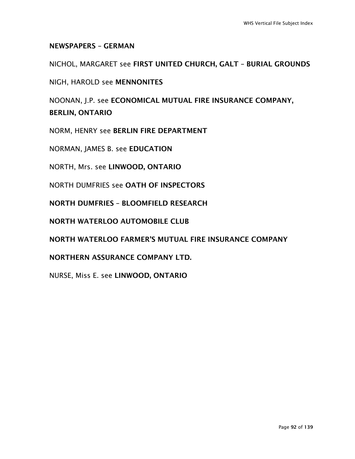### NEWSPAPERS – GERMAN

NICHOL, MARGARET see FIRST UNITED CHURCH, GALT – BURIAL GROUNDS

NIGH, HAROLD see MENNONITES

NOONAN, J.P. see ECONOMICAL MUTUAL FIRE INSURANCE COMPANY, BERLIN, ONTARIO

NORM, HENRY see BERLIN FIRE DEPARTMENT

NORMAN, JAMES B. see EDUCATION

NORTH, Mrs. see LINWOOD, ONTARIO

NORTH DUMFRIES see OATH OF INSPECTORS

NORTH DUMFRIES – BLOOMFIELD RESEARCH

NORTH WATERLOO AUTOMOBILE CLUB

NORTH WATERLOO FARMER'S MUTUAL FIRE INSURANCE COMPANY

NORTHERN ASSURANCE COMPANY LTD.

NURSE, Miss E. see LINWOOD, ONTARIO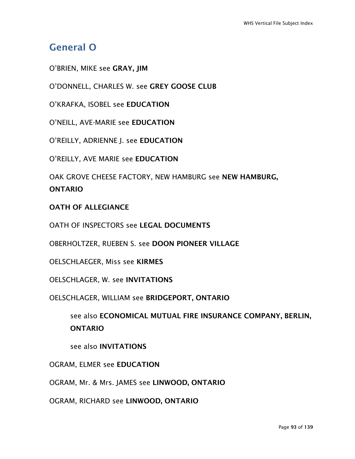# General O

O'BRIEN, MIKE see GRAY, JIM

O'DONNELL, CHARLES W. see GREY GOOSE CLUB

O'KRAFKA, ISOBEL see EDUCATION

O'NEILL, AVE-MARIE see EDUCATION

O'REILLY, ADRIENNE J. see EDUCATION

O'REILLY, AVE MARIE see EDUCATION

OAK GROVE CHEESE FACTORY, NEW HAMBURG see NEW HAMBURG, ONTARIO

#### OATH OF ALLEGIANCE

OATH OF INSPECTORS see LEGAL DOCUMENTS

OBERHOLTZER, RUEBEN S. see DOON PIONEER VILLAGE

OELSCHLAEGER, Miss see KIRMES

OELSCHLAGER, W. see INVITATIONS

OELSCHLAGER, WILLIAM see BRIDGEPORT, ONTARIO

see also ECONOMICAL MUTUAL FIRE INSURANCE COMPANY, BERLIN, **ONTARIO** 

see also INVITATIONS

OGRAM, ELMER see EDUCATION

OGRAM, Mr. & Mrs. JAMES see LINWOOD, ONTARIO

OGRAM, RICHARD see LINWOOD, ONTARIO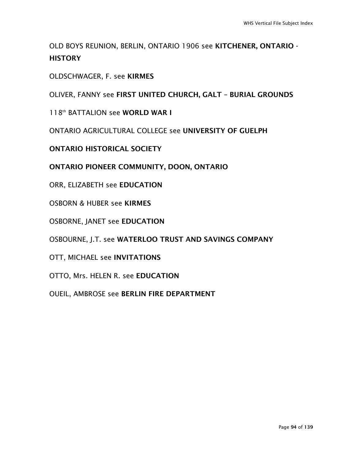OLD BOYS REUNION, BERLIN, ONTARIO 1906 see KITCHENER, ONTARIO - **HISTORY** 

OLDSCHWAGER, F. see KIRMES

OLIVER, FANNY see FIRST UNITED CHURCH, GALT – BURIAL GROUNDS

118<sup>th</sup> BATTALION see WORLD WAR I

ONTARIO AGRICULTURAL COLLEGE see UNIVERSITY OF GUELPH

ONTARIO HISTORICAL SOCIETY

ONTARIO PIONEER COMMUNITY, DOON, ONTARIO

ORR, ELIZABETH see EDUCATION

OSBORN & HUBER see KIRMES

OSBORNE, JANET see EDUCATION

OSBOURNE, J.T. see WATERLOO TRUST AND SAVINGS COMPANY

OTT, MICHAEL see INVITATIONS

OTTO, Mrs. HELEN R. see EDUCATION

OUEIL, AMBROSE see BERLIN FIRE DEPARTMENT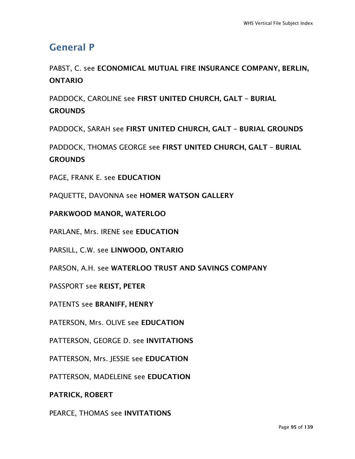# General P

PABST, C. see ECONOMICAL MUTUAL FIRE INSURANCE COMPANY, BERLIN, ONTARIO

PADDOCK, CAROLINE see FIRST UNITED CHURCH, GALT – BURIAL **GROUNDS** 

PADDOCK, SARAH see FIRST UNITED CHURCH, GALT – BURIAL GROUNDS

PADDOCK, THOMAS GEORGE see FIRST UNITED CHURCH, GALT – BURIAL **GROUNDS** 

PAGE, FRANK E. see EDUCATION

PAQUETTE, DAVONNA see HOMER WATSON GALLERY

PARKWOOD MANOR, WATERLOO

PARLANE, Mrs. IRENE see EDUCATION

PARSILL, C.W. see LINWOOD, ONTARIO

PARSON, A.H. see WATERLOO TRUST AND SAVINGS COMPANY

PASSPORT see REIST, PETER

PATENTS see BRANIFF, HENRY

PATERSON, Mrs. OLIVE see EDUCATION

PATTERSON, GEORGE D. see INVITATIONS

PATTERSON, Mrs. JESSIE see EDUCATION

PATTERSON, MADELEINE see EDUCATION

PATRICK, ROBERT

PEARCE, THOMAS see INVITATIONS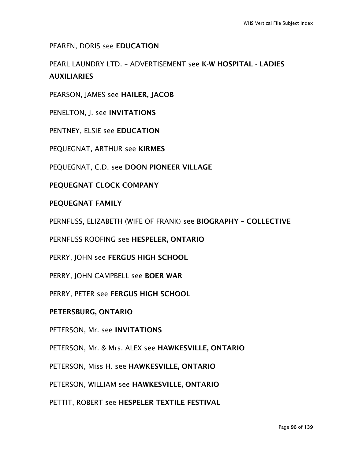PEAREN, DORIS see EDUCATION

PEARL LAUNDRY LTD. – ADVERTISEMENT see K-W HOSPITAL - LADIES AUXILIARIES

PEARSON, JAMES see HAILER, JACOB

PENELTON, J. see INVITATIONS

PENTNEY, ELSIE see EDUCATION

PEQUEGNAT, ARTHUR see KIRMES

PEQUEGNAT, C.D. see DOON PIONEER VILLAGE

PEQUEGNAT CLOCK COMPANY

#### PEQUEGNAT FAMILY

PERNFUSS, ELIZABETH (WIFE OF FRANK) see BIOGRAPHY – COLLECTIVE

PERNFUSS ROOFING see HESPELER, ONTARIO

PERRY, JOHN see FERGUS HIGH SCHOOL

PERRY, JOHN CAMPBELL see BOER WAR

PERRY, PETER see FERGUS HIGH SCHOOL

PETERSBURG, ONTARIO

PETERSON, Mr. see INVITATIONS

PETERSON, Mr. & Mrs. ALEX see HAWKESVILLE, ONTARIO

PETERSON, Miss H. see HAWKESVILLE, ONTARIO

PETERSON, WILLIAM see HAWKESVILLE, ONTARIO

PETTIT, ROBERT see HESPELER TEXTILE FESTIVAL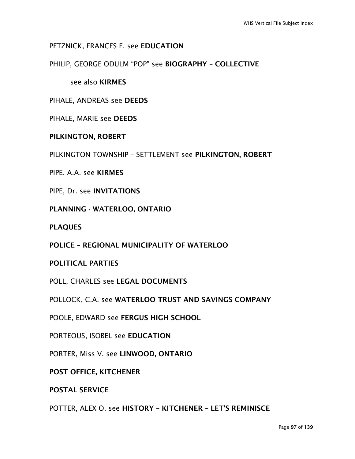## PETZNICK, FRANCES E. see EDUCATION

PHILIP, GEORGE ODULM "POP" see BIOGRAPHY – COLLECTIVE

see also KIRMES

PIHALE, ANDREAS see DEEDS

PIHALE, MARIE see DEEDS

#### PILKINGTON, ROBERT

PILKINGTON TOWNSHIP – SETTLEMENT see PILKINGTON, ROBERT

PIPE, A.A. see KIRMES

PIPE, Dr. see INVITATIONS

PLANNING - WATERLOO, ONTARIO

PLAQUES

POLICE – REGIONAL MUNICIPALITY OF WATERLOO

POLITICAL PARTIES

POLL, CHARLES see LEGAL DOCUMENTS

POLLOCK, C.A. see WATERLOO TRUST AND SAVINGS COMPANY

POOLE, EDWARD see FERGUS HIGH SCHOOL

PORTEOUS, ISOBEL see EDUCATION

PORTER, Miss V. see LINWOOD, ONTARIO

POST OFFICE, KITCHENER

POSTAL SERVICE

POTTER, ALEX O. see HISTORY – KITCHENER – LET'S REMINISCE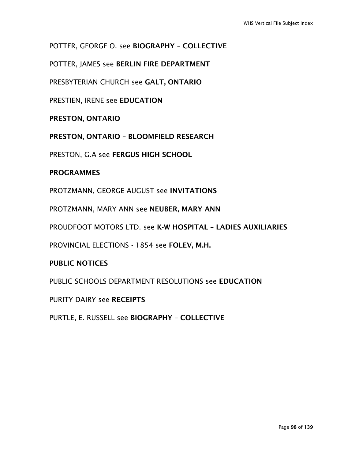POTTER, GEORGE O. see BIOGRAPHY – COLLECTIVE

POTTER, JAMES see BERLIN FIRE DEPARTMENT

PRESBYTERIAN CHURCH see GALT, ONTARIO

PRESTIEN, IRENE see EDUCATION

PRESTON, ONTARIO

PRESTON, ONTARIO – BLOOMFIELD RESEARCH

PRESTON, G.A see FERGUS HIGH SCHOOL

#### PROGRAMMES

PROTZMANN, GEORGE AUGUST see INVITATIONS

PROTZMANN, MARY ANN see NEUBER, MARY ANN

PROUDFOOT MOTORS LTD. see K-W HOSPITAL – LADIES AUXILIARIES

PROVINCIAL ELECTIONS - 1854 see FOLEV, M.H.

### PUBLIC NOTICES

PUBLIC SCHOOLS DEPARTMENT RESOLUTIONS see EDUCATION

PURITY DAIRY see RECEIPTS

PURTLE, E. RUSSELL see BIOGRAPHY – COLLECTIVE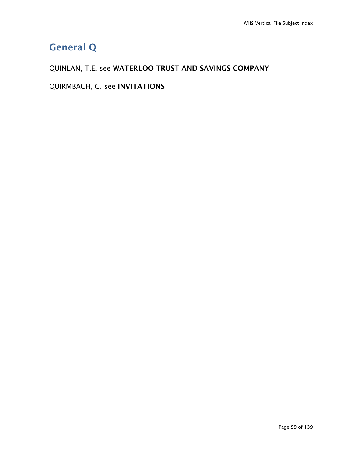# General Q

# QUINLAN, T.E. see WATERLOO TRUST AND SAVINGS COMPANY

QUIRMBACH, C. see INVITATIONS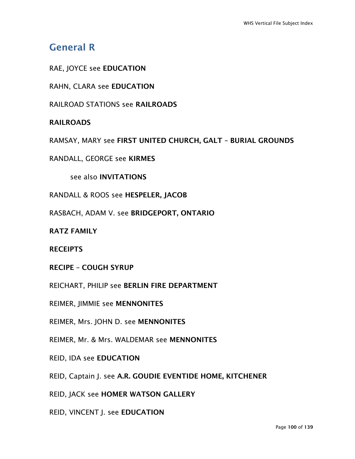# General R

RAE, JOYCE see EDUCATION

RAHN, CLARA see EDUCATION

RAILROAD STATIONS see RAILROADS

### RAILROADS

RAMSAY, MARY see FIRST UNITED CHURCH, GALT – BURIAL GROUNDS

RANDALL, GEORGE see KIRMES

see also INVITATIONS

RANDALL & ROOS see HESPELER, JACOB

RASBACH, ADAM V. see BRIDGEPORT, ONTARIO

RATZ FAMILY

RECEIPTS

RECIPE – COUGH SYRUP

REICHART, PHILIP see BERLIN FIRE DEPARTMENT

REIMER, JIMMIE see MENNONITES

REIMER, Mrs. JOHN D. see MENNONITES

REIMER, Mr. & Mrs. WALDEMAR see MENNONITES

REID, IDA see EDUCATION

REID, Captain J. see A.R. GOUDIE EVENTIDE HOME, KITCHENER

REID, JACK see HOMER WATSON GALLERY

REID, VINCENT J. see EDUCATION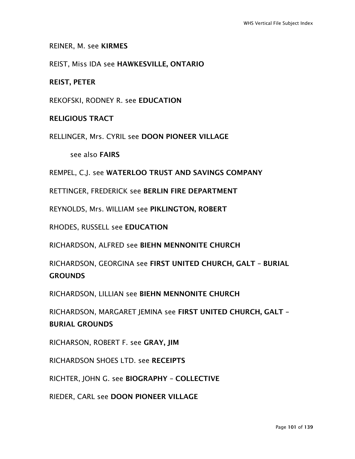#### REINER, M. see KIRMES

REIST, Miss IDA see HAWKESVILLE, ONTARIO

REIST, PETER

REKOFSKI, RODNEY R. see EDUCATION

#### RELIGIOUS TRACT

RELLINGER, Mrs. CYRIL see DOON PIONEER VILLAGE

see also FAIRS

REMPEL, C.J. see WATERLOO TRUST AND SAVINGS COMPANY

RETTINGER, FREDERICK see BERLIN FIRE DEPARTMENT

REYNOLDS, Mrs. WILLIAM see PIKLINGTON, ROBERT

RHODES, RUSSELL see EDUCATION

RICHARDSON, ALFRED see BIEHN MENNONITE CHURCH

RICHARDSON, GEORGINA see FIRST UNITED CHURCH, GALT – BURIAL **GROUNDS** 

RICHARDSON, LILLIAN see BIEHN MENNONITE CHURCH

RICHARDSON, MARGARET JEMINA see FIRST UNITED CHURCH, GALT – BURIAL GROUNDS

RICHARSON, ROBERT F. see GRAY, JIM

RICHARDSON SHOES LTD. see RECEIPTS

RICHTER, JOHN G. see BIOGRAPHY – COLLECTIVE

RIEDER, CARL see DOON PIONEER VILLAGE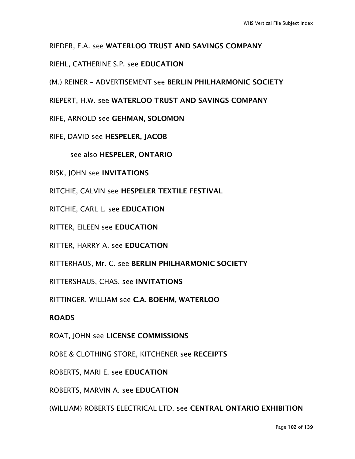## RIEDER, E.A. see WATERLOO TRUST AND SAVINGS COMPANY

## RIEHL, CATHERINE S.P. see EDUCATION

(M.) REINER – ADVERTISEMENT see BERLIN PHILHARMONIC SOCIETY

RIEPERT, H.W. see WATERLOO TRUST AND SAVINGS COMPANY

RIFE, ARNOLD see GEHMAN, SOLOMON

RIFE, DAVID see HESPELER, JACOB

see also HESPELER, ONTARIO

RISK, JOHN see INVITATIONS

RITCHIE, CALVIN see HESPELER TEXTILE FESTIVAL

RITCHIE, CARL L. see EDUCATION

RITTER, EILEEN see EDUCATION

RITTER, HARRY A. see EDUCATION

RITTERHAUS, Mr. C. see BERLIN PHILHARMONIC SOCIETY

RITTERSHAUS, CHAS. see INVITATIONS

RITTINGER, WILLIAM see C.A. BOEHM, WATERLOO

#### ROADS

ROAT, JOHN see LICENSE COMMISSIONS

ROBE & CLOTHING STORE, KITCHENER see RECEIPTS

ROBERTS, MARI E. see EDUCATION

ROBERTS, MARVIN A. see EDUCATION

(WILLIAM) ROBERTS ELECTRICAL LTD. see CENTRAL ONTARIO EXHIBITION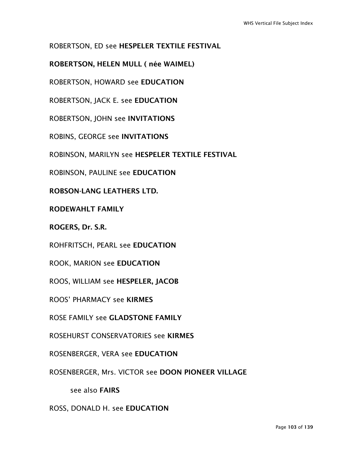# ROBERTSON, ED see HESPELER TEXTILE FESTIVAL

# ROBERTSON, HELEN MULL ( née WAIMEL)

ROBERTSON, HOWARD see EDUCATION

ROBERTSON, JACK E. see EDUCATION

ROBERTSON, JOHN see INVITATIONS

ROBINS, GEORGE see INVITATIONS

ROBINSON, MARILYN see HESPELER TEXTILE FESTIVAL

ROBINSON, PAULINE see EDUCATION

ROBSON-LANG LEATHERS LTD.

RODEWAHLT FAMILY

ROGERS, Dr. S.R.

ROHFRITSCH, PEARL see EDUCATION

ROOK, MARION see EDUCATION

ROOS, WILLIAM see HESPELER, JACOB

ROOS' PHARMACY see KIRMES

ROSE FAMILY see GLADSTONE FAMILY

ROSEHURST CONSERVATORIES see KIRMES

ROSENBERGER, VERA see EDUCATION

ROSENBERGER, Mrs. VICTOR see DOON PIONEER VILLAGE

see also FAIRS

ROSS, DONALD H. see EDUCATION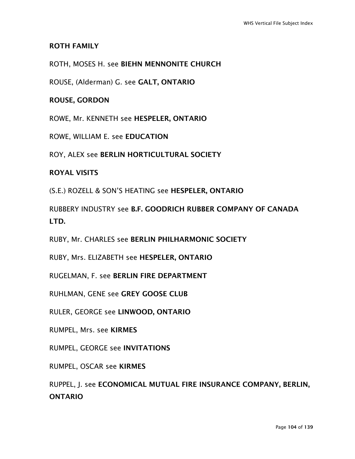#### ROTH FAMILY

#### ROTH, MOSES H. see BIEHN MENNONITE CHURCH

ROUSE, (Alderman) G. see GALT, ONTARIO

#### ROUSE, GORDON

ROWE, Mr. KENNETH see HESPELER, ONTARIO

ROWE, WILLIAM E. see EDUCATION

ROY, ALEX see BERLIN HORTICULTURAL SOCIETY

#### ROYAL VISITS

(S.E.) ROZELL & SON'S HEATING see HESPELER, ONTARIO

RUBBERY INDUSTRY see B.F. GOODRICH RUBBER COMPANY OF CANADA LTD.

RUBY, Mr. CHARLES see BERLIN PHILHARMONIC SOCIETY

RUBY, Mrs. ELIZABETH see HESPELER, ONTARIO

RUGELMAN, F. see BERLIN FIRE DEPARTMENT

RUHLMAN, GENE see GREY GOOSE CLUB

RULER, GEORGE see LINWOOD, ONTARIO

RUMPEL, Mrs. see KIRMES

RUMPEL, GEORGE see INVITATIONS

RUMPEL, OSCAR see KIRMES

RUPPEL, J. see ECONOMICAL MUTUAL FIRE INSURANCE COMPANY, BERLIN, ONTARIO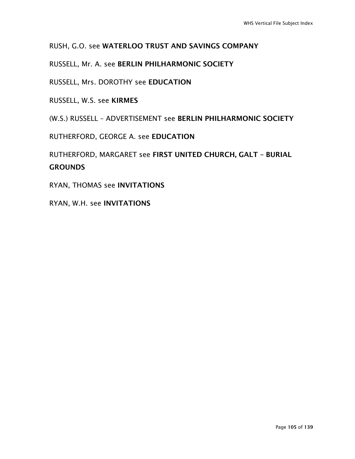# RUSH, G.O. see WATERLOO TRUST AND SAVINGS COMPANY

# RUSSELL, Mr. A. see BERLIN PHILHARMONIC SOCIETY

RUSSELL, Mrs. DOROTHY see EDUCATION

RUSSELL, W.S. see KIRMES

(W.S.) RUSSELL – ADVERTISEMENT see BERLIN PHILHARMONIC SOCIETY

RUTHERFORD, GEORGE A. see EDUCATION

RUTHERFORD, MARGARET see FIRST UNITED CHURCH, GALT – BURIAL **GROUNDS** 

RYAN, THOMAS see INVITATIONS

RYAN, W.H. see INVITATIONS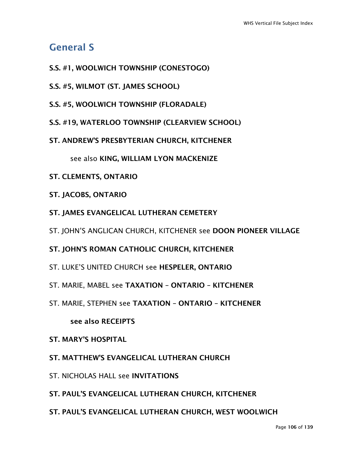# General S

- S.S. #1, WOOLWICH TOWNSHIP (CONESTOGO)
- S.S. #5, WILMOT (ST. JAMES SCHOOL)
- S.S. #5, WOOLWICH TOWNSHIP (FLORADALE)
- S.S. #19, WATERLOO TOWNSHIP (CLEARVIEW SCHOOL)
- ST. ANDREW'S PRESBYTERIAN CHURCH, KITCHENER

see also KING, WILLIAM LYON MACKENIZE

- ST. CLEMENTS, ONTARIO
- ST. JACOBS, ONTARIO
- ST. JAMES EVANGELICAL LUTHERAN CEMETERY
- ST. JOHN'S ANGLICAN CHURCH, KITCHENER see DOON PIONEER VILLAGE
- ST. JOHN'S ROMAN CATHOLIC CHURCH, KITCHENER
- ST. LUKE'S UNITED CHURCH see HESPELER, ONTARIO
- ST. MARIE, MABEL see TAXATION ONTARIO KITCHENER
- ST. MARIE, STEPHEN see TAXATION ONTARIO KITCHENER

see also RECEIPTS

- ST. MARY'S HOSPITAL
- ST. MATTHEW'S EVANGELICAL LUTHERAN CHURCH
- ST. NICHOLAS HALL see INVITATIONS
- ST. PAUL'S EVANGELICAL LUTHERAN CHURCH, KITCHENER
- ST. PAUL'S EVANGELICAL LUTHERAN CHURCH, WEST WOOLWICH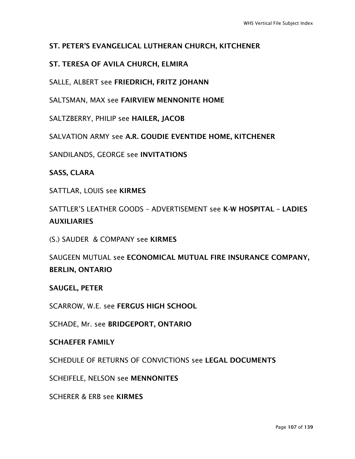# ST. PETER'S EVANGELICAL LUTHERAN CHURCH, KITCHENER

# ST. TERESA OF AVILA CHURCH, ELMIRA

SALLE, ALBERT see FRIEDRICH, FRITZ JOHANN

SALTSMAN, MAX see FAIRVIEW MENNONITE HOME

SALTZBERRY, PHILIP see HAILER, JACOB

SALVATION ARMY see A.R. GOUDIE EVENTIDE HOME, KITCHENER

SANDILANDS, GEORGE see INVITATIONS

SASS, CLARA

SATTLAR, LOUIS see KIRMES

SATTLER'S LEATHER GOODS – ADVERTISEMENT see K-W HOSPITAL – LADIES AUXILIARIES

(S.) SAUDER & COMPANY see KIRMES

SAUGEEN MUTUAL see ECONOMICAL MUTUAL FIRE INSURANCE COMPANY, BERLIN, ONTARIO

SAUGEL, PETER

SCARROW, W.E. see FERGUS HIGH SCHOOL

SCHADE, Mr. see BRIDGEPORT, ONTARIO

#### SCHAEFER FAMILY

SCHEDULE OF RETURNS OF CONVICTIONS see LEGAL DOCUMENTS

SCHEIFELE, NELSON see MENNONITES

SCHERER & ERB see KIRMES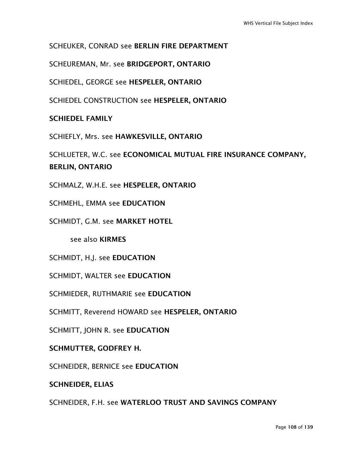# SCHEUKER, CONRAD see BERLIN FIRE DEPARTMENT

SCHEUREMAN, Mr. see BRIDGEPORT, ONTARIO

SCHIEDEL, GEORGE see HESPELER, ONTARIO

SCHIEDEL CONSTRUCTION see HESPELER, ONTARIO

SCHIEDEL FAMILY

SCHIEFLY, Mrs. see HAWKESVILLE, ONTARIO

SCHLUETER, W.C. see ECONOMICAL MUTUAL FIRE INSURANCE COMPANY, BERLIN, ONTARIO

SCHMALZ, W.H.E. see HESPELER, ONTARIO

SCHMEHL, EMMA see EDUCATION

SCHMIDT, G.M. see MARKET HOTEL

see also KIRMES

SCHMIDT, H.J. see EDUCATION

SCHMIDT, WALTER see EDUCATION

SCHMIEDER, RUTHMARIE see EDUCATION

SCHMITT, Reverend HOWARD see HESPELER, ONTARIO

SCHMITT, JOHN R. see EDUCATION

SCHMUTTER, GODFREY H.

SCHNEIDER, BERNICE see EDUCATION

SCHNEIDER, ELIAS

SCHNEIDER, F.H. see WATERLOO TRUST AND SAVINGS COMPANY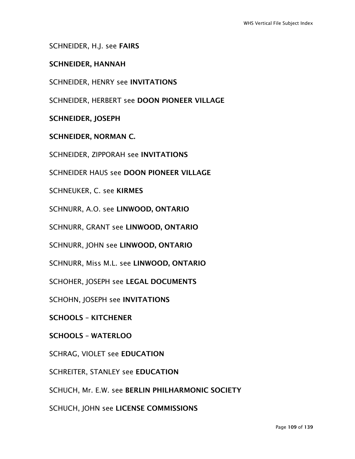SCHNEIDER, H.J. see FAIRS

### SCHNEIDER, HANNAH

SCHNEIDER, HENRY see INVITATIONS

SCHNEIDER, HERBERT see DOON PIONEER VILLAGE

SCHNEIDER, JOSEPH

SCHNEIDER, NORMAN C.

SCHNEIDER, ZIPPORAH see INVITATIONS

SCHNEIDER HAUS see DOON PIONEER VILLAGE

SCHNEUKER, C. see KIRMES

SCHNURR, A.O. see LINWOOD, ONTARIO

SCHNURR, GRANT see LINWOOD, ONTARIO

SCHNURR, JOHN see LINWOOD, ONTARIO

SCHNURR, Miss M.L. see LINWOOD, ONTARIO

SCHOHER, JOSEPH see LEGAL DOCUMENTS

SCHOHN, JOSEPH see INVITATIONS

SCHOOLS – KITCHENER

SCHOOLS – WATERLOO

SCHRAG, VIOLET see EDUCATION

SCHREITER, STANLEY see EDUCATION

SCHUCH, Mr. E.W. see BERLIN PHILHARMONIC SOCIETY

SCHUCH, JOHN see LICENSE COMMISSIONS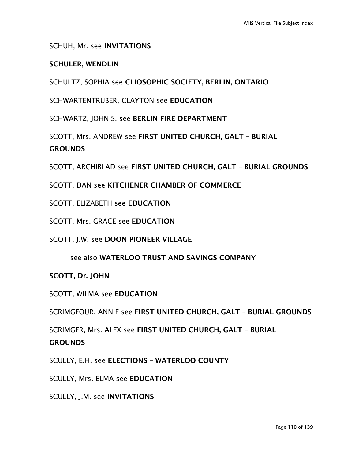### SCHUH, Mr. see INVITATIONS

### SCHULER, WENDLIN

SCHULTZ, SOPHIA see CLIOSOPHIC SOCIETY, BERLIN, ONTARIO

SCHWARTENTRUBER, CLAYTON see EDUCATION

SCHWARTZ, JOHN S. see BERLIN FIRE DEPARTMENT

SCOTT, Mrs. ANDREW see FIRST UNITED CHURCH, GALT – BURIAL **GROUNDS** 

SCOTT, ARCHIBLAD see FIRST UNITED CHURCH, GALT – BURIAL GROUNDS

- SCOTT, DAN see KITCHENER CHAMBER OF COMMERCE
- SCOTT, ELIZABETH see EDUCATION
- SCOTT, Mrs. GRACE see EDUCATION
- SCOTT, J.W. see DOON PIONEER VILLAGE
	- see also WATERLOO TRUST AND SAVINGS COMPANY

### SCOTT, Dr. JOHN

SCOTT, WILMA see EDUCATION

SCRIMGEOUR, ANNIE see FIRST UNITED CHURCH, GALT – BURIAL GROUNDS

SCRIMGER, Mrs. ALEX see FIRST UNITED CHURCH, GALT – BURIAL **GROUNDS** 

SCULLY, E.H. see ELECTIONS – WATERLOO COUNTY

SCULLY, Mrs. ELMA see EDUCATION

SCULLY, J.M. see INVITATIONS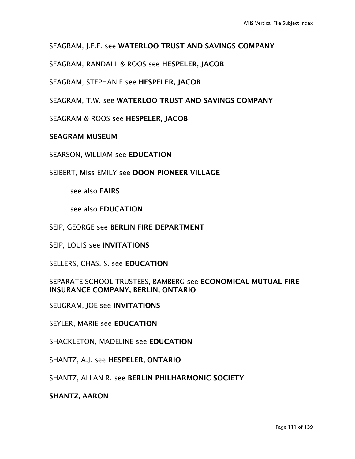## SEAGRAM, J.E.F. see WATERLOO TRUST AND SAVINGS COMPANY

SEAGRAM, RANDALL & ROOS see HESPELER, JACOB

SEAGRAM, STEPHANIE see HESPELER, JACOB

SEAGRAM, T.W. see WATERLOO TRUST AND SAVINGS COMPANY

SEAGRAM & ROOS see HESPELER, JACOB

### SEAGRAM MUSEUM

SEARSON, WILLIAM see EDUCATION

SEIBERT, Miss EMILY see DOON PIONEER VILLAGE

see also FAIRS

see also EDUCATION

SEIP, GEORGE see BERLIN FIRE DEPARTMENT

SEIP, LOUIS see INVITATIONS

SELLERS, CHAS. S. see EDUCATION

### SEPARATE SCHOOL TRUSTEES, BAMBERG see ECONOMICAL MUTUAL FIRE INSURANCE COMPANY, BERLIN, ONTARIO

SEUGRAM, JOE see INVITATIONS

SEYLER, MARIE see EDUCATION

SHACKLETON, MADELINE see EDUCATION

SHANTZ, A.J. see HESPELER, ONTARIO

SHANTZ, ALLAN R. see BERLIN PHILHARMONIC SOCIETY

SHANTZ, AARON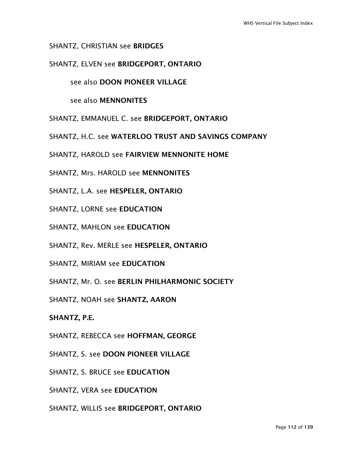### SHANTZ, CHRISTIAN see BRIDGES

SHANTZ, ELVEN see BRIDGEPORT, ONTARIO

### see also DOON PIONEER VILLAGE

see also MENNONITES

- SHANTZ, EMMANUEL C. see BRIDGEPORT, ONTARIO
- SHANTZ, H.C. see WATERLOO TRUST AND SAVINGS COMPANY
- SHANTZ, HAROLD see FAIRVIEW MENNONITE HOME
- SHANTZ, Mrs. HAROLD see MENNONITES
- SHANTZ, L.A. see HESPELER, ONTARIO
- SHANTZ, LORNE see EDUCATION
- SHANTZ, MAHLON see EDUCATION
- SHANTZ, Rev. MERLE see HESPELER, ONTARIO
- SHANTZ, MIRIAM see EDUCATION
- SHANTZ, Mr. O. see BERLIN PHILHARMONIC SOCIETY
- SHANTZ, NOAH see SHANTZ, AARON
- SHANTZ, P.E.
- SHANTZ, REBECCA see HOFFMAN, GEORGE
- SHANTZ, S. see DOON PIONEER VILLAGE
- SHANTZ, S. BRUCE see EDUCATION
- SHANTZ, VERA see EDUCATION
- SHANTZ, WILLIS see BRIDGEPORT, ONTARIO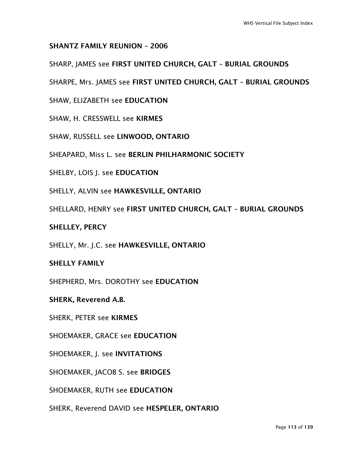### SHANTZ FAMILY REUNION – 2006

SHARP, JAMES see FIRST UNITED CHURCH, GALT – BURIAL GROUNDS

SHARPE, Mrs. JAMES see FIRST UNITED CHURCH, GALT – BURIAL GROUNDS

SHAW, ELIZABETH see EDUCATION

SHAW, H. CRESSWELL see KIRMES

SHAW, RUSSELL see LINWOOD, ONTARIO

SHEAPARD, Miss L. see BERLIN PHILHARMONIC SOCIETY

SHELBY, LOIS J. see EDUCATION

SHELLY, ALVIN see HAWKESVILLE, ONTARIO

SHELLARD, HENRY see FIRST UNITED CHURCH, GALT – BURIAL GROUNDS

### SHELLEY, PERCY

SHELLY, Mr. J.C. see HAWKESVILLE, ONTARIO

### SHELLY FAMILY

SHEPHERD, Mrs. DOROTHY see EDUCATION

SHERK, Reverend A.B.

SHERK, PETER see KIRMES

SHOEMAKER, GRACE see EDUCATION

SHOEMAKER, J. see INVITATIONS

SHOEMAKER, JACOB S. see BRIDGES

SHOEMAKER, RUTH see EDUCATION

SHERK, Reverend DAVID see HESPELER, ONTARIO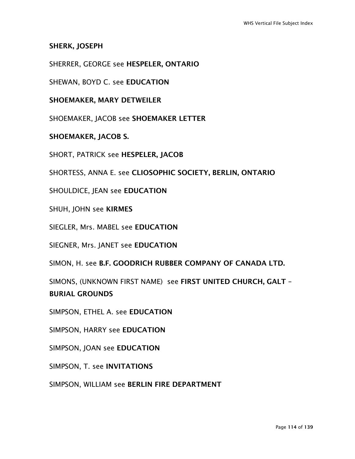SHERK, JOSEPH

SHERRER, GEORGE see HESPELER, ONTARIO

SHEWAN, BOYD C. see EDUCATION

SHOEMAKER, MARY DETWEILER

SHOEMAKER, JACOB see SHOEMAKER LETTER

SHOEMAKER, JACOB S.

SHORT, PATRICK see HESPELER, JACOB

SHORTESS, ANNA E. see CLIOSOPHIC SOCIETY, BERLIN, ONTARIO

SHOULDICE, JEAN see EDUCATION

SHUH, JOHN see KIRMES

SIEGLER, Mrs. MABEL see EDUCATION

SIEGNER, Mrs. JANET see EDUCATION

SIMON, H. see B.F. GOODRICH RUBBER COMPANY OF CANADA LTD.

SIMONS, (UNKNOWN FIRST NAME) see FIRST UNITED CHURCH, GALT – BURIAL GROUNDS

SIMPSON, ETHEL A. see EDUCATION

SIMPSON, HARRY see EDUCATION

SIMPSON, JOAN see EDUCATION

SIMPSON, T. see INVITATIONS

SIMPSON, WILLIAM see BERLIN FIRE DEPARTMENT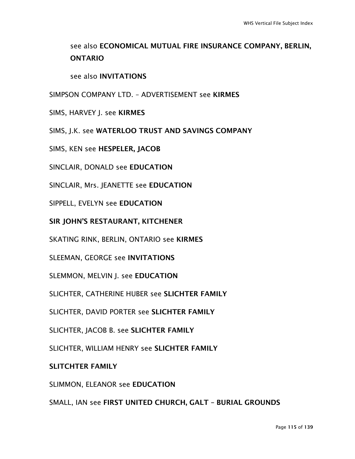## see also ECONOMICAL MUTUAL FIRE INSURANCE COMPANY, BERLIN, ONTARIO

### see also INVITATIONS

SIMPSON COMPANY LTD. – ADVERTISEMENT see KIRMES

SIMS, HARVEY J. see KIRMES

SIMS, J.K. see WATERLOO TRUST AND SAVINGS COMPANY

SIMS, KEN see HESPELER, JACOB

SINCLAIR, DONALD see EDUCATION

SINCLAIR, Mrs. JEANETTE see EDUCATION

SIPPELL, EVELYN see EDUCATION

SIR JOHN'S RESTAURANT, KITCHENER

SKATING RINK, BERLIN, ONTARIO see KIRMES

SLEEMAN, GEORGE see INVITATIONS

SLEMMON, MELVIN J. see EDUCATION

SLICHTER, CATHERINE HUBER see SLICHTER FAMILY

SLICHTER, DAVID PORTER see SLICHTER FAMILY

SLICHTER, JACOB B. see SLICHTER FAMILY

SLICHTER, WILLIAM HENRY see SLICHTER FAMILY

#### SLITCHTER FAMILY

SLIMMON, ELEANOR see EDUCATION

SMALL, IAN see FIRST UNITED CHURCH, GALT – BURIAL GROUNDS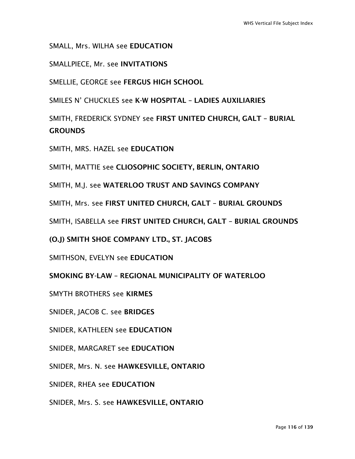SMALL, Mrs. WILHA see EDUCATION

SMALLPIECE, Mr. see INVITATIONS

SMELLIE, GEORGE see FERGUS HIGH SCHOOL

SMILES N' CHUCKLES see K-W HOSPITAL – LADIES AUXILIARIES

SMITH, FREDERICK SYDNEY see FIRST UNITED CHURCH, GALT – BURIAL **GROUNDS** 

SMITH, MRS. HAZEL see EDUCATION

SMITH, MATTIE see CLIOSOPHIC SOCIETY, BERLIN, ONTARIO

SMITH, M.J. see WATERLOO TRUST AND SAVINGS COMPANY

SMITH, Mrs. see FIRST UNITED CHURCH, GALT – BURIAL GROUNDS

SMITH, ISABELLA see FIRST UNITED CHURCH, GALT – BURIAL GROUNDS

(O.J) SMITH SHOE COMPANY LTD., ST. JACOBS

SMITHSON, EVELYN see EDUCATION

SMOKING BY-LAW – REGIONAL MUNICIPALITY OF WATERLOO

SMYTH BROTHERS see KIRMES

SNIDER, JACOB C. see BRIDGES

SNIDER, KATHLEEN see EDUCATION

SNIDER, MARGARET see EDUCATION

SNIDER, Mrs. N. see HAWKESVILLE, ONTARIO

SNIDER, RHEA see EDUCATION

SNIDER, Mrs. S. see HAWKESVILLE, ONTARIO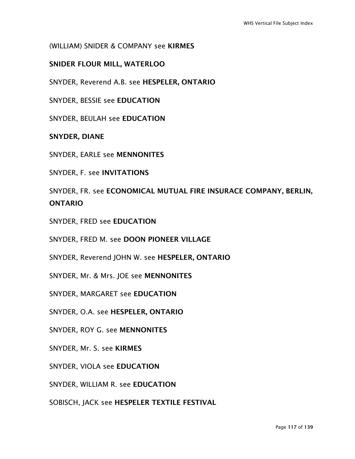### (WILLIAM) SNIDER & COMPANY see KIRMES

### SNIDER FLOUR MILL, WATERLOO

SNYDER, Reverend A.B. see HESPELER, ONTARIO

SNYDER, BESSIE see EDUCATION

SNYDER, BEULAH see EDUCATION

SNYDER, DIANE

SNYDER, EARLE see MENNONITES

SNYDER, F. see INVITATIONS

SNYDER, FR. see ECONOMICAL MUTUAL FIRE INSURACE COMPANY, BERLIN, ONTARIO

SNYDER, FRED see EDUCATION

SNYDER, FRED M. see DOON PIONEER VILLAGE

SNYDER, Reverend JOHN W. see HESPELER, ONTARIO

SNYDER, Mr. & Mrs. JOE see MENNONITES

SNYDER, MARGARET see EDUCATION

SNYDER, O.A. see HESPELER, ONTARIO

SNYDER, ROY G. see MENNONITES

SNYDER, Mr. S. see KIRMES

SNYDER, VIOLA see EDUCATION

SNYDER, WILLIAM R. see EDUCATION

SOBISCH, JACK see HESPELER TEXTILE FESTIVAL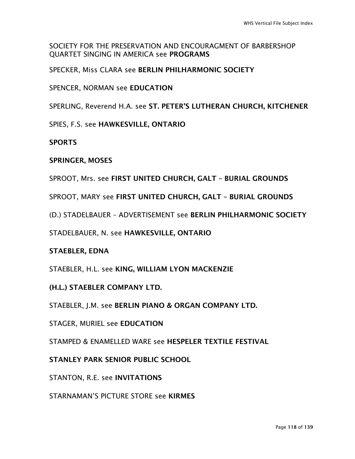SOCIETY FOR THE PRESERVATION AND ENCOURAGMENT OF BARBERSHOP QUARTET SINGING IN AMERICA see PROGRAMS

SPECKER, Miss CLARA see BERLIN PHILHARMONIC SOCIETY

SPENCER, NORMAN see EDUCATION

SPERLING, Reverend H.A. see ST. PETER'S LUTHERAN CHURCH, KITCHENER

SPIES, F.S. see HAWKESVILLE, ONTARIO

**SPORTS** 

### SPRINGER, MOSES

SPROOT, Mrs. see FIRST UNITED CHURCH, GALT – BURIAL GROUNDS

SPROOT, MARY see FIRST UNITED CHURCH, GALT – BURIAL GROUNDS

(D.) STADELBAUER – ADVERTISEMENT see BERLIN PHILHARMONIC SOCIETY

STADELBAUER, N. see HAWKESVILLE, ONTARIO

## STAEBLER, EDNA

STAEBLER, H.L. see KING, WILLIAM LYON MACKENZIE

(H.L.) STAEBLER COMPANY LTD.

STAEBLER, J.M. see BERLIN PIANO & ORGAN COMPANY LTD.

STAGER, MURIEL see EDUCATION

STAMPED & ENAMELLED WARE see HESPELER TEXTILE FESTIVAL

STANLEY PARK SENIOR PUBLIC SCHOOL

STANTON, R.E. see INVITATIONS

STARNAMAN'S PICTURE STORE see KIRMES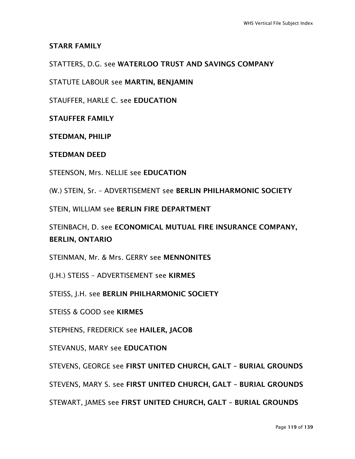STARR FAMILY

STATTERS, D.G. see WATERLOO TRUST AND SAVINGS COMPANY

STATUTE LABOUR see MARTIN, BENJAMIN

STAUFFER, HARLE C. see EDUCATION

STAUFFER FAMILY

STEDMAN, PHILIP

STEDMAN DEED

STEENSON, Mrs. NELLIE see EDUCATION

(W.) STEIN, Sr. – ADVERTISEMENT see BERLIN PHILHARMONIC SOCIETY

STEIN, WILLIAM see BERLIN FIRE DEPARTMENT

STEINBACH, D. see ECONOMICAL MUTUAL FIRE INSURANCE COMPANY, BERLIN, ONTARIO

STEINMAN, Mr. & Mrs. GERRY see MENNONITES

(J.H.) STEISS – ADVERTISEMENT see KIRMES

STEISS, J.H. see BERLIN PHILHARMONIC SOCIETY

STEISS & GOOD see KIRMES

STEPHENS, FREDERICK see HAILER, JACOB

STEVANUS, MARY see EDUCATION

STEVENS, GEORGE see FIRST UNITED CHURCH, GALT – BURIAL GROUNDS

STEVENS, MARY S. see FIRST UNITED CHURCH, GALT – BURIAL GROUNDS

STEWART, JAMES see FIRST UNITED CHURCH, GALT – BURIAL GROUNDS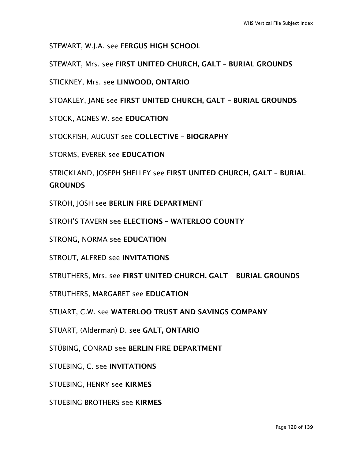STEWART, W.J.A. see FERGUS HIGH SCHOOL

STEWART, Mrs. see FIRST UNITED CHURCH, GALT – BURIAL GROUNDS

STICKNEY, Mrs. see LINWOOD, ONTARIO

STOAKLEY, JANE see FIRST UNITED CHURCH, GALT – BURIAL GROUNDS

STOCK, AGNES W. see EDUCATION

STOCKFISH, AUGUST see COLLECTIVE – BIOGRAPHY

STORMS, EVEREK see EDUCATION

STRICKLAND, JOSEPH SHELLEY see FIRST UNITED CHURCH, GALT – BURIAL **GROUNDS** 

STROH, JOSH see BERLIN FIRE DEPARTMENT

STROH'S TAVERN see ELECTIONS – WATERLOO COUNTY

STRONG, NORMA see EDUCATION

STROUT, ALFRED see INVITATIONS

STRUTHERS, Mrs. see FIRST UNITED CHURCH, GALT – BURIAL GROUNDS

STRUTHERS, MARGARET see EDUCATION

STUART, C.W. see WATERLOO TRUST AND SAVINGS COMPANY

STUART, (Alderman) D. see GALT, ONTARIO

STÜBING, CONRAD see BERLIN FIRE DEPARTMENT

STUEBING, C. see INVITATIONS

STUEBING, HENRY see KIRMES

STUEBING BROTHERS see KIRMES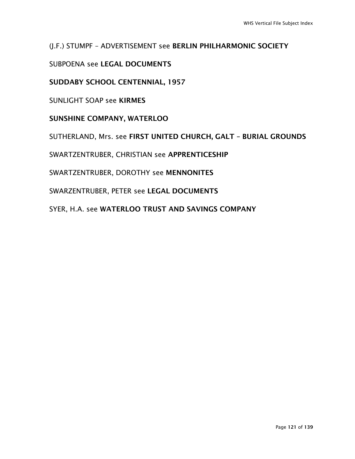(J.F.) STUMPF – ADVERTISEMENT see BERLIN PHILHARMONIC SOCIETY

SUBPOENA see LEGAL DOCUMENTS

SUDDABY SCHOOL CENTENNIAL, 1957

SUNLIGHT SOAP see KIRMES

SUNSHINE COMPANY, WATERLOO

SUTHERLAND, Mrs. see FIRST UNITED CHURCH, GALT – BURIAL GROUNDS

SWARTZENTRUBER, CHRISTIAN see APPRENTICESHIP

SWARTZENTRUBER, DOROTHY see MENNONITES

SWARZENTRUBER, PETER see LEGAL DOCUMENTS

SYER, H.A. see WATERLOO TRUST AND SAVINGS COMPANY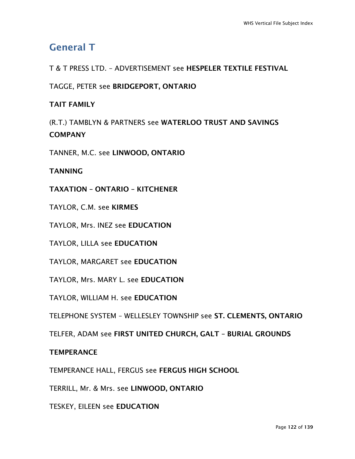# General T

T & T PRESS LTD. – ADVERTISEMENT see HESPELER TEXTILE FESTIVAL

TAGGE, PETER see BRIDGEPORT, ONTARIO

## TAIT FAMILY

(R.T.) TAMBLYN & PARTNERS see WATERLOO TRUST AND SAVINGS **COMPANY** 

TANNER, M.C. see LINWOOD, ONTARIO

TANNING

TAXATION – ONTARIO – KITCHENER

TAYLOR, C.M. see KIRMES

TAYLOR, Mrs. INEZ see EDUCATION

TAYLOR, LILLA see EDUCATION

TAYLOR, MARGARET see EDUCATION

TAYLOR, Mrs. MARY L. see EDUCATION

TAYLOR, WILLIAM H. see EDUCATION

TELEPHONE SYSTEM – WELLESLEY TOWNSHIP see ST. CLEMENTS, ONTARIO

TELFER, ADAM see FIRST UNITED CHURCH, GALT – BURIAL GROUNDS

## **TEMPERANCE**

TEMPERANCE HALL, FERGUS see FERGUS HIGH SCHOOL

TERRILL, Mr. & Mrs. see LINWOOD, ONTARIO

TESKEY, EILEEN see EDUCATION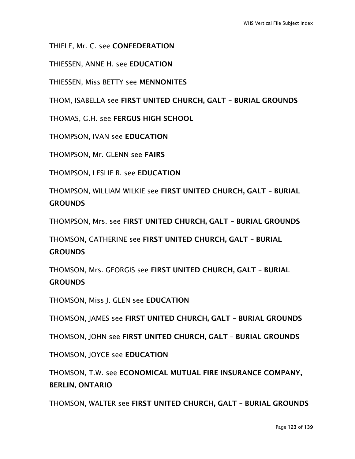THIELE, Mr. C. see CONFEDERATION

THIESSEN, ANNE H. see EDUCATION

THIESSEN, Miss BETTY see MENNONITES

THOM, ISABELLA see FIRST UNITED CHURCH, GALT – BURIAL GROUNDS

THOMAS, G.H. see FERGUS HIGH SCHOOL

THOMPSON, IVAN see EDUCATION

THOMPSON, Mr. GLENN see FAIRS

THOMPSON, LESLIE B. see EDUCATION

THOMPSON, WILLIAM WILKIE see FIRST UNITED CHURCH, GALT – BURIAL **GROUNDS** 

THOMPSON, Mrs. see FIRST UNITED CHURCH, GALT – BURIAL GROUNDS

THOMSON, CATHERINE see FIRST UNITED CHURCH, GALT – BURIAL **GROUNDS** 

THOMSON, Mrs. GEORGIS see FIRST UNITED CHURCH, GALT – BURIAL **GROUNDS** 

THOMSON, Miss J. GLEN see EDUCATION

THOMSON, JAMES see FIRST UNITED CHURCH, GALT – BURIAL GROUNDS

THOMSON, JOHN see FIRST UNITED CHURCH, GALT – BURIAL GROUNDS

THOMSON, JOYCE see EDUCATION

THOMSON, T.W. see ECONOMICAL MUTUAL FIRE INSURANCE COMPANY, BERLIN, ONTARIO

THOMSON, WALTER see FIRST UNITED CHURCH, GALT – BURIAL GROUNDS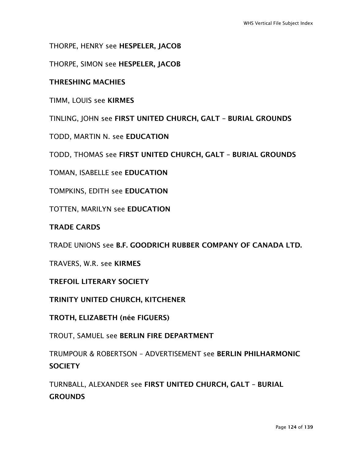THORPE, HENRY see HESPELER, JACOB

THORPE, SIMON see HESPELER, JACOB

### THRESHING MACHIES

TIMM, LOUIS see KIRMES

TINLING, JOHN see FIRST UNITED CHURCH, GALT – BURIAL GROUNDS

TODD, MARTIN N. see EDUCATION

TODD, THOMAS see FIRST UNITED CHURCH, GALT – BURIAL GROUNDS

TOMAN, ISABELLE see EDUCATION

TOMPKINS, EDITH see EDUCATION

TOTTEN, MARILYN see EDUCATION

### TRADE CARDS

TRADE UNIONS see B.F. GOODRICH RUBBER COMPANY OF CANADA LTD.

TRAVERS, W.R. see KIRMES

TREFOIL LITERARY SOCIETY

TRINITY UNITED CHURCH, KITCHENER

TROTH, ELIZABETH (née FIGUERS)

TROUT, SAMUEL see BERLIN FIRE DEPARTMENT

TRUMPOUR & ROBERTSON – ADVERTISEMENT see BERLIN PHILHARMONIC **SOCIETY** 

TURNBALL, ALEXANDER see FIRST UNITED CHURCH, GALT – BURIAL **GROUNDS**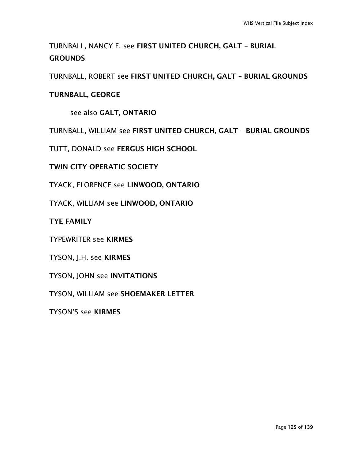TURNBALL, NANCY E. see FIRST UNITED CHURCH, GALT – BURIAL **GROUNDS** 

TURNBALL, ROBERT see FIRST UNITED CHURCH, GALT – BURIAL GROUNDS

## TURNBALL, GEORGE

see also GALT, ONTARIO

TURNBALL, WILLIAM see FIRST UNITED CHURCH, GALT – BURIAL GROUNDS

TUTT, DONALD see FERGUS HIGH SCHOOL

TWIN CITY OPERATIC SOCIETY

TYACK, FLORENCE see LINWOOD, ONTARIO

TYACK, WILLIAM see LINWOOD, ONTARIO

TYE FAMILY

TYPEWRITER see KIRMES

TYSON, J.H. see KIRMES

TYSON, JOHN see INVITATIONS

TYSON, WILLIAM see SHOEMAKER LETTER

TYSON'S see KIRMES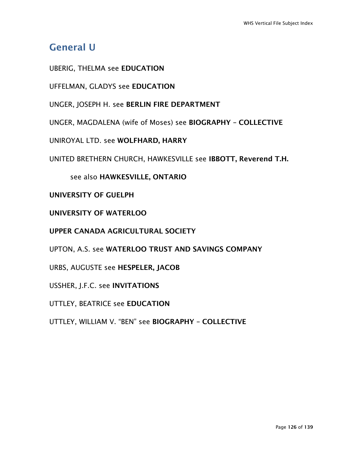# General U

UBERIG, THELMA see EDUCATION

UFFELMAN, GLADYS see EDUCATION

UNGER, JOSEPH H. see BERLIN FIRE DEPARTMENT

UNGER, MAGDALENA (wife of Moses) see BIOGRAPHY – COLLECTIVE

UNIROYAL LTD. see WOLFHARD, HARRY

UNITED BRETHERN CHURCH, HAWKESVILLE see IBBOTT, Reverend T.H.

see also HAWKESVILLE, ONTARIO

UNIVERSITY OF GUELPH

UNIVERSITY OF WATERLOO

UPPER CANADA AGRICULTURAL SOCIETY

UPTON, A.S. see WATERLOO TRUST AND SAVINGS COMPANY

URBS, AUGUSTE see HESPELER, JACOB

USSHER, J.F.C. see INVITATIONS

UTTLEY, BEATRICE see EDUCATION

UTTLEY, WILLIAM V. "BEN" see BIOGRAPHY – COLLECTIVE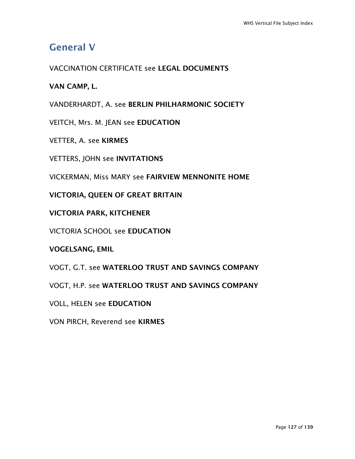# General V

VACCINATION CERTIFICATE see LEGAL DOCUMENTS

VAN CAMP, L.

VANDERHARDT, A. see BERLIN PHILHARMONIC SOCIETY

VEITCH, Mrs. M. JEAN see EDUCATION

VETTER, A. see KIRMES

VETTERS, JOHN see INVITATIONS

VICKERMAN, Miss MARY see FAIRVIEW MENNONITE HOME

VICTORIA, QUEEN OF GREAT BRITAIN

VICTORIA PARK, KITCHENER

VICTORIA SCHOOL see EDUCATION

VOGELSANG, EMIL

VOGT, G.T. see WATERLOO TRUST AND SAVINGS COMPANY

VOGT, H.P. see WATERLOO TRUST AND SAVINGS COMPANY

VOLL, HELEN see EDUCATION

VON PIRCH, Reverend see KIRMES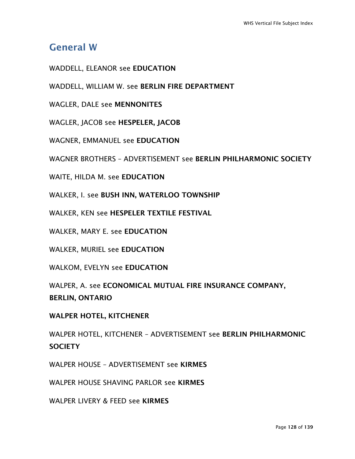## General W

WADDELL, ELEANOR see EDUCATION

WADDELL, WILLIAM W. see BERLIN FIRE DEPARTMENT

WAGLER, DALE see MENNONITES

WAGLER, JACOB see HESPELER, JACOB

WAGNER, EMMANUEL see EDUCATION

WAGNER BROTHERS – ADVERTISEMENT see BERLIN PHILHARMONIC SOCIETY

WAITE, HILDA M. see EDUCATION

WALKER, I. see BUSH INN, WATERLOO TOWNSHIP

WALKER, KEN see HESPELER TEXTILE FESTIVAL

WALKER, MARY E. see EDUCATION

WALKER, MURIEL see EDUCATION

WALKOM, EVELYN see EDUCATION

WALPER, A. see ECONOMICAL MUTUAL FIRE INSURANCE COMPANY, BERLIN, ONTARIO

WALPER HOTEL, KITCHENER

WALPER HOTEL, KITCHENER – ADVERTISEMENT see BERLIN PHILHARMONIC **SOCIETY** 

WALPER HOUSE – ADVERTISEMENT see KIRMES

WALPER HOUSE SHAVING PARLOR see KIRMES

WALPER LIVERY & FEED see KIRMES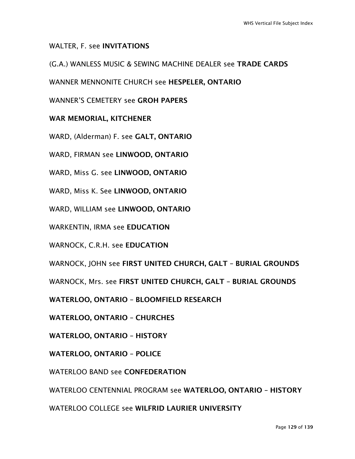### WALTER, F. see INVITATIONS

### (G.A.) WANLESS MUSIC & SEWING MACHINE DEALER see TRADE CARDS

WANNER MENNONITE CHURCH see HESPELER, ONTARIO

WANNER'S CEMETERY see GROH PAPERS

### WAR MEMORIAL, KITCHENER

WARD, (Alderman) F. see GALT, ONTARIO

WARD, FIRMAN see LINWOOD, ONTARIO

WARD, Miss G. see LINWOOD, ONTARIO

WARD, Miss K. See LINWOOD, ONTARIO

WARD, WILLIAM see LINWOOD, ONTARIO

WARKENTIN, IRMA see EDUCATION

WARNOCK, C.R.H. see EDUCATION

WARNOCK, JOHN see FIRST UNITED CHURCH, GALT – BURIAL GROUNDS

WARNOCK, Mrs. see FIRST UNITED CHURCH, GALT – BURIAL GROUNDS

WATERLOO, ONTARIO – BLOOMFIELD RESEARCH

WATERLOO, ONTARIO – CHURCHES

WATERLOO, ONTARIO – HISTORY

WATERLOO, ONTARIO – POLICE

WATERLOO BAND see CONFEDERATION

WATERLOO CENTENNIAL PROGRAM see WATERLOO, ONTARIO – HISTORY

WATERLOO COLLEGE see WILFRID LAURIER UNIVERSITY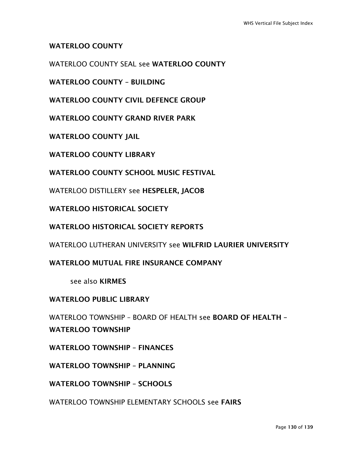### WATERLOO COUNTY

WATERLOO COUNTY SEAL see WATERLOO COUNTY

WATERLOO COUNTY – BUILDING

WATERLOO COUNTY CIVIL DEFENCE GROUP

WATERLOO COUNTY GRAND RIVER PARK

WATERLOO COUNTY JAIL

WATERLOO COUNTY LIBRARY

WATERLOO COUNTY SCHOOL MUSIC FESTIVAL

WATERLOO DISTILLERY see HESPELER, JACOB

WATERLOO HISTORICAL SOCIETY

WATERLOO HISTORICAL SOCIETY REPORTS

WATERLOO LUTHERAN UNIVERSITY see WILFRID LAURIER UNIVERSITY

WATERLOO MUTUAL FIRE INSURANCE COMPANY

see also KIRMES

### WATERLOO PUBLIC LIBRARY

WATERLOO TOWNSHIP – BOARD OF HEALTH see BOARD OF HEALTH – WATERI OO TOWNSHIP

WATERLOO TOWNSHIP – FINANCES

WATERI OO TOWNSHIP - PI ANNING

WATERLOO TOWNSHIP – SCHOOLS

WATERLOO TOWNSHIP ELEMENTARY SCHOOLS see FAIRS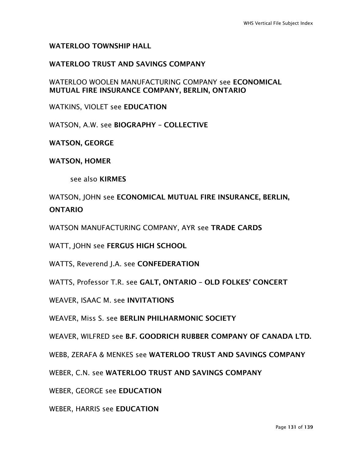### WATERLOO TOWNSHIP HALL

### WATERLOO TRUST AND SAVINGS COMPANY

WATERLOO WOOLEN MANUFACTURING COMPANY see ECONOMICAL MUTUAL FIRE INSURANCE COMPANY, BERLIN, ONTARIO

WATKINS, VIOLET see EDUCATION

WATSON, A.W. see BIOGRAPHY – COLLECTIVE

WATSON, GEORGE

WATSON, HOMER

see also KIRMES

WATSON, JOHN see ECONOMICAL MUTUAL FIRE INSURANCE, BERLIN, ONTARIO

WATSON MANUFACTURING COMPANY, AYR see TRADE CARDS

WATT, JOHN see FERGUS HIGH SCHOOL

WATTS, Reverend J.A. see CONFEDERATION

WATTS, Professor T.R. see GALT, ONTARIO – OLD FOLKES' CONCERT

WEAVER, ISAAC M. see INVITATIONS

WEAVER, Miss S. see BERLIN PHILHARMONIC SOCIETY

WEAVER, WILFRED see B.F. GOODRICH RUBBER COMPANY OF CANADA LTD.

WEBB, ZERAFA & MENKES see WATERLOO TRUST AND SAVINGS COMPANY

WEBER, C.N. see WATERLOO TRUST AND SAVINGS COMPANY

WEBER, GEORGE see EDUCATION

WEBER, HARRIS see EDUCATION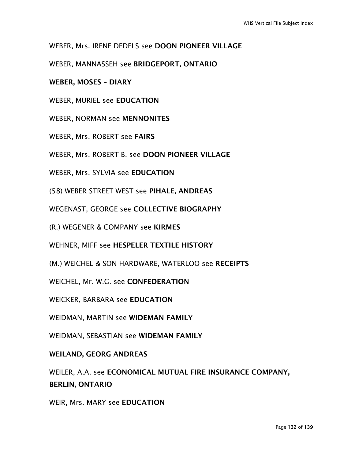WEBER, Mrs. IRENE DEDELS see DOON PIONEER VILLAGE

WEBER, MANNASSEH see BRIDGEPORT, ONTARIO

WEBER, MOSES – DIARY

WEBER, MURIEL see EDUCATION

WEBER, NORMAN see MENNONITES

WEBER, Mrs. ROBERT see FAIRS

WEBER, Mrs. ROBERT B. see DOON PIONEER VILLAGE

WEBER, Mrs. SYLVIA see EDUCATION

(58) WEBER STREET WEST see PIHALE, ANDREAS

WEGENAST, GEORGE see COLLECTIVE BIOGRAPHY

(R.) WEGENER & COMPANY see KIRMES

WEHNER, MIFF see HESPELER TEXTILE HISTORY

(M.) WEICHEL & SON HARDWARE, WATERLOO see RECEIPTS

WEICHEL, Mr. W.G. see CONFEDERATION

WEICKER, BARBARA see EDUCATION

WEIDMAN, MARTIN see WIDEMAN FAMILY

WEIDMAN, SEBASTIAN see WIDEMAN FAMILY

WEILAND, GEORG ANDREAS

WEILER, A.A. see ECONOMICAL MUTUAL FIRE INSURANCE COMPANY, BERLIN, ONTARIO

WEIR, Mrs. MARY see EDUCATION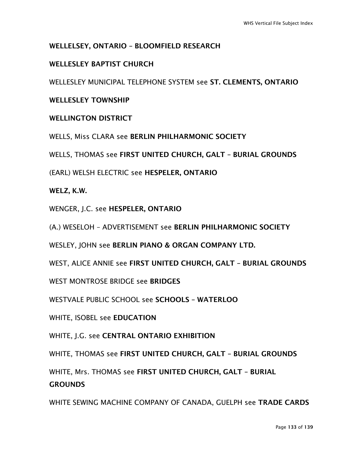## WELLELSEY, ONTARIO – BLOOMFIELD RESEARCH

## WELLESLEY BAPTIST CHURCH

WELLESLEY MUNICIPAL TELEPHONE SYSTEM see ST. CLEMENTS, ONTARIO

## WELLESLEY TOWNSHIP

## WELLINGTON DISTRICT

WELLS, Miss CLARA see BERLIN PHILHARMONIC SOCIETY

WELLS, THOMAS see FIRST UNITED CHURCH, GALT – BURIAL GROUNDS

(EARL) WELSH ELECTRIC see HESPELER, ONTARIO

### WELZ, K.W.

WENGER, J.C. see HESPELER, ONTARIO

(A.) WESELOH – ADVERTISEMENT see BERLIN PHILHARMONIC SOCIETY

WESLEY, JOHN see BERLIN PIANO & ORGAN COMPANY LTD.

WEST, ALICE ANNIE see FIRST UNITED CHURCH, GALT – BURIAL GROUNDS

WEST MONTROSE BRIDGE see BRIDGES

WESTVALE PUBLIC SCHOOL see SCHOOLS – WATERLOO

WHITE, ISOBEL see EDUCATION

WHITE, J.G. see CENTRAL ONTARIO EXHIBITION

WHITE, THOMAS see FIRST UNITED CHURCH, GALT – BURIAL GROUNDS

WHITE, Mrs. THOMAS see FIRST UNITED CHURCH, GALT – BURIAL **GROUNDS** 

WHITE SEWING MACHINE COMPANY OF CANADA, GUELPH see TRADE CARDS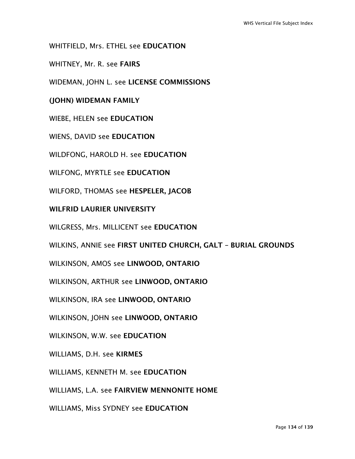WHITFIELD, Mrs. ETHEL see EDUCATION

WHITNEY, Mr. R. see FAIRS

WIDEMAN, JOHN L. see LICENSE COMMISSIONS

### (JOHN) WIDEMAN FAMILY

WIEBE, HELEN see EDUCATION

WIENS, DAVID see EDUCATION

WILDFONG, HAROLD H. see EDUCATION

WILFONG, MYRTLE see EDUCATION

WILFORD, THOMAS see HESPELER, JACOB

### WILFRID LAURIER UNIVERSITY

WILGRESS, Mrs. MILLICENT see EDUCATION

WILKINS, ANNIE see FIRST UNITED CHURCH, GALT – BURIAL GROUNDS

WILKINSON, AMOS see LINWOOD, ONTARIO

WILKINSON, ARTHUR see LINWOOD, ONTARIO

WILKINSON, IRA see LINWOOD, ONTARIO

WILKINSON, JOHN see LINWOOD, ONTARIO

WILKINSON, W.W. see EDUCATION

WILLIAMS, D.H. see KIRMES

WILLIAMS, KENNETH M. see EDUCATION

WILLIAMS, L.A. see FAIRVIEW MENNONITE HOME

WILLIAMS, Miss SYDNEY see EDUCATION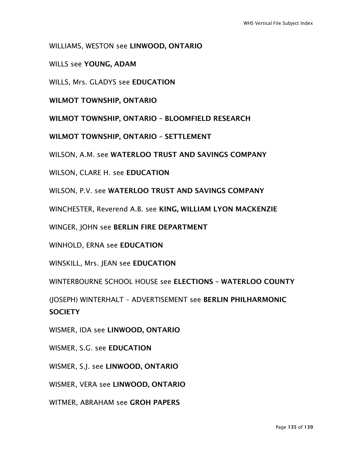WILLIAMS, WESTON see LINWOOD, ONTARIO

WILLS see YOUNG, ADAM

WILLS, Mrs. GLADYS see EDUCATION

WILMOT TOWNSHIP, ONTARIO

WILMOT TOWNSHIP, ONTARIO – BLOOMFIELD RESEARCH

WILMOT TOWNSHIP, ONTARIO – SETTLEMENT

WILSON, A.M. see WATERLOO TRUST AND SAVINGS COMPANY

WILSON, CLARE H. see EDUCATION

WILSON, P.V. see WATERLOO TRUST AND SAVINGS COMPANY

WINCHESTER, Reverend A.B. see KING, WILLIAM LYON MACKENZIE

WINGER, JOHN see BERLIN FIRE DEPARTMENT

WINHOLD, ERNA see EDUCATION

WINSKILL, Mrs. JEAN see EDUCATION

WINTERBOURNE SCHOOL HOUSE see ELECTIONS – WATERLOO COUNTY

(JOSEPH) WINTERHALT – ADVERTISEMENT see BERLIN PHILHARMONIC **SOCIFTY** 

WISMER, IDA see LINWOOD, ONTARIO

WISMER, S.G. see EDUCATION

WISMER, S.J. see LINWOOD, ONTARIO

WISMER, VERA see LINWOOD, ONTARIO

WITMER, ABRAHAM see GROH PAPERS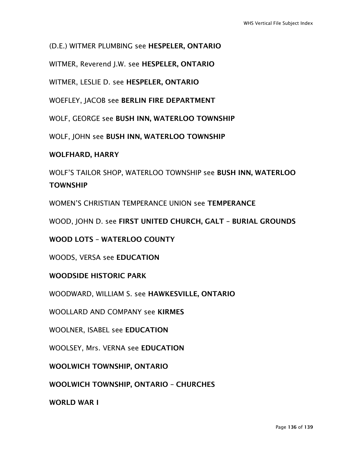(D.E.) WITMER PLUMBING see HESPELER, ONTARIO

WITMER, Reverend J.W. see HESPELER, ONTARIO

WITMER, LESLIE D. see HESPELER, ONTARIO

WOEFLEY, JACOB see BERLIN FIRE DEPARTMENT

WOLF, GEORGE see BUSH INN, WATERLOO TOWNSHIP

WOLF, JOHN see BUSH INN, WATERLOO TOWNSHIP

### WOLFHARD, HARRY

WOLF'S TAILOR SHOP, WATERLOO TOWNSHIP see BUSH INN, WATERLOO **TOWNSHIP** 

WOMEN'S CHRISTIAN TEMPERANCE UNION see TEMPERANCE

WOOD, JOHN D. see FIRST UNITED CHURCH, GALT – BURIAL GROUNDS

WOOD LOTS – WATERLOO COUNTY

WOODS, VERSA see EDUCATION

WOODSIDE HISTORIC PARK

WOODWARD, WILLIAM S. see HAWKESVILLE, ONTARIO

WOOLLARD AND COMPANY see KIRMES

WOOLNER, ISABEL see EDUCATION

WOOLSEY, Mrs. VERNA see EDUCATION

WOOLWICH TOWNSHIP, ONTARIO

WOOLWICH TOWNSHIP, ONTARIO – CHURCHES

WORLD WAR I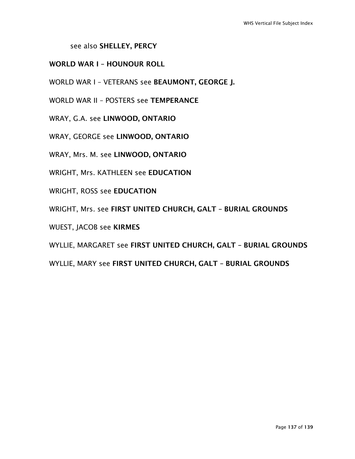see also SHELLEY, PERCY

### WORLD WAR I – HOUNOUR ROLL

WORLD WAR I – VETERANS see BEAUMONT, GEORGE J.

WORLD WAR II – POSTERS see TEMPERANCE

WRAY, G.A. see LINWOOD, ONTARIO

WRAY, GEORGE see LINWOOD, ONTARIO

WRAY, Mrs. M. see LINWOOD, ONTARIO

WRIGHT, Mrs. KATHLEEN see EDUCATION

WRIGHT, ROSS see EDUCATION

WRIGHT, Mrs. see FIRST UNITED CHURCH, GALT – BURIAL GROUNDS

WUEST, JACOB see KIRMES

WYLLIE, MARGARET see FIRST UNITED CHURCH, GALT – BURIAL GROUNDS

WYLLIE, MARY see FIRST UNITED CHURCH, GALT – BURIAL GROUNDS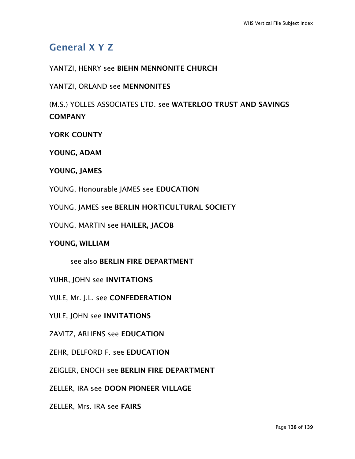# General X Y Z

## YANTZI, HENRY see BIEHN MENNONITE CHURCH

## YANTZI, ORLAND see MENNONITES

(M.S.) YOLLES ASSOCIATES LTD. see WATERLOO TRUST AND SAVINGS **COMPANY** 

YORK COUNTY

YOUNG, ADAM

YOUNG, JAMES

- YOUNG, Honourable JAMES see EDUCATION
- YOUNG, JAMES see BERLIN HORTICULTURAL SOCIETY
- YOUNG, MARTIN see HAILER, JACOB

### YOUNG, WILLIAM

see also BERLIN FIRE DEPARTMENT

YUHR, JOHN see INVITATIONS

YULE, Mr. J.L. see CONFEDERATION

YULE, JOHN see INVITATIONS

ZAVITZ, ARLIENS see EDUCATION

ZEHR, DELFORD F. see EDUCATION

ZEIGLER, ENOCH see BERLIN FIRE DEPARTMENT

ZELLER, IRA see DOON PIONEER VILLAGE

ZELLER, Mrs. IRA see FAIRS